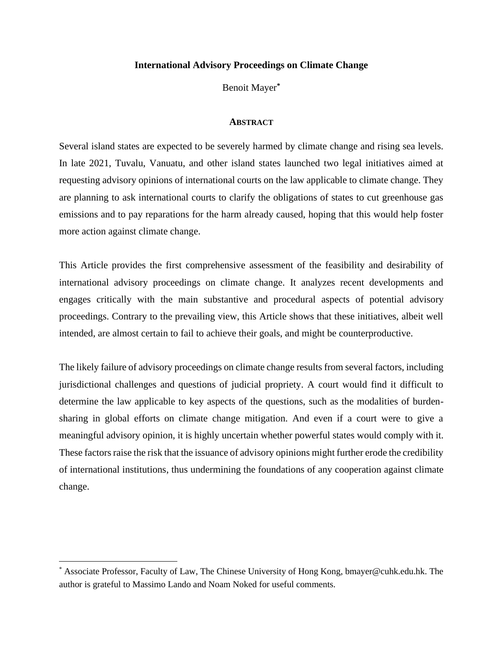# **International Advisory Proceedings on Climate Change**

Benoit Mayer**\***

## **ABSTRACT**

Several island states are expected to be severely harmed by climate change and rising sea levels. In late 2021, Tuvalu, Vanuatu, and other island states launched two legal initiatives aimed at requesting advisory opinions of international courts on the law applicable to climate change. They are planning to ask international courts to clarify the obligations of states to cut greenhouse gas emissions and to pay reparations for the harm already caused, hoping that this would help foster more action against climate change.

This Article provides the first comprehensive assessment of the feasibility and desirability of international advisory proceedings on climate change. It analyzes recent developments and engages critically with the main substantive and procedural aspects of potential advisory proceedings. Contrary to the prevailing view, this Article shows that these initiatives, albeit well intended, are almost certain to fail to achieve their goals, and might be counterproductive.

The likely failure of advisory proceedings on climate change results from several factors, including jurisdictional challenges and questions of judicial propriety. A court would find it difficult to determine the law applicable to key aspects of the questions, such as the modalities of burdensharing in global efforts on climate change mitigation. And even if a court were to give a meaningful advisory opinion, it is highly uncertain whether powerful states would comply with it. These factors raise the risk that the issuance of advisory opinions might further erode the credibility of international institutions, thus undermining the foundations of any cooperation against climate change.

<sup>\*</sup> Associate Professor, Faculty of Law, The Chinese University of Hong Kong, bmayer@cuhk.edu.hk. The author is grateful to Massimo Lando and Noam Noked for useful comments.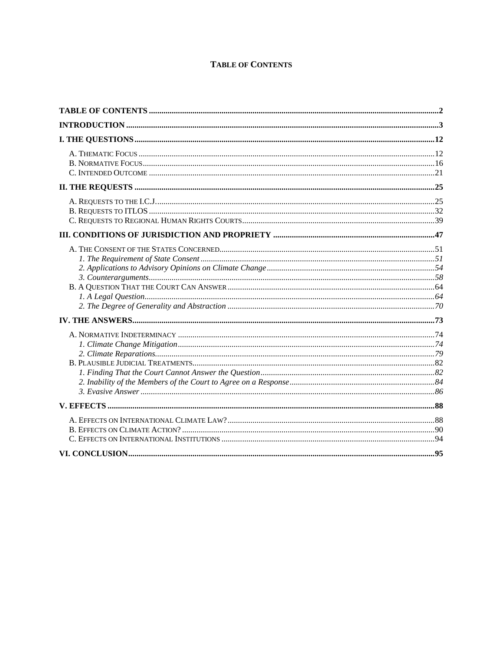# **TABLE OF CONTENTS**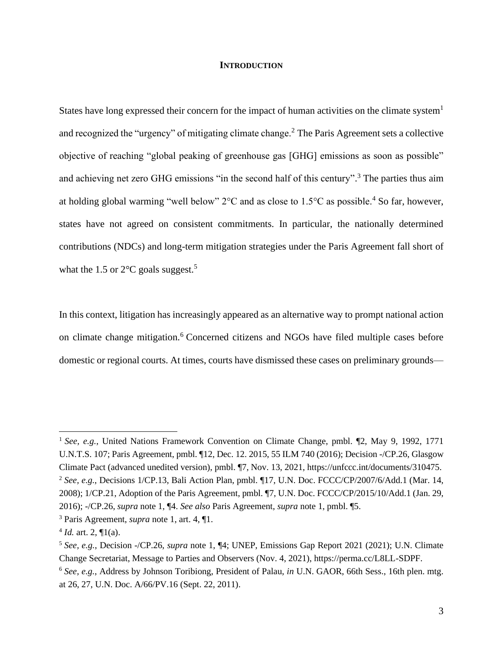## <span id="page-2-4"></span><span id="page-2-3"></span><span id="page-2-2"></span><span id="page-2-0"></span>**INTRODUCTION**

States have long expressed their concern for the impact of human activities on the climate system<sup>1</sup> and recognized the "urgency" of mitigating climate change.<sup>2</sup> The Paris Agreement sets a collective objective of reaching "global peaking of greenhouse gas [GHG] emissions as soon as possible" and achieving net zero GHG emissions "in the second half of this century".<sup>3</sup> The parties thus aim at holding global warming "well below"  $2^{\circ}$ C and as close to  $1.5^{\circ}$ C as possible.<sup>4</sup> So far, however, states have not agreed on consistent commitments. In particular, the nationally determined contributions (NDCs) and long-term mitigation strategies under the Paris Agreement fall short of what the 1.5 or  $2^{\circ}$ C goals suggest.<sup>5</sup>

<span id="page-2-1"></span>In this context, litigation has increasingly appeared as an alternative way to prompt national action on climate change mitigation.<sup>6</sup> Concerned citizens and NGOs have filed multiple cases before domestic or regional courts. At times, courts have dismissed these cases on preliminary grounds—

<sup>&</sup>lt;sup>1</sup> See, e.g., United Nations Framework Convention on Climate Change, pmbl. ¶2, May 9, 1992, 1771 U.N.T.S. 107; Paris Agreement, pmbl. ¶12, Dec. 12. 2015, 55 ILM 740 (2016); Decision -/CP.26, Glasgow Climate Pact (advanced unedited version), pmbl. ¶7, Nov. 13, 2021, https://unfccc.int/documents/310475. <sup>2</sup> *See, e.g.*, Decisions 1/CP.13, Bali Action Plan, pmbl. ¶17, U.N. Doc. FCCC/CP/2007/6/Add.1 (Mar. 14, 2008); 1/CP.21, Adoption of the Paris Agreement, pmbl. ¶7, U.N. Doc. FCCC/CP/2015/10/Add.1 (Jan. 29,

<sup>2016); -/</sup>CP.26, *supra* note [1,](#page-2-0) ¶4. *See also* Paris Agreement, *supra* note [1,](#page-2-0) pmbl. ¶5.

<sup>3</sup> Paris Agreement, *supra* note [1,](#page-2-0) art. 4, ¶1.

 $4$  *Id.* art. 2,  $\P$ 1(a).

<sup>5</sup> *See, e.g.*, Decision -/CP.26, *supra* note [1,](#page-2-0) ¶4; UNEP, Emissions Gap Report 2021 (2021); U.N. Climate Change Secretariat, Message to Parties and Observers (Nov. 4, 2021), https://perma.cc/L8LL-SDPF.

<sup>6</sup> *See, e.g.*, Address by Johnson Toribiong, President of Palau, *in* U.N. GAOR, 66th Sess., 16th plen. mtg. at 26, 27, U.N. Doc. A/66/PV.16 (Sept. 22, 2011).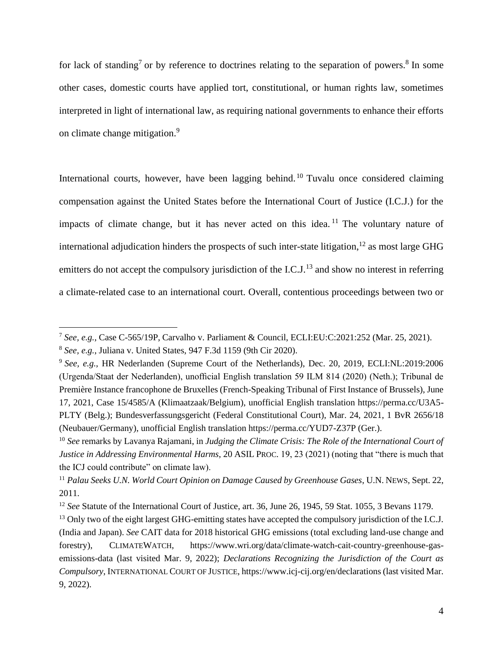for lack of standing<sup>7</sup> or by reference to doctrines relating to the separation of powers.<sup>8</sup> In some other cases, domestic courts have applied tort, constitutional, or human rights law, sometimes interpreted in light of international law, as requiring national governments to enhance their efforts on climate change mitigation.<sup>9</sup>

<span id="page-3-2"></span><span id="page-3-1"></span><span id="page-3-0"></span>International courts, however, have been lagging behind.<sup>10</sup> Tuvalu once considered claiming compensation against the United States before the International Court of Justice (I.C.J.) for the impacts of climate change, but it has never acted on this idea.<sup>11</sup> The voluntary nature of international adjudication hinders the prospects of such inter-state litigation, <sup>12</sup> as most large GHG emitters do not accept the compulsory jurisdiction of the I.C.J.<sup>13</sup> and show no interest in referring a climate-related case to an international court. Overall, contentious proceedings between two or

<span id="page-3-3"></span><sup>7</sup> *See, e.g.*, Case C-565/19P, Carvalho v. Parliament & Council, ECLI:EU:C:2021:252 (Mar. 25, 2021).

<sup>8</sup> *See, e.g.*, Juliana v. United States, 947 F.3d 1159 (9th Cir 2020).

<sup>9</sup> *See, e.g.*, HR Nederlanden (Supreme Court of the Netherlands), Dec. 20, 2019, ECLI:NL:2019:2006 (Urgenda/Staat der Nederlanden), unofficial English translation 59 ILM 814 (2020) (Neth.); Tribunal de Première Instance francophone de Bruxelles (French-Speaking Tribunal of First Instance of Brussels), June 17, 2021, Case 15/4585/A (Klimaatzaak/Belgium), unofficial English translation https://perma.cc/U3A5- PLTY (Belg.); Bundesverfassungsgericht (Federal Constitutional Court), Mar. 24, 2021, 1 BvR 2656/18 (Neubauer/Germany), unofficial English translation https://perma.cc/YUD7-Z37P (Ger.).

<sup>10</sup> *See* remarks by Lavanya Rajamani, in *Judging the Climate Crisis: The Role of the International Court of Justice in Addressing Environmental Harms*, 20 ASIL PROC. 19, 23 (2021) (noting that "there is much that the ICJ could contribute" on climate law).

<sup>11</sup> *Palau Seeks U.N. World Court Opinion on Damage Caused by Greenhouse Gases*, U.N. NEWS, Sept. 22, 2011.

<sup>12</sup> *See* Statute of the International Court of Justice, art. 36, June 26, 1945, 59 Stat. 1055, 3 Bevans 1179.

<sup>&</sup>lt;sup>13</sup> Only two of the eight largest GHG-emitting states have accepted the compulsory jurisdiction of the I.C.J. (India and Japan). *See* CAIT data for 2018 historical GHG emissions (total excluding land-use change and forestry), CLIMATEWATCH, https://www.wri.org/data/climate-watch-cait-country-greenhouse-gasemissions-data (last visited Mar. 9, 2022); *Declarations Recognizing the Jurisdiction of the Court as Compulsory*, INTERNATIONAL COURT OF JUSTICE, https://www.icj-cij.org/en/declarations (last visited Mar. 9, 2022).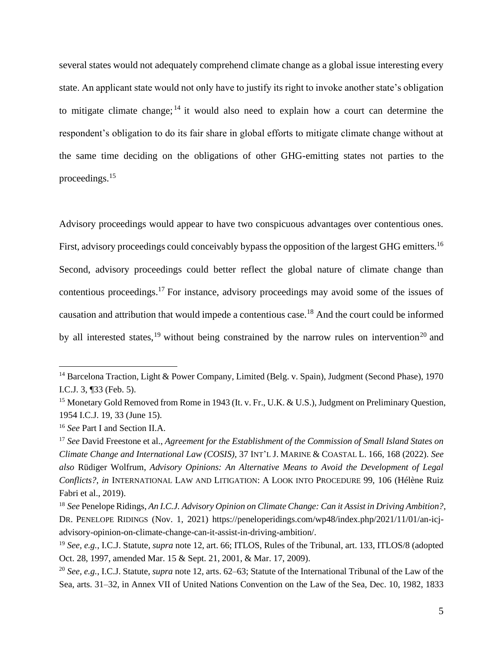several states would not adequately comprehend climate change as a global issue interesting every state. An applicant state would not only have to justify its right to invoke another state's obligation to mitigate climate change;  $14$  it would also need to explain how a court can determine the respondent's obligation to do its fair share in global efforts to mitigate climate change without at the same time deciding on the obligations of other GHG-emitting states not parties to the proceedings.<sup>15</sup>

<span id="page-4-1"></span>Advisory proceedings would appear to have two conspicuous advantages over contentious ones. First, advisory proceedings could conceivably bypass the opposition of the largest GHG emitters.<sup>16</sup> Second, advisory proceedings could better reflect the global nature of climate change than contentious proceedings.<sup>17</sup> For instance, advisory proceedings may avoid some of the issues of causation and attribution that would impede a contentious case.<sup>18</sup> And the court could be informed by all interested states,<sup>19</sup> without being constrained by the narrow rules on intervention<sup>20</sup> and

<span id="page-4-2"></span><span id="page-4-0"></span><sup>&</sup>lt;sup>14</sup> Barcelona Traction, Light & Power Company, Limited (Belg. v. Spain), Judgment (Second Phase), 1970 I.C.J. 3, ¶33 (Feb. 5).

<sup>&</sup>lt;sup>15</sup> Monetary Gold Removed from Rome in 1943 (It. v. Fr., U.K. & U.S.), Judgment on Preliminary Question, 1954 I.C.J. 19, 33 (June 15).

<sup>16</sup> *See* Part I and Section II.A.

<sup>17</sup> *See* David Freestone et al., *Agreement for the Establishment of the Commission of Small Island States on Climate Change and International Law (COSIS)*, 37 INT'L J. MARINE & COASTAL L. 166, 168 (2022). *See also* Rüdiger Wolfrum, *Advisory Opinions: An Alternative Means to Avoid the Development of Legal Conflicts?*, *in* INTERNATIONAL LAW AND LITIGATION: A LOOK INTO PROCEDURE 99, 106 (Hélène Ruiz Fabri et al., 2019).

<sup>18</sup> *See* Penelope Ridings, *An I.C.J. Advisory Opinion on Climate Change: Can it Assist in Driving Ambition?*, DR. PENELOPE RIDINGS (Nov. 1, 2021) https://peneloperidings.com/wp48/index.php/2021/11/01/an-icjadvisory-opinion-on-climate-change-can-it-assist-in-driving-ambition/.

<sup>19</sup> *See, e.g.*, I.C.J. Statute, *supra* note [12,](#page-3-0) art. 66; ITLOS, Rules of the Tribunal, art. 133, ITLOS/8 (adopted Oct. 28, 1997, amended Mar. 15 & Sept. 21, 2001, & Mar. 17, 2009).

<sup>20</sup> *See, e.g.*, I.C.J. Statute, *supra* not[e 12,](#page-3-0) arts. 62–63; Statute of the International Tribunal of the Law of the Sea, arts. 31–32, in Annex VII of United Nations Convention on the Law of the Sea, Dec. 10, 1982, 1833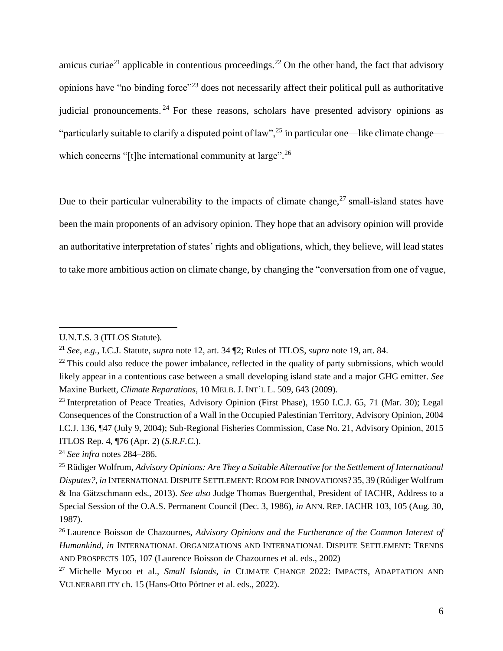<span id="page-5-2"></span>amicus curiae<sup>21</sup> applicable in contentious proceedings.<sup>22</sup> On the other hand, the fact that advisory opinions have "no binding force"<sup>23</sup> does not necessarily affect their political pull as authoritative judicial pronouncements.<sup>24</sup> For these reasons, scholars have presented advisory opinions as "particularly suitable to clarify a disputed point of law",<sup>25</sup> in particular one—like climate change which concerns "[t]he international community at large".<sup>26</sup>

<span id="page-5-1"></span><span id="page-5-0"></span>Due to their particular vulnerability to the impacts of climate change,  $27$  small-island states have been the main proponents of an advisory opinion. They hope that an advisory opinion will provide an authoritative interpretation of states' rights and obligations, which, they believe, will lead states to take more ambitious action on climate change, by changing the "conversation from one of vague,

<sup>24</sup> *See infra* notes [284–](#page-58-0)[286.](#page-59-0)

U.N.T.S. 3 (ITLOS Statute).

<sup>21</sup> *See, e.g.*, I.C.J. Statute, *supra* not[e 12,](#page-3-0) art. 34 ¶2; Rules of ITLOS, *supra* note [19,](#page-4-0) art. 84.

 $22$  This could also reduce the power imbalance, reflected in the quality of party submissions, which would likely appear in a contentious case between a small developing island state and a major GHG emitter. *See*  Maxine Burkett, *Climate Reparations*, 10 MELB. J. INT'L L. 509, 643 (2009).

<sup>&</sup>lt;sup>23</sup> Interpretation of Peace Treaties, Advisory Opinion (First Phase), 1950 I.C.J. 65, 71 (Mar. 30); Legal Consequences of the Construction of a Wall in the Occupied Palestinian Territory, Advisory Opinion, 2004 I.C.J. 136, ¶47 (July 9, 2004); Sub-Regional Fisheries Commission, Case No. 21, Advisory Opinion, 2015 ITLOS Rep. 4, ¶76 (Apr. 2) (*S.R.F.C.*).

<sup>25</sup> Rüdiger Wolfrum, *Advisory Opinions: Are They a Suitable Alternative for the Settlement of International Disputes?*, *in* INTERNATIONAL DISPUTE SETTLEMENT:ROOM FOR INNOVATIONS? 35, 39 (Rüdiger Wolfrum & Ina Gätzschmann eds., 2013). *See also* Judge Thomas Buergenthal, President of IACHR, Address to a Special Session of the O.A.S. Permanent Council (Dec. 3, 1986), *in* ANN. REP. IACHR 103, 105 (Aug. 30, 1987).

<sup>26</sup> Laurence Boisson de Chazournes, *Advisory Opinions and the Furtherance of the Common Interest of Humankind*, *in* INTERNATIONAL ORGANIZATIONS AND INTERNATIONAL DISPUTE SETTLEMENT: TRENDS AND PROSPECTS 105, 107 (Laurence Boisson de Chazournes et al. eds., 2002)

<sup>27</sup> Michelle Mycoo et al., *Small Islands*, *in* CLIMATE CHANGE 2022: IMPACTS, ADAPTATION AND VULNERABILITY ch. 15 (Hans-Otto Pörtner et al. eds., 2022).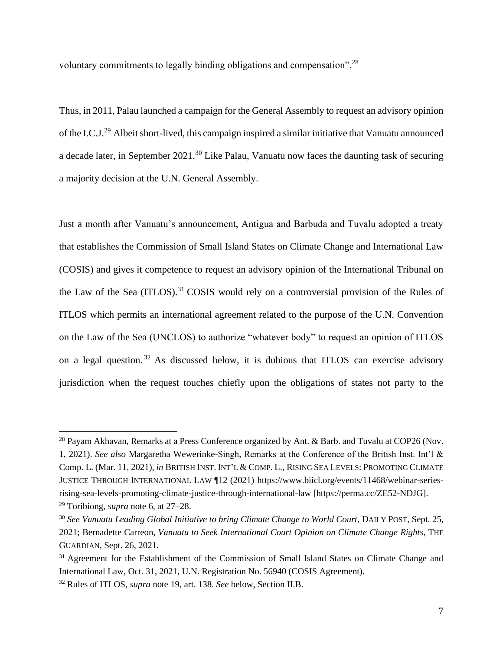<span id="page-6-0"></span>voluntary commitments to legally binding obligations and compensation".<sup>28</sup>

Thus, in 2011, Palau launched a campaign for the General Assembly to request an advisory opinion of the I.C.J.<sup>29</sup> Albeit short-lived, this campaign inspired a similar initiative that Vanuatu announced a decade later, in September 2021.<sup>30</sup> Like Palau, Vanuatu now faces the daunting task of securing a majority decision at the U.N. General Assembly.

<span id="page-6-1"></span>Just a month after Vanuatu's announcement, Antigua and Barbuda and Tuvalu adopted a treaty that establishes the Commission of Small Island States on Climate Change and International Law (COSIS) and gives it competence to request an advisory opinion of the International Tribunal on the Law of the Sea (ITLOS).<sup>31</sup> COSIS would rely on a controversial provision of the Rules of ITLOS which permits an international agreement related to the purpose of the U.N. Convention on the Law of the Sea (UNCLOS) to authorize "whatever body" to request an opinion of ITLOS on a legal question.<sup>32</sup> As discussed below, it is dubious that ITLOS can exercise advisory jurisdiction when the request touches chiefly upon the obligations of states not party to the

<sup>&</sup>lt;sup>28</sup> Payam Akhavan, Remarks at a Press Conference organized by Ant. & Barb. and Tuvalu at COP26 (Nov. 1, 2021). *See also* Margaretha Wewerinke-Singh, Remarks at the Conference of the British Inst. Int'l & Comp. L. (Mar. 11, 2021), *in* BRITISH INST. INT'L & COMP. L., RISING SEA LEVELS: PROMOTING CLIMATE JUSTICE THROUGH INTERNATIONAL LAW ¶12 (2021) https://www.biicl.org/events/11468/webinar-seriesrising-sea-levels-promoting-climate-justice-through-international-law [https://perma.cc/ZE52-NDJG]. <sup>29</sup> Toribiong, *supra* not[e 6,](#page-2-1) at 27–28.

<sup>30</sup> *See Vanuatu Leading Global Initiative to bring Climate Change to World Court*, DAILY POST, Sept. 25, 2021; Bernadette Carreon, *Vanuatu to Seek International Court Opinion on Climate Change Rights*, THE GUARDIAN, Sept. 26, 2021.

<sup>&</sup>lt;sup>31</sup> Agreement for the Establishment of the Commission of Small Island States on Climate Change and International Law, Oct. 31, 2021, U.N. Registration No. 56940 (COSIS Agreement).

<sup>32</sup> Rules of ITLOS, *supra* note [19,](#page-4-0) art. 138. *See* below, Section II.B.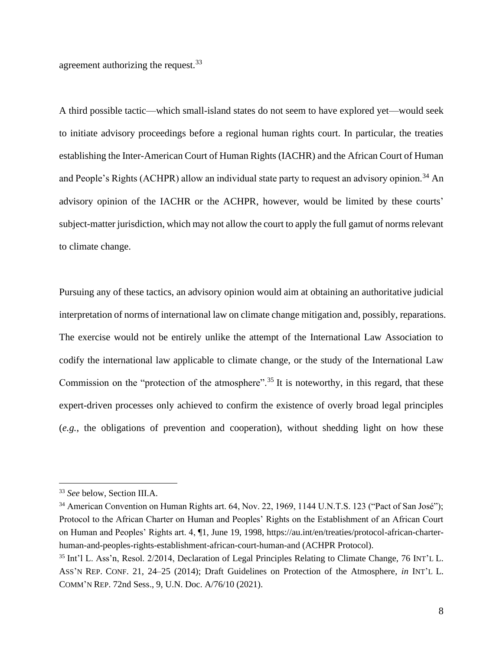agreement authorizing the request.<sup>33</sup>

A third possible tactic—which small-island states do not seem to have explored yet—would seek to initiate advisory proceedings before a regional human rights court. In particular, the treaties establishing the Inter-American Court of Human Rights (IACHR) and the African Court of Human and People's Rights (ACHPR) allow an individual state party to request an advisory opinion.<sup>34</sup> An advisory opinion of the IACHR or the ACHPR, however, would be limited by these courts' subject-matter jurisdiction, which may not allow the court to apply the full gamut of norms relevant to climate change.

<span id="page-7-0"></span>Pursuing any of these tactics, an advisory opinion would aim at obtaining an authoritative judicial interpretation of norms of international law on climate change mitigation and, possibly, reparations. The exercise would not be entirely unlike the attempt of the International Law Association to codify the international law applicable to climate change, or the study of the International Law Commission on the "protection of the atmosphere".<sup>35</sup> It is noteworthy, in this regard, that these expert-driven processes only achieved to confirm the existence of overly broad legal principles (*e.g.*, the obligations of prevention and cooperation), without shedding light on how these

<sup>33</sup> *See* below, Section III.A.

<sup>&</sup>lt;sup>34</sup> American Convention on Human Rights art. 64, Nov. 22, 1969, 1144 U.N.T.S. 123 ("Pact of San José"); Protocol to the African Charter on Human and Peoples' Rights on the Establishment of an African Court on Human and Peoples' Rights art. 4, ¶1, June 19, 1998, https://au.int/en/treaties/protocol-african-charterhuman-and-peoples-rights-establishment-african-court-human-and (ACHPR Protocol).

<sup>35</sup> Int'l L. Ass'n, Resol. 2/2014, Declaration of Legal Principles Relating to Climate Change, 76 INT'L L. ASS'N REP. CONF. 21, 24–25 (2014); Draft Guidelines on Protection of the Atmosphere, *in* INT'L L. COMM'N REP. 72nd Sess., 9, U.N. Doc. A/76/10 (2021).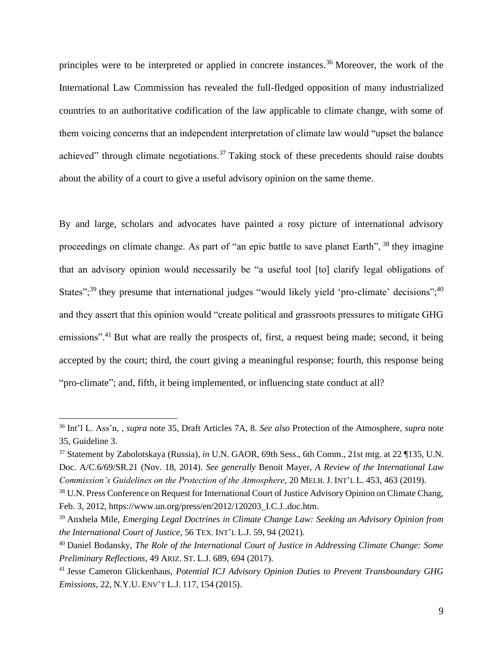principles were to be interpreted or applied in concrete instances.<sup>36</sup> Moreover, the work of the International Law Commission has revealed the full-fledged opposition of many industrialized countries to an authoritative codification of the law applicable to climate change, with some of them voicing concerns that an independent interpretation of climate law would "upset the balance achieved" through climate negotiations.<sup>37</sup> Taking stock of these precedents should raise doubts about the ability of a court to give a useful advisory opinion on the same theme.

<span id="page-8-2"></span><span id="page-8-1"></span><span id="page-8-0"></span>By and large, scholars and advocates have painted a rosy picture of international advisory proceedings on climate change. As part of "an epic battle to save planet Earth", <sup>38</sup> they imagine that an advisory opinion would necessarily be "a useful tool [to] clarify legal obligations of States";<sup>39</sup> they presume that international judges "would likely yield 'pro-climate' decisions";<sup>40</sup> and they assert that this opinion would "create political and grassroots pressures to mitigate GHG emissions".<sup>41</sup> But what are really the prospects of, first, a request being made; second, it being accepted by the court; third, the court giving a meaningful response; fourth, this response being "pro-climate"; and, fifth, it being implemented, or influencing state conduct at all?

<sup>36</sup> Int'l L. Ass'n, , *supra* note [35,](#page-7-0) Draft Articles 7A, 8. *See also* Protection of the Atmosphere, *supra* note [35,](#page-7-0) Guideline 3.

<sup>37</sup> Statement by Zabolotskaya (Russia), *in* U.N. GAOR, 69th Sess., 6th Comm., 21st mtg. at 22 ¶135, U.N. Doc. A/C.6/69/SR.21 (Nov. 18, 2014). *See generally* Benoit Mayer, *A Review of the International Law Commission's Guidelines on the Protection of the Atmosphere*, 20 MELB. J. INT'L L. 453, 463 (2019).

<sup>38</sup> U.N. Press Conference on Request for International Court of Justice Advisory Opinion on Climate Chang, Feb. 3, 2012, https://www.un.org/press/en/2012/120203\_I.C.J..doc.htm.

<sup>39</sup> Anxhela Mile, *Emerging Legal Doctrines in Climate Change Law: Seeking an Advisory Opinion from the International Court of Justice*, 56 TEX. INT'L L.J. 59, 94 (2021).

<sup>40</sup> Daniel Bodansky, *The Role of the International Court of Justice in Addressing Climate Change: Some Preliminary Reflections*, 49 ARIZ. ST. L.J. 689, 694 (2017).

<sup>41</sup> Jesse Cameron Glickenhaus, *Potential ICJ Advisory Opinion Duties to Prevent Transboundary GHG Emissions*, 22, N.Y.U. ENV'T L.J. 117, 154 (2015).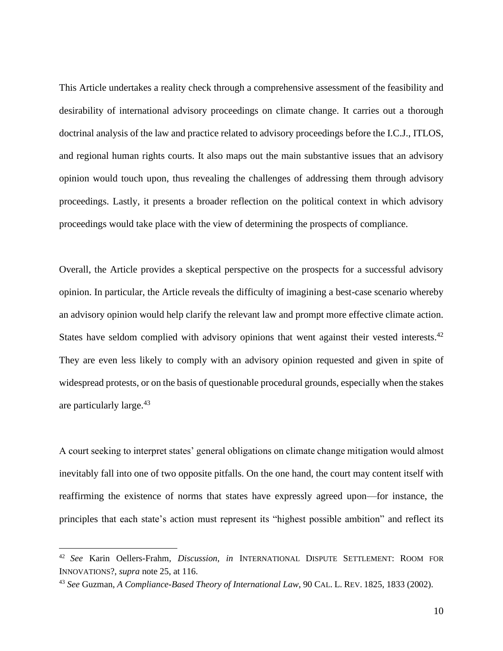This Article undertakes a reality check through a comprehensive assessment of the feasibility and desirability of international advisory proceedings on climate change. It carries out a thorough doctrinal analysis of the law and practice related to advisory proceedings before the I.C.J., ITLOS, and regional human rights courts. It also maps out the main substantive issues that an advisory opinion would touch upon, thus revealing the challenges of addressing them through advisory proceedings. Lastly, it presents a broader reflection on the political context in which advisory proceedings would take place with the view of determining the prospects of compliance.

Overall, the Article provides a skeptical perspective on the prospects for a successful advisory opinion. In particular, the Article reveals the difficulty of imagining a best-case scenario whereby an advisory opinion would help clarify the relevant law and prompt more effective climate action. States have seldom complied with advisory opinions that went against their vested interests.<sup>42</sup> They are even less likely to comply with an advisory opinion requested and given in spite of widespread protests, or on the basis of questionable procedural grounds, especially when the stakes are particularly large.<sup>43</sup>

A court seeking to interpret states' general obligations on climate change mitigation would almost inevitably fall into one of two opposite pitfalls. On the one hand, the court may content itself with reaffirming the existence of norms that states have expressly agreed upon—for instance, the principles that each state's action must represent its "highest possible ambition" and reflect its

<sup>42</sup> *See* Karin Oellers-Frahm, *Discussion*, *in* INTERNATIONAL DISPUTE SETTLEMENT: ROOM FOR INNOVATIONS?, *supra* note [25,](#page-5-0) at 116.

<sup>43</sup> *See* Guzman, *A Compliance-Based Theory of International Law*, 90 CAL. L. REV. 1825, 1833 (2002).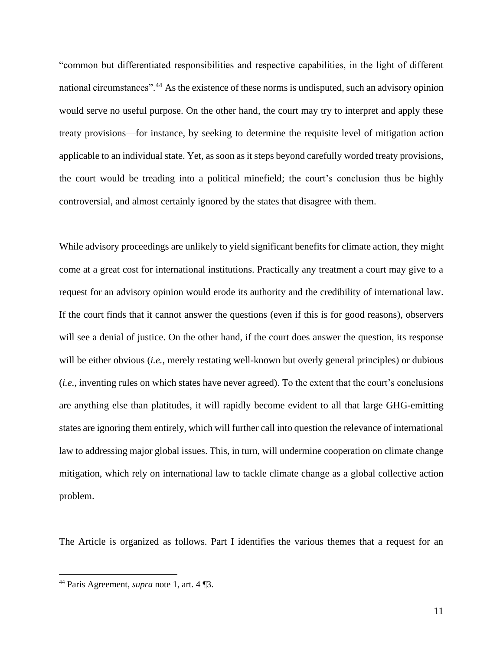"common but differentiated responsibilities and respective capabilities, in the light of different national circumstances".<sup>44</sup> As the existence of these norms is undisputed, such an advisory opinion would serve no useful purpose. On the other hand, the court may try to interpret and apply these treaty provisions—for instance, by seeking to determine the requisite level of mitigation action applicable to an individual state. Yet, as soon as it steps beyond carefully worded treaty provisions, the court would be treading into a political minefield; the court's conclusion thus be highly controversial, and almost certainly ignored by the states that disagree with them.

While advisory proceedings are unlikely to yield significant benefits for climate action, they might come at a great cost for international institutions. Practically any treatment a court may give to a request for an advisory opinion would erode its authority and the credibility of international law. If the court finds that it cannot answer the questions (even if this is for good reasons), observers will see a denial of justice. On the other hand, if the court does answer the question, its response will be either obvious (*i.e.*, merely restating well-known but overly general principles) or dubious (*i.e.*, inventing rules on which states have never agreed). To the extent that the court's conclusions are anything else than platitudes, it will rapidly become evident to all that large GHG-emitting states are ignoring them entirely, which will further call into question the relevance of international law to addressing major global issues. This, in turn, will undermine cooperation on climate change mitigation, which rely on international law to tackle climate change as a global collective action problem.

The Article is organized as follows. Part I identifies the various themes that a request for an

<sup>44</sup> Paris Agreement, *supra* note [1,](#page-2-0) art. 4 ¶3.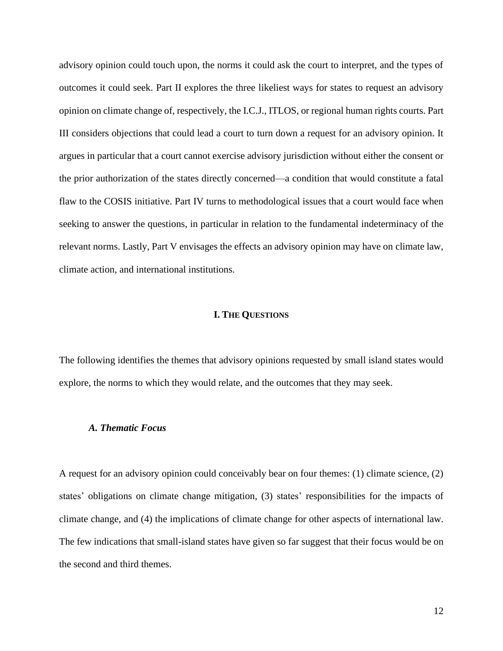advisory opinion could touch upon, the norms it could ask the court to interpret, and the types of outcomes it could seek. Part II explores the three likeliest ways for states to request an advisory opinion on climate change of, respectively, the I.C.J., ITLOS, or regional human rights courts. Part III considers objections that could lead a court to turn down a request for an advisory opinion. It argues in particular that a court cannot exercise advisory jurisdiction without either the consent or the prior authorization of the states directly concerned—a condition that would constitute a fatal flaw to the COSIS initiative. Part IV turns to methodological issues that a court would face when seeking to answer the questions, in particular in relation to the fundamental indeterminacy of the relevant norms. Lastly, Part V envisages the effects an advisory opinion may have on climate law, climate action, and international institutions.

### **I. THE QUESTIONS**

The following identifies the themes that advisory opinions requested by small island states would explore, the norms to which they would relate, and the outcomes that they may seek.

### *A. Thematic Focus*

A request for an advisory opinion could conceivably bear on four themes: (1) climate science, (2) states' obligations on climate change mitigation, (3) states' responsibilities for the impacts of climate change, and (4) the implications of climate change for other aspects of international law. The few indications that small-island states have given so far suggest that their focus would be on the second and third themes.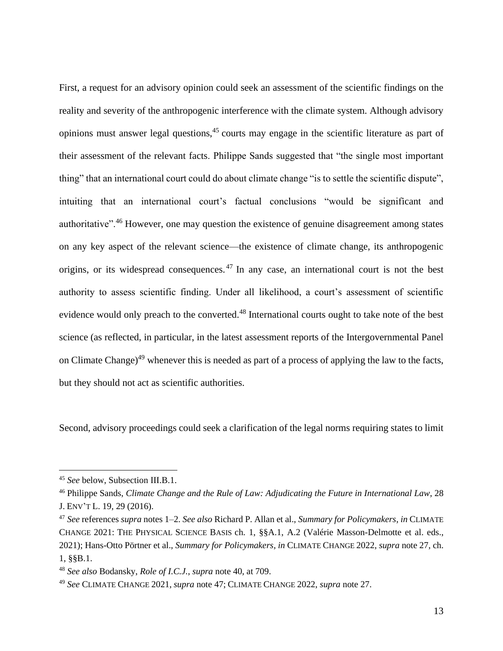<span id="page-12-1"></span>First, a request for an advisory opinion could seek an assessment of the scientific findings on the reality and severity of the anthropogenic interference with the climate system. Although advisory opinions must answer legal questions,<sup>45</sup> courts may engage in the scientific literature as part of their assessment of the relevant facts. Philippe Sands suggested that "the single most important thing" that an international court could do about climate change "is to settle the scientific dispute", intuiting that an international court's factual conclusions "would be significant and authoritative".<sup>46</sup> However, one may question the existence of genuine disagreement among states on any key aspect of the relevant science—the existence of climate change, its anthropogenic origins, or its widespread consequences. <sup>47</sup> In any case, an international court is not the best authority to assess scientific finding. Under all likelihood, a court's assessment of scientific evidence would only preach to the converted.<sup>48</sup> International courts ought to take note of the best science (as reflected, in particular, in the latest assessment reports of the Intergovernmental Panel on Climate Change)<sup>49</sup> whenever this is needed as part of a process of applying the law to the facts, but they should not act as scientific authorities.

<span id="page-12-0"></span>Second, advisory proceedings could seek a clarification of the legal norms requiring states to limit

<sup>45</sup> *See* below, Subsection III.B.1.

<sup>46</sup> Philippe Sands, *Climate Change and the Rule of Law: Adjudicating the Future in International Law*, 28 J. ENV'T L. 19, 29 (2016).

<sup>47</sup> *See* references *supra* note[s 1](#page-2-0)[–2.](#page-2-2) *See also* Richard P. Allan et al., *Summary for Policymakers*, *in* CLIMATE CHANGE 2021: THE PHYSICAL SCIENCE BASIS ch. 1, §§A.1, A.2 (Valérie Masson-Delmotte et al. eds., 2021); Hans-Otto Pörtner et al., *Summary for Policymakers*, *in* CLIMATE CHANGE 2022, *supra* not[e 27,](#page-5-1) ch. 1, §§B.1.

<sup>48</sup> *See also* Bodansky, *Role of I.C.J.*, *supra* not[e 40,](#page-8-0) at 709.

<sup>49</sup> *See* CLIMATE CHANGE 2021, *supra* note [47;](#page-12-0) CLIMATE CHANGE 2022, *supra* note [27.](#page-5-1)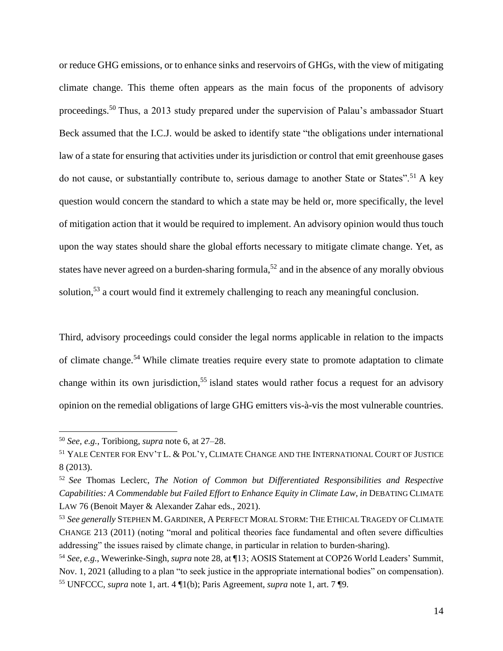or reduce GHG emissions, or to enhance sinks and reservoirs of GHGs, with the view of mitigating climate change. This theme often appears as the main focus of the proponents of advisory proceedings.<sup>50</sup> Thus, a 2013 study prepared under the supervision of Palau's ambassador Stuart Beck assumed that the I.C.J. would be asked to identify state "the obligations under international law of a state for ensuring that activities under its jurisdiction or control that emit greenhouse gases do not cause, or substantially contribute to, serious damage to another State or States".<sup>51</sup> A key question would concern the standard to which a state may be held or, more specifically, the level of mitigation action that it would be required to implement. An advisory opinion would thus touch upon the way states should share the global efforts necessary to mitigate climate change. Yet, as states have never agreed on a burden-sharing formula,<sup>52</sup> and in the absence of any morally obvious solution,<sup>53</sup> a court would find it extremely challenging to reach any meaningful conclusion.

<span id="page-13-0"></span>Third, advisory proceedings could consider the legal norms applicable in relation to the impacts of climate change.<sup>54</sup> While climate treaties require every state to promote adaptation to climate change within its own jurisdiction,<sup>55</sup> island states would rather focus a request for an advisory opinion on the remedial obligations of large GHG emitters vis-à-vis the most vulnerable countries.

<sup>50</sup> *See, e.g.*, Toribiong, *supra* note [6,](#page-2-1) at 27–28.

<sup>51</sup> YALE CENTER FOR ENV'T L. & POL'Y, CLIMATE CHANGE AND THE INTERNATIONAL COURT OF JUSTICE 8 (2013).

<sup>52</sup> *See* Thomas Leclerc, *The Notion of Common but Differentiated Responsibilities and Respective Capabilities: A Commendable but Failed Effort to Enhance Equity in Climate Law*, *in* DEBATING CLIMATE LAW 76 (Benoit Mayer & Alexander Zahar eds., 2021).

<sup>53</sup> *See generally* STEPHEN M. GARDINER, A PERFECT MORAL STORM: THE ETHICAL TRAGEDY OF CLIMATE CHANGE 213 (2011) (noting "moral and political theories face fundamental and often severe difficulties addressing" the issues raised by climate change, in particular in relation to burden-sharing).

<sup>54</sup> *See, e.g.*, Wewerinke-Singh, *supra* not[e 28,](#page-6-0) at ¶13; AOSIS Statement at COP26 World Leaders' Summit, Nov. 1, 2021 (alluding to a plan "to seek justice in the appropriate international bodies" on compensation). <sup>55</sup> UNFCCC, *supra* note [1,](#page-2-0) art. 4 ¶1(b); Paris Agreement, *supra* note [1,](#page-2-0) art. 7 ¶9.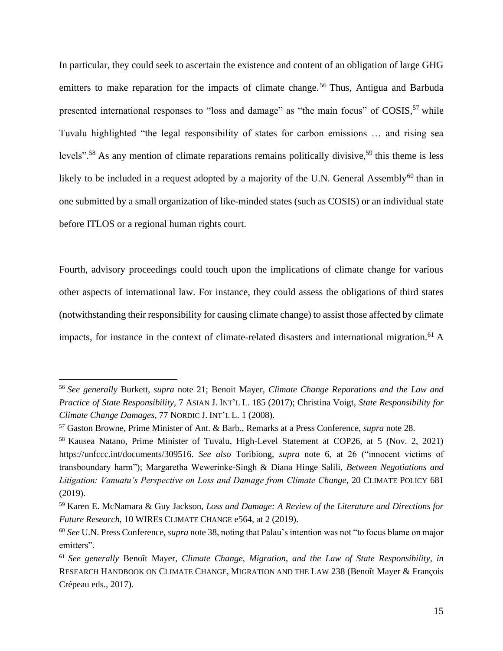<span id="page-14-0"></span>In particular, they could seek to ascertain the existence and content of an obligation of large GHG emitters to make reparation for the impacts of climate change.<sup>56</sup> Thus, Antigua and Barbuda presented international responses to "loss and damage" as "the main focus" of COSIS,<sup>57</sup> while Tuvalu highlighted "the legal responsibility of states for carbon emissions … and rising sea levels".<sup>58</sup> As any mention of climate reparations remains politically divisive,<sup>59</sup> this theme is less likely to be included in a request adopted by a majority of the U.N. General Assembly<sup>60</sup> than in one submitted by a small organization of like-minded states (such as COSIS) or an individual state before ITLOS or a regional human rights court.

Fourth, advisory proceedings could touch upon the implications of climate change for various other aspects of international law. For instance, they could assess the obligations of third states (notwithstanding their responsibility for causing climate change) to assist those affected by climate impacts, for instance in the context of climate-related disasters and international migration.<sup>61</sup> A

<sup>56</sup> *See generally* Burkett, *supra* note 21; Benoit Mayer, *Climate Change Reparations and the Law and Practice of State Responsibility*, 7 ASIAN J. INT'L L. 185 (2017); Christina Voigt, *State Responsibility for Climate Change Damages*, 77 NORDIC J. INT'L L. 1 (2008).

<sup>57</sup> Gaston Browne, Prime Minister of Ant. & Barb., Remarks at a Press Conference, *supra* not[e 28.](#page-6-0)

<sup>58</sup> Kausea Natano, Prime Minister of Tuvalu, High-Level Statement at COP26, at 5 (Nov. 2, 2021) https://unfccc.int/documents/309516. *See also* Toribiong, *supra* note [6,](#page-2-1) at 26 ("innocent victims of transboundary harm"); Margaretha Wewerinke-Singh & Diana Hinge Salili, *Between Negotiations and Litigation: Vanuatu's Perspective on Loss and Damage from Climate Change*, 20 CLIMATE POLICY 681 (2019).

<sup>59</sup> Karen E. McNamara & Guy Jackson, *Loss and Damage: A Review of the Literature and Directions for Future Research*, 10 WIRES CLIMATE CHANGE e564, at 2 (2019).

<sup>60</sup> *See* U.N. Press Conference, *supra* note [38,](#page-8-1) noting that Palau's intention was not "to focus blame on major emitters".

<sup>61</sup> *See generally* Benoît Mayer, *Climate Change, Migration, and the Law of State Responsibility*, *in*  RESEARCH HANDBOOK ON CLIMATE CHANGE, MIGRATION AND THE LAW 238 (Benoît Mayer & François Crépeau eds., 2017).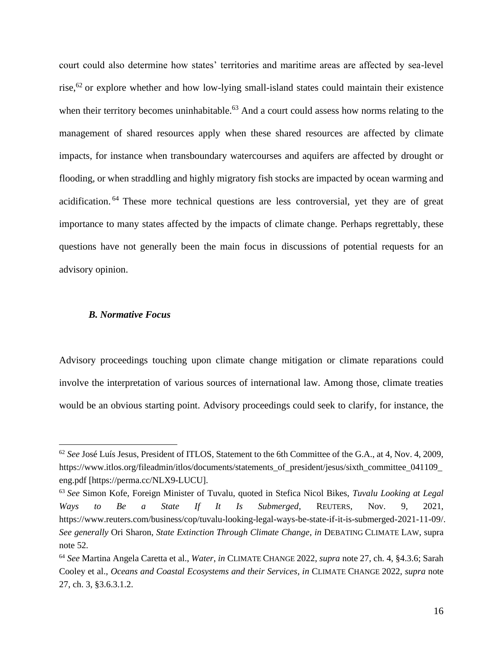<span id="page-15-0"></span>court could also determine how states' territories and maritime areas are affected by sea-level rise, $62$  or explore whether and how low-lying small-island states could maintain their existence when their territory becomes uninhabitable.<sup>63</sup> And a court could assess how norms relating to the management of shared resources apply when these shared resources are affected by climate impacts, for instance when transboundary watercourses and aquifers are affected by drought or flooding, or when straddling and highly migratory fish stocks are impacted by ocean warming and acidification. <sup>64</sup> These more technical questions are less controversial, yet they are of great importance to many states affected by the impacts of climate change. Perhaps regrettably, these questions have not generally been the main focus in discussions of potential requests for an advisory opinion.

## *B. Normative Focus*

Advisory proceedings touching upon climate change mitigation or climate reparations could involve the interpretation of various sources of international law. Among those, climate treaties would be an obvious starting point. Advisory proceedings could seek to clarify, for instance, the

<sup>62</sup> *See* José Luís Jesus, President of ITLOS, Statement to the 6th Committee of the G.A., at 4, Nov. 4, 2009, https://www.itlos.org/fileadmin/itlos/documents/statements\_of\_president/jesus/sixth\_committee\_041109 eng.pdf [https://perma.cc/NLX9-LUCU].

<sup>63</sup> *See* Simon Kofe, Foreign Minister of Tuvalu, quoted in Stefica Nicol Bikes, *Tuvalu Looking at Legal Ways to Be a State If It Is Submerged*, REUTERS, Nov. 9, 2021, https://www.reuters.com/business/cop/tuvalu-looking-legal-ways-be-state-if-it-is-submerged-2021-11-09/. *See generally* Ori Sharon, *State Extinction Through Climate Change*, *in* DEBATING CLIMATE LAW, supra not[e 52.](#page-13-0)

<sup>64</sup> *See* Martina Angela Caretta et al., *Water*, *in* CLIMATE CHANGE 2022, *supra* note [27,](#page-5-1) ch. 4, §4.3.6; Sarah Cooley et al., *Oceans and Coastal Ecosystems and their Services*, *in* CLIMATE CHANGE 2022, *supra* note [27,](#page-5-1) ch. 3, §3.6.3.1.2.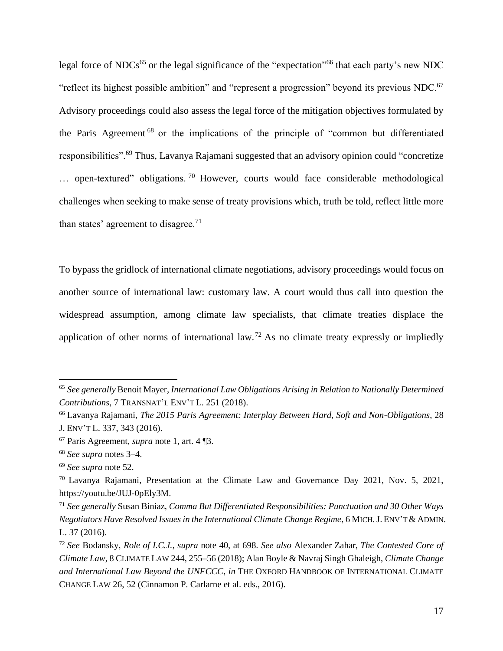<span id="page-16-0"></span>legal force of NDCs<sup>65</sup> or the legal significance of the "expectation"<sup>66</sup> that each party's new NDC "reflect its highest possible ambition" and "represent a progression" beyond its previous NDC.<sup>67</sup> Advisory proceedings could also assess the legal force of the mitigation objectives formulated by the Paris Agreement <sup>68</sup> or the implications of the principle of "common but differentiated responsibilities".<sup>69</sup> Thus, Lavanya Rajamani suggested that an advisory opinion could "concretize ... open-textured" obligations.<sup>70</sup> However, courts would face considerable methodological challenges when seeking to make sense of treaty provisions which, truth be told, reflect little more than states' agreement to disagree.<sup>71</sup>

To bypass the gridlock of international climate negotiations, advisory proceedings would focus on another source of international law: customary law. A court would thus call into question the widespread assumption, among climate law specialists, that climate treaties displace the application of other norms of international law.<sup>72</sup> As no climate treaty expressly or impliedly

<sup>66</sup> Lavanya Rajamani, *The 2015 Paris Agreement: Interplay Between Hard, Soft and Non-Obligations*, 28 J. ENV'T L. 337, 343 (2016).

<sup>65</sup> *See generally* Benoit Mayer, *International Law Obligations Arising in Relation to Nationally Determined Contributions*, 7 TRANSNAT'L ENV'T L. 251 (2018).

<sup>67</sup> Paris Agreement, *supra* note [1,](#page-2-0) art. 4 ¶3.

<sup>68</sup> *See supra* notes [3](#page-2-3)[–4.](#page-2-4)

<sup>69</sup> *See supra* note [52.](#page-13-0)

<sup>70</sup> Lavanya Rajamani, Presentation at the Climate Law and Governance Day 2021, Nov. 5, 2021, https://youtu.be/JUJ-0pEly3M.

<sup>71</sup> *See generally* Susan Biniaz, *Comma But Differentiated Responsibilities: Punctuation and 30 Other Ways Negotiators Have Resolved Issues in the International Climate Change Regime*, 6 MICH.J. ENV'T & ADMIN. L. 37 (2016).

<sup>72</sup> *See* Bodansky, *Role of I.C.J.*, *supra* note [40,](#page-8-0) at 698. *See also* Alexander Zahar, *The Contested Core of Climate Law*, 8 CLIMATE LAW 244, 255–56 (2018); Alan Boyle & Navraj Singh Ghaleigh, *Climate Change and International Law Beyond the UNFCCC*, *in* THE OXFORD HANDBOOK OF INTERNATIONAL CLIMATE CHANGE LAW 26, 52 (Cinnamon P. Carlarne et al. eds., 2016).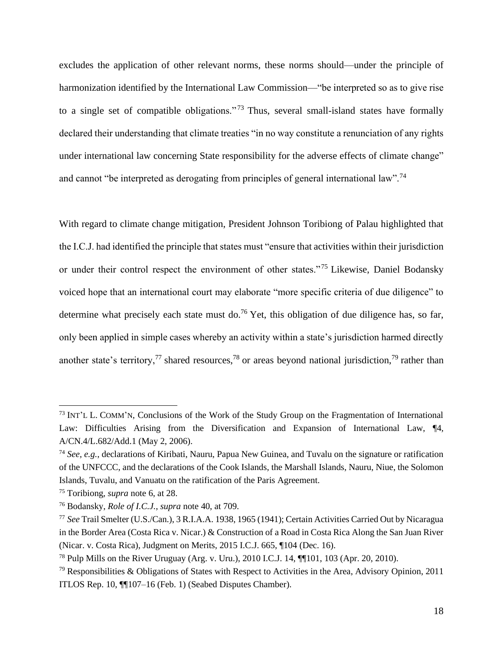excludes the application of other relevant norms, these norms should—under the principle of harmonization identified by the International Law Commission—"be interpreted so as to give rise to a single set of compatible obligations."<sup>73</sup> Thus, several small-island states have formally declared their understanding that climate treaties "in no way constitute a renunciation of any rights under international law concerning State responsibility for the adverse effects of climate change" and cannot "be interpreted as derogating from principles of general international law".<sup>74</sup>

With regard to climate change mitigation, President Johnson Toribiong of Palau highlighted that the I.C.J. had identified the principle that states must "ensure that activities within their jurisdiction or under their control respect the environment of other states."<sup>75</sup> Likewise, Daniel Bodansky voiced hope that an international court may elaborate "more specific criteria of due diligence" to determine what precisely each state must do.<sup>76</sup> Yet, this obligation of due diligence has, so far, only been applied in simple cases whereby an activity within a state's jurisdiction harmed directly another state's territory,<sup>77</sup> shared resources,<sup>78</sup> or areas beyond national jurisdiction,<sup>79</sup> rather than

<span id="page-17-1"></span><span id="page-17-0"></span><sup>73</sup> INT'L L. COMM'N, Conclusions of the Work of the Study Group on the Fragmentation of International Law: Difficulties Arising from the Diversification and Expansion of International Law, <sup>[4]</sup>, A/CN.4/L.682/Add.1 (May 2, 2006).

<sup>74</sup> *See, e.g.*, declarations of Kiribati, Nauru, Papua New Guinea, and Tuvalu on the signature or ratification of the UNFCCC, and the declarations of the Cook Islands, the Marshall Islands, Nauru, Niue, the Solomon Islands, Tuvalu, and Vanuatu on the ratification of the Paris Agreement.

<sup>75</sup> Toribiong, *supra* not[e 6,](#page-2-1) at 28.

<sup>76</sup> Bodansky, *Role of I.C.J.*, *supra* note [40,](#page-8-0) at 709.

<sup>77</sup> *See* Trail Smelter (U.S./Can.), 3 R.I.A.A. 1938, 1965 (1941); Certain Activities Carried Out by Nicaragua in the Border Area (Costa Rica v. Nicar.) & Construction of a Road in Costa Rica Along the San Juan River (Nicar. v. Costa Rica), Judgment on Merits, 2015 I.C.J. 665, ¶104 (Dec. 16).

<sup>78</sup> Pulp Mills on the River Uruguay (Arg. v. Uru.), 2010 I.C.J. 14, ¶¶101, 103 (Apr. 20, 2010).

 $79$  Responsibilities & Obligations of States with Respect to Activities in the Area, Advisory Opinion, 2011 ITLOS Rep. 10, ¶¶107–16 (Feb. 1) (Seabed Disputes Chamber).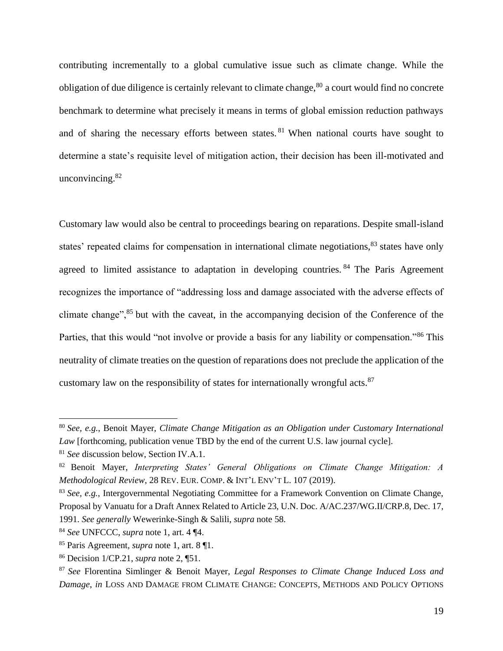contributing incrementally to a global cumulative issue such as climate change. While the obligation of due diligence is certainly relevant to climate change,  $80$  a court would find no concrete benchmark to determine what precisely it means in terms of global emission reduction pathways and of sharing the necessary efforts between states. <sup>81</sup> When national courts have sought to determine a state's requisite level of mitigation action, their decision has been ill-motivated and unconvincing.<sup>82</sup>

Customary law would also be central to proceedings bearing on reparations. Despite small-island states' repeated claims for compensation in international climate negotiations,<sup>83</sup> states have only agreed to limited assistance to adaptation in developing countries. <sup>84</sup> The Paris Agreement recognizes the importance of "addressing loss and damage associated with the adverse effects of climate change",<sup>85</sup> but with the caveat, in the accompanying decision of the Conference of the Parties, that this would "not involve or provide a basis for any liability or compensation."<sup>86</sup> This neutrality of climate treaties on the question of reparations does not preclude the application of the customary law on the responsibility of states for internationally wrongful acts.<sup>87</sup>

<sup>80</sup> *See, e.g.*, Benoit Mayer, *Climate Change Mitigation as an Obligation under Customary International Law* [forthcoming, publication venue TBD by the end of the current U.S. law journal cycle].

<sup>81</sup> *See* discussion below, Section IV.A.1.

<sup>82</sup> Benoit Mayer, *Interpreting States' General Obligations on Climate Change Mitigation: A Methodological Review*, 28 REV. EUR. COMP. & INT'L ENV'T L. 107 (2019).

<sup>83</sup> *See, e.g.*, Intergovernmental Negotiating Committee for a Framework Convention on Climate Change, Proposal by Vanuatu for a Draft Annex Related to Article 23, U.N. Doc. A/AC.237/WG.II/CRP.8, Dec. 17, 1991. *See generally* Wewerinke-Singh & Salili, *supra* note [58.](#page-14-0)

<sup>84</sup> *See* UNFCCC, *supra* note [1,](#page-2-0) art. 4 ¶4.

<sup>85</sup> Paris Agreement, *supra* note [1,](#page-2-0) art. 8 ¶1.

<sup>86</sup> Decision 1/CP.21, *supra* note [2,](#page-2-2) ¶51.

<sup>87</sup> *See* Florentina Simlinger & Benoit Mayer, *Legal Responses to Climate Change Induced Loss and Damage*, *in* LOSS AND DAMAGE FROM CLIMATE CHANGE: CONCEPTS, METHODS AND POLICY OPTIONS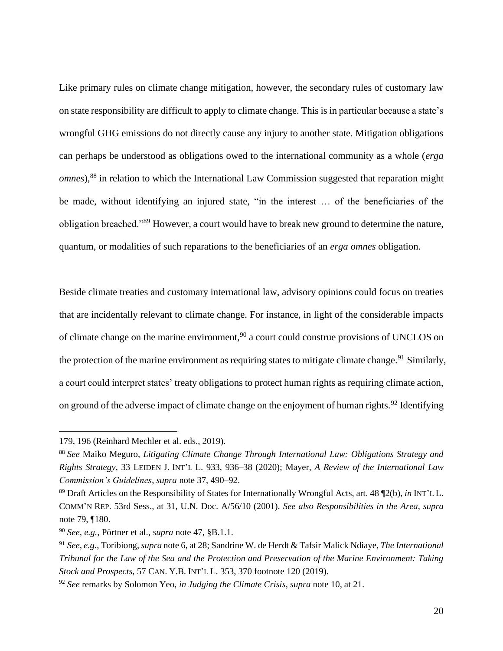Like primary rules on climate change mitigation, however, the secondary rules of customary law on state responsibility are difficult to apply to climate change. This is in particular because a state's wrongful GHG emissions do not directly cause any injury to another state. Mitigation obligations can perhaps be understood as obligations owed to the international community as a whole (*erga omnes*),<sup>88</sup> in relation to which the International Law Commission suggested that reparation might be made, without identifying an injured state, "in the interest … of the beneficiaries of the obligation breached."<sup>89</sup> However, a court would have to break new ground to determine the nature, quantum, or modalities of such reparations to the beneficiaries of an *erga omnes* obligation.

<span id="page-19-0"></span>Beside climate treaties and customary international law, advisory opinions could focus on treaties that are incidentally relevant to climate change. For instance, in light of the considerable impacts of climate change on the marine environment,<sup>90</sup> a court could construe provisions of UNCLOS on the protection of the marine environment as requiring states to mitigate climate change.<sup>91</sup> Similarly, a court could interpret states' treaty obligations to protect human rights as requiring climate action, on ground of the adverse impact of climate change on the enjoyment of human rights.<sup>92</sup> Identifying

<sup>179, 196 (</sup>Reinhard Mechler et al. eds., 2019).

<sup>88</sup> *See* Maiko Meguro, *Litigating Climate Change Through International Law: Obligations Strategy and Rights Strategy*, 33 LEIDEN J. INT'L L. 933, 936–38 (2020); Mayer, *A Review of the International Law Commission's Guidelines*, *supra* note [37,](#page-8-2) 490–92.

<sup>89</sup> Draft Articles on the Responsibility of States for Internationally Wrongful Acts, art. 48 ¶2(b), *in* INT'L L. COMM'N REP. 53rd Sess., at 31, U.N. Doc. A/56/10 (2001). *See also Responsibilities in the Area*, *supra*  not[e 79,](#page-17-0) ¶180.

<sup>90</sup> *See, e.g.*, Pörtner et al., *supra* note [47,](#page-12-0) §B.1.1.

<sup>91</sup> *See, e.g.*, Toribiong, *supra* not[e 6,](#page-2-1) at 28; Sandrine W. de Herdt & Tafsir Malick Ndiaye, *The International Tribunal for the Law of the Sea and the Protection and Preservation of the Marine Environment: Taking Stock and Prospects*, 57 CAN. Y.B. INT'L L. 353, 370 footnote 120 (2019).

<sup>92</sup> *See* remarks by Solomon Yeo, *in Judging the Climate Crisis*, *supra* not[e 10](#page-3-1)*,* at 21.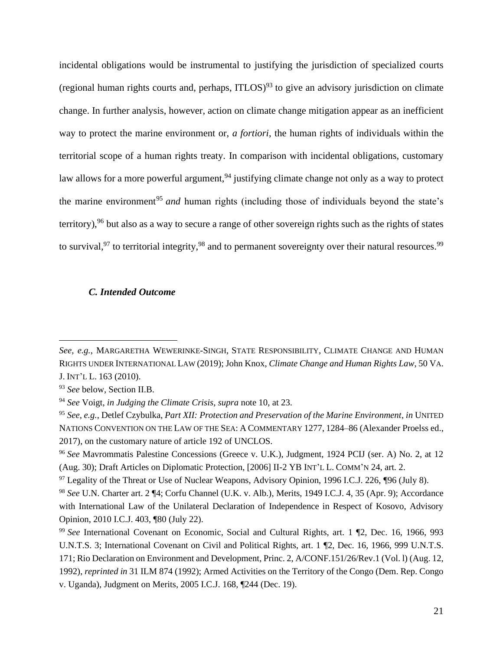incidental obligations would be instrumental to justifying the jurisdiction of specialized courts (regional human rights courts and, perhaps,  $ITLOS$ )<sup>93</sup> to give an advisory jurisdiction on climate change. In further analysis, however, action on climate change mitigation appear as an inefficient way to protect the marine environment or, *a fortiori*, the human rights of individuals within the territorial scope of a human rights treaty. In comparison with incidental obligations, customary law allows for a more powerful argument,<sup>94</sup> justifying climate change not only as a way to protect the marine environment<sup>95</sup> *and* human rights (including those of individuals beyond the state's territory),<sup>96</sup> but also as a way to secure a range of other sovereign rights such as the rights of states to survival,<sup>97</sup> to territorial integrity,<sup>98</sup> and to permanent sovereignty over their natural resources.<sup>99</sup>

## <span id="page-20-1"></span><span id="page-20-0"></span>*C. Intended Outcome*

*See, e.g.*, MARGARETHA WEWERINKE-SINGH, STATE RESPONSIBILITY, CLIMATE CHANGE AND HUMAN RIGHTS UNDER INTERNATIONAL LAW (2019); John Knox, *Climate Change and Human Rights Law*, 50 VA. J. INT'L L. 163 (2010).

<sup>93</sup> *See* below, Section II.B.

<sup>94</sup> *See* Voigt, *in Judging the Climate Crisis*, *supra* note [10,](#page-3-1) at 23.

<sup>95</sup> *See, e.g.*, Detlef Czybulka, *Part XII: Protection and Preservation of the Marine Environment*, *in* UNITED NATIONS CONVENTION ON THE LAW OF THE SEA: A COMMENTARY 1277, 1284–86 (Alexander Proelss ed., 2017), on the customary nature of article 192 of UNCLOS.

<sup>96</sup> *See* Mavrommatis Palestine Concessions (Greece v. U.K.), Judgment, 1924 PCIJ (ser. A) No. 2, at 12 (Aug. 30); Draft Articles on Diplomatic Protection, [2006] II-2 YB INT'L L. COMM'N 24, art. 2.

<sup>&</sup>lt;sup>97</sup> Legality of the Threat or Use of Nuclear Weapons, Advisory Opinion, 1996 I.C.J. 226, ¶96 (July 8).

<sup>98</sup> *See* U.N. Charter art. 2 ¶4; Corfu Channel (U.K. v. Alb.), Merits, 1949 I.C.J. 4, 35 (Apr. 9); Accordance with International Law of the Unilateral Declaration of Independence in Respect of Kosovo, Advisory Opinion, 2010 I.C.J. 403, ¶80 (July 22).

<sup>99</sup> *See* International Covenant on Economic, Social and Cultural Rights, art. 1 ¶2, Dec. 16, 1966, 993 U.N.T.S. 3; International Covenant on Civil and Political Rights, art. 1 ¶2, Dec. 16, 1966, 999 U.N.T.S. 171; Rio Declaration on Environment and Development, Princ. 2, A/CONF.151/26/Rev.1 (Vol. l) (Aug. 12, 1992), *reprinted in* 31 ILM 874 (1992); Armed Activities on the Territory of the Congo (Dem. Rep. Congo v. Uganda), Judgment on Merits, 2005 I.C.J. 168, ¶244 (Dec. 19).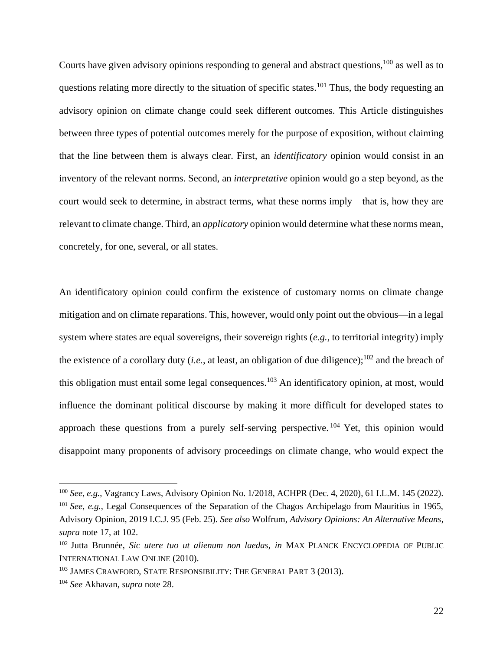Courts have given advisory opinions responding to general and abstract questions,<sup>100</sup> as well as to questions relating more directly to the situation of specific states.<sup>101</sup> Thus, the body requesting an advisory opinion on climate change could seek different outcomes. This Article distinguishes between three types of potential outcomes merely for the purpose of exposition, without claiming that the line between them is always clear. First, an *identificatory* opinion would consist in an inventory of the relevant norms. Second, an *interpretative* opinion would go a step beyond, as the court would seek to determine, in abstract terms, what these norms imply—that is, how they are relevant to climate change. Third, an *applicatory* opinion would determine what these norms mean, concretely, for one, several, or all states.

An identificatory opinion could confirm the existence of customary norms on climate change mitigation and on climate reparations. This, however, would only point out the obvious—in a legal system where states are equal sovereigns, their sovereign rights (*e.g.*, to territorial integrity) imply the existence of a corollary duty (*i.e.*, at least, an obligation of due diligence);<sup>102</sup> and the breach of this obligation must entail some legal consequences.<sup>103</sup> An identificatory opinion, at most, would influence the dominant political discourse by making it more difficult for developed states to approach these questions from a purely self-serving perspective.  $104$  Yet, this opinion would disappoint many proponents of advisory proceedings on climate change, who would expect the

<sup>100</sup> *See, e.g.*, Vagrancy Laws, Advisory Opinion No. 1/2018, ACHPR (Dec. 4, 2020), 61 I.L.M. 145 (2022). <sup>101</sup> *See, e.g.*, Legal Consequences of the Separation of the Chagos Archipelago from Mauritius in 1965, Advisory Opinion, 2019 I.C.J. 95 (Feb. 25). *See also* Wolfrum, *Advisory Opinions: An Alternative Means*, *supra* note [17,](#page-4-1) at 102.

<sup>102</sup> Jutta Brunnée, *Sic utere tuo ut alienum non laedas*, *in* MAX PLANCK ENCYCLOPEDIA OF PUBLIC INTERNATIONAL LAW ONLINE (2010).

<sup>&</sup>lt;sup>103</sup> JAMES CRAWFORD, STATE RESPONSIBILITY: THE GENERAL PART 3 (2013).

<sup>104</sup> *See* Akhavan, *supra* note [28.](#page-6-0)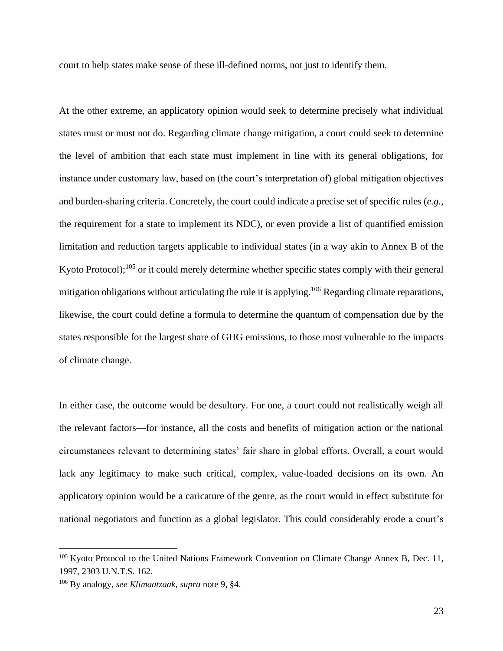court to help states make sense of these ill-defined norms, not just to identify them.

At the other extreme, an applicatory opinion would seek to determine precisely what individual states must or must not do. Regarding climate change mitigation, a court could seek to determine the level of ambition that each state must implement in line with its general obligations, for instance under customary law, based on (the court's interpretation of) global mitigation objectives and burden-sharing criteria. Concretely, the court could indicate a precise set of specific rules (*e.g.*, the requirement for a state to implement its NDC), or even provide a list of quantified emission limitation and reduction targets applicable to individual states (in a way akin to Annex B of the Kyoto Protocol);<sup>105</sup> or it could merely determine whether specific states comply with their general mitigation obligations without articulating the rule it is applying.<sup>106</sup> Regarding climate reparations, likewise, the court could define a formula to determine the quantum of compensation due by the states responsible for the largest share of GHG emissions, to those most vulnerable to the impacts of climate change.

<span id="page-22-0"></span>In either case, the outcome would be desultory. For one, a court could not realistically weigh all the relevant factors—for instance, all the costs and benefits of mitigation action or the national circumstances relevant to determining states' fair share in global efforts. Overall, a court would lack any legitimacy to make such critical, complex, value-loaded decisions on its own. An applicatory opinion would be a caricature of the genre, as the court would in effect substitute for national negotiators and function as a global legislator. This could considerably erode a court's

<sup>&</sup>lt;sup>105</sup> Kyoto Protocol to the United Nations Framework Convention on Climate Change Annex B, Dec. 11, 1997, 2303 U.N.T.S. 162.

<sup>106</sup> By analogy, *see Klimaatzaak*, *supra* note [9,](#page-3-2) §4.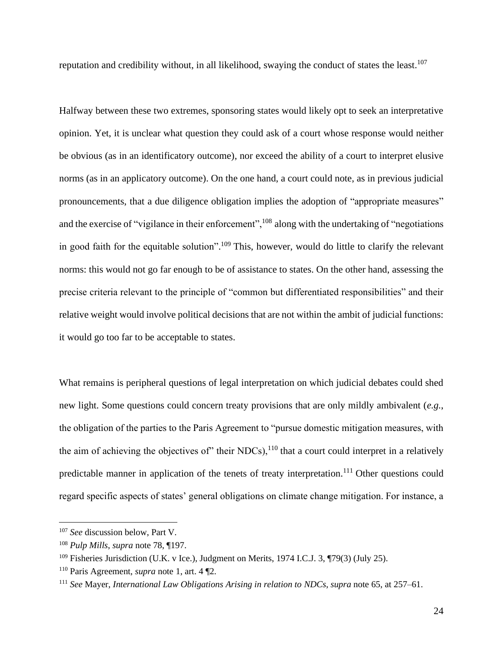reputation and credibility without, in all likelihood, swaying the conduct of states the least.<sup>107</sup>

Halfway between these two extremes, sponsoring states would likely opt to seek an interpretative opinion. Yet, it is unclear what question they could ask of a court whose response would neither be obvious (as in an identificatory outcome), nor exceed the ability of a court to interpret elusive norms (as in an applicatory outcome). On the one hand, a court could note, as in previous judicial pronouncements, that a due diligence obligation implies the adoption of "appropriate measures" and the exercise of "vigilance in their enforcement",<sup>108</sup> along with the undertaking of "negotiations" in good faith for the equitable solution".<sup>109</sup> This, however, would do little to clarify the relevant norms: this would not go far enough to be of assistance to states. On the other hand, assessing the precise criteria relevant to the principle of "common but differentiated responsibilities" and their relative weight would involve political decisions that are not within the ambit of judicial functions: it would go too far to be acceptable to states.

What remains is peripheral questions of legal interpretation on which judicial debates could shed new light. Some questions could concern treaty provisions that are only mildly ambivalent (*e.g.*, the obligation of the parties to the Paris Agreement to "pursue domestic mitigation measures, with the aim of achieving the objectives of" their NDCs), $^{110}$  that a court could interpret in a relatively predictable manner in application of the tenets of treaty interpretation.<sup>111</sup> Other questions could regard specific aspects of states' general obligations on climate change mitigation. For instance, a

<sup>107</sup> *See* discussion below, Part V.

<sup>108</sup> *Pulp Mills*, *supra* note [78,](#page-17-1) ¶197.

<sup>&</sup>lt;sup>109</sup> Fisheries Jurisdiction (U.K. v Ice.), Judgment on Merits, 1974 I.C.J. 3, ¶79(3) (July 25).

<sup>110</sup> Paris Agreement, *supra* note [1,](#page-2-0) art. 4 ¶2.

<sup>111</sup> *See* Mayer, *International Law Obligations Arising in relation to NDCs*, *supra* note [65,](#page-16-0) at 257–61.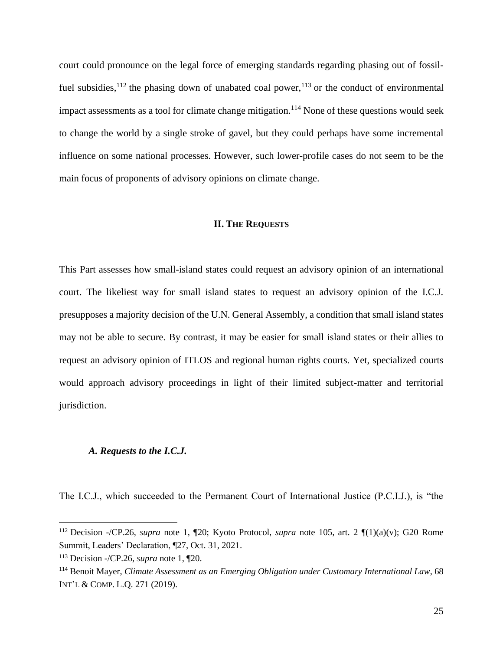court could pronounce on the legal force of emerging standards regarding phasing out of fossilfuel subsidies,  $^{112}$  the phasing down of unabated coal power,  $^{113}$  or the conduct of environmental impact assessments as a tool for climate change mitigation.<sup>114</sup> None of these questions would seek to change the world by a single stroke of gavel, but they could perhaps have some incremental influence on some national processes. However, such lower-profile cases do not seem to be the main focus of proponents of advisory opinions on climate change.

#### **II. THE REQUESTS**

This Part assesses how small-island states could request an advisory opinion of an international court. The likeliest way for small island states to request an advisory opinion of the I.C.J. presupposes a majority decision of the U.N. General Assembly, a condition that small island states may not be able to secure. By contrast, it may be easier for small island states or their allies to request an advisory opinion of ITLOS and regional human rights courts. Yet, specialized courts would approach advisory proceedings in light of their limited subject-matter and territorial jurisdiction.

#### *A. Requests to the I.C.J.*

The I.C.J., which succeeded to the Permanent Court of International Justice (P.C.I.J.), is "the

<sup>112</sup> Decision -/CP.26, *supra* note [1,](#page-2-0) ¶20; Kyoto Protocol, *supra* note [105,](#page-22-0) art. 2 ¶(1)(a)(v); G20 Rome Summit, Leaders' Declaration, ¶27, Oct. 31, 2021.

<sup>113</sup> Decision -/CP.26, *supra* note [1,](#page-2-0) ¶20.

<sup>114</sup> Benoit Mayer, *Climate Assessment as an Emerging Obligation under Customary International Law*, 68 INT'L & COMP. L.Q. 271 (2019).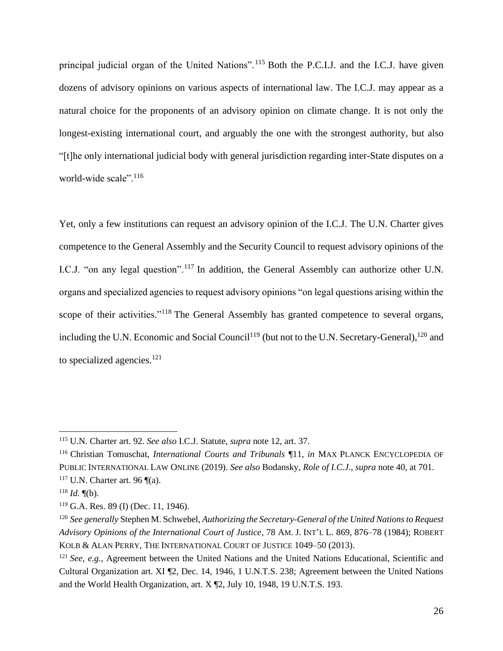principal judicial organ of the United Nations".<sup>115</sup> Both the P.C.I.J. and the I.C.J. have given dozens of advisory opinions on various aspects of international law. The I.C.J. may appear as a natural choice for the proponents of an advisory opinion on climate change. It is not only the longest-existing international court, and arguably the one with the strongest authority, but also "[t]he only international judicial body with general jurisdiction regarding inter-State disputes on a world-wide scale".<sup>116</sup>

Yet, only a few institutions can request an advisory opinion of the I.C.J. The U.N. Charter gives competence to the General Assembly and the Security Council to request advisory opinions of the I.C.J. "on any legal question".<sup>117</sup> In addition, the General Assembly can authorize other U.N. organs and specialized agencies to request advisory opinions "on legal questions arising within the scope of their activities."<sup>118</sup> The General Assembly has granted competence to several organs, including the U.N. Economic and Social Council<sup>119</sup> (but not to the U.N. Secretary-General),<sup>120</sup> and to specialized agencies. $121$ 

<sup>115</sup> U.N. Charter art. 92. *See also* I.C.J. Statute, *supra* not[e 12,](#page-3-0) art. 37.

<sup>116</sup> Christian Tomuschat, *International Courts and Tribunals* ¶11, *in* MAX PLANCK ENCYCLOPEDIA OF PUBLIC INTERNATIONAL LAW ONLINE (2019). *See also* Bodansky, *Role of I.C.J.*, *supra* note [40,](#page-8-0) at 701.  $117$  U.N. Charter art. 96  $\P$ (a).

 $118$  *Id.* (b).

 $119$  G.A. Res. 89 (I) (Dec. 11, 1946).

<sup>120</sup> *See generally* Stephen M. Schwebel, *Authorizing the Secretary-General of the United Nations to Request Advisory Opinions of the International Court of Justice*, 78 AM. J. INT'L L. 869, 876–78 (1984); ROBERT KOLB & ALAN PERRY, THE INTERNATIONAL COURT OF JUSTICE 1049–50 (2013).

<sup>121</sup> *See, e.g.*, Agreement between the United Nations and the United Nations Educational, Scientific and Cultural Organization art. XI ¶2, Dec. 14, 1946, 1 U.N.T.S. 238; Agreement between the United Nations and the World Health Organization, art. X ¶2, July 10, 1948, 19 U.N.T.S. 193.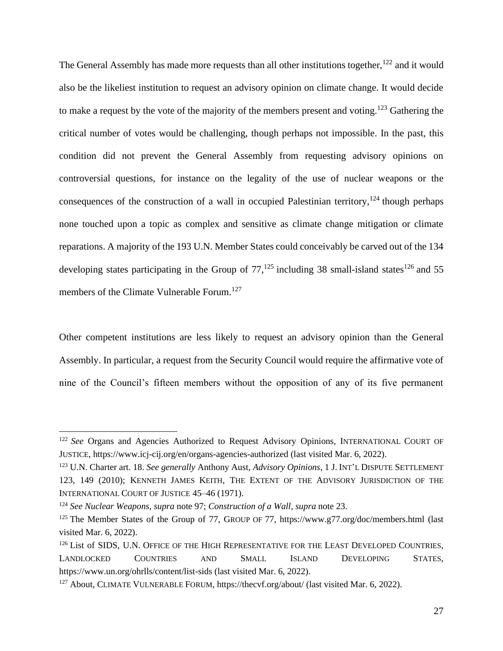The General Assembly has made more requests than all other institutions together,  $122$  and it would also be the likeliest institution to request an advisory opinion on climate change. It would decide to make a request by the vote of the majority of the members present and voting.<sup>123</sup> Gathering the critical number of votes would be challenging, though perhaps not impossible. In the past, this condition did not prevent the General Assembly from requesting advisory opinions on controversial questions, for instance on the legality of the use of nuclear weapons or the consequences of the construction of a wall in occupied Palestinian territory, $124$  though perhaps none touched upon a topic as complex and sensitive as climate change mitigation or climate reparations. A majority of the 193 U.N. Member States could conceivably be carved out of the 134 developing states participating in the Group of  $77$ ,<sup>125</sup> including 38 small-island states<sup>126</sup> and 55 members of the Climate Vulnerable Forum.<sup>127</sup>

Other competent institutions are less likely to request an advisory opinion than the General Assembly. In particular, a request from the Security Council would require the affirmative vote of nine of the Council's fifteen members without the opposition of any of its five permanent

<sup>&</sup>lt;sup>122</sup> See Organs and Agencies Authorized to Request Advisory Opinions, INTERNATIONAL COURT OF JUSTICE, https://www.icj-cij.org/en/organs-agencies-authorized (last visited Mar. 6, 2022).

<sup>123</sup> U.N. Charter art. 18. *See generally* Anthony Aust, *Advisory Opinions*, 1 J. INT'L DISPUTE SETTLEMENT 123, 149 (2010); KENNETH JAMES KEITH, THE EXTENT OF THE ADVISORY JURISDICTION OF THE INTERNATIONAL COURT OF JUSTICE 45–46 (1971).

<sup>124</sup> *See Nuclear Weapons*, *supra* note [97;](#page-20-0) *Construction of a Wall*, *supra* note [23.](#page-5-2)

<sup>&</sup>lt;sup>125</sup> The Member States of the Group of 77, GROUP OF 77, https://www.g77.org/doc/members.html (last visited Mar. 6, 2022).

<sup>&</sup>lt;sup>126</sup> List of SIDS, U.N. OFFICE OF THE HIGH REPRESENTATIVE FOR THE LEAST DEVELOPED COUNTRIES, LANDLOCKED COUNTRIES AND SMALL ISLAND DEVELOPING STATES, https://www.un.org/ohrlls/content/list-sids (last visited Mar. 6, 2022).

<sup>&</sup>lt;sup>127</sup> About, CLIMATE VULNERABLE FORUM, https://thecvf.org/about/ (last visited Mar. 6, 2022).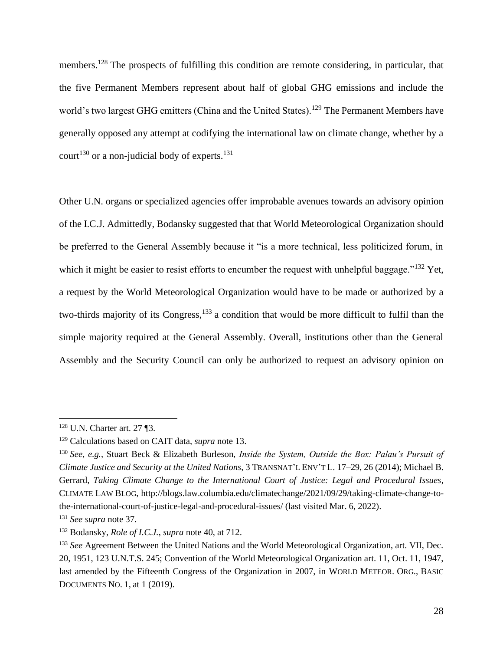members.<sup>128</sup> The prospects of fulfilling this condition are remote considering, in particular, that the five Permanent Members represent about half of global GHG emissions and include the world's two largest GHG emitters (China and the United States).<sup>129</sup> The Permanent Members have generally opposed any attempt at codifying the international law on climate change, whether by a court<sup>130</sup> or a non-judicial body of experts.<sup>131</sup>

Other U.N. organs or specialized agencies offer improbable avenues towards an advisory opinion of the I.C.J. Admittedly, Bodansky suggested that that World Meteorological Organization should be preferred to the General Assembly because it "is a more technical, less politicized forum, in which it might be easier to resist efforts to encumber the request with unhelpful baggage."<sup>132</sup> Yet, a request by the World Meteorological Organization would have to be made or authorized by a two-thirds majority of its Congress,<sup>133</sup> a condition that would be more difficult to fulfil than the simple majority required at the General Assembly. Overall, institutions other than the General Assembly and the Security Council can only be authorized to request an advisory opinion on

<sup>128</sup> U.N. Charter art. 27 ¶3.

<sup>129</sup> Calculations based on CAIT data, *supra* note [13.](#page-3-3)

<sup>130</sup> *See, e.g.*, Stuart Beck & Elizabeth Burleson, *Inside the System, Outside the Box: Palau's Pursuit of Climate Justice and Security at the United Nations*, 3 TRANSNAT'L ENV'T L. 17–29, 26 (2014); Michael B. Gerrard, *Taking Climate Change to the International Court of Justice: Legal and Procedural Issues*, CLIMATE LAW BLOG, http://blogs.law.columbia.edu/climatechange/2021/09/29/taking-climate-change-tothe-international-court-of-justice-legal-and-procedural-issues/ (last visited Mar. 6, 2022).

<sup>131</sup> *See supra* note [37.](#page-8-2)

<sup>132</sup> Bodansky, *Role of I.C.J.*, *supra* note [40,](#page-8-0) at 712.

<sup>&</sup>lt;sup>133</sup> See Agreement Between the United Nations and the World Meteorological Organization, art. VII, Dec. 20, 1951, 123 U.N.T.S. 245; Convention of the World Meteorological Organization art. 11, Oct. 11, 1947, last amended by the Fifteenth Congress of the Organization in 2007, in WORLD METEOR. ORG., BASIC DOCUMENTS NO. 1, at 1 (2019).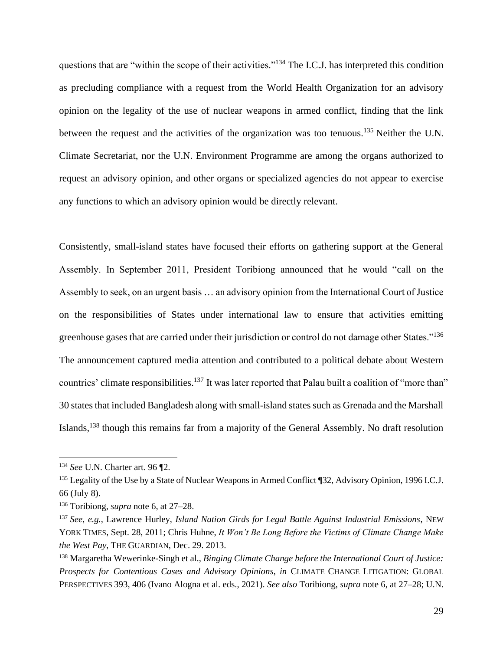questions that are "within the scope of their activities."<sup>134</sup> The I.C.J. has interpreted this condition as precluding compliance with a request from the World Health Organization for an advisory opinion on the legality of the use of nuclear weapons in armed conflict, finding that the link between the request and the activities of the organization was too tenuous.<sup>135</sup> Neither the U.N. Climate Secretariat, nor the U.N. Environment Programme are among the organs authorized to request an advisory opinion, and other organs or specialized agencies do not appear to exercise any functions to which an advisory opinion would be directly relevant.

Consistently, small-island states have focused their efforts on gathering support at the General Assembly. In September 2011, President Toribiong announced that he would "call on the Assembly to seek, on an urgent basis … an advisory opinion from the International Court of Justice on the responsibilities of States under international law to ensure that activities emitting greenhouse gases that are carried under their jurisdiction or control do not damage other States."<sup>136</sup> The announcement captured media attention and contributed to a political debate about Western countries' climate responsibilities.<sup>137</sup> It was later reported that Palau built a coalition of "more than" 30 states that included Bangladesh along with small-island states such as Grenada and the Marshall Islands,<sup>138</sup> though this remains far from a majority of the General Assembly. No draft resolution

<span id="page-28-0"></span><sup>134</sup> *See* U.N. Charter art. 96 ¶2.

<sup>&</sup>lt;sup>135</sup> Legality of the Use by a State of Nuclear Weapons in Armed Conflict ¶32, Advisory Opinion, 1996 I.C.J. 66 (July 8).

<sup>136</sup> Toribiong, *supra* note [6,](#page-2-1) at 27–28.

<sup>137</sup> *See, e.g.*, Lawrence Hurley, *Island Nation Girds for Legal Battle Against Industrial Emissions*, NEW YORK TIMES, Sept. 28, 2011; Chris Huhne, *It Won't Be Long Before the Victims of Climate Change Make the West Pay*, THE GUARDIAN, Dec. 29. 2013.

<sup>138</sup> Margaretha Wewerinke-Singh et al., *Binging Climate Change before the International Court of Justice: Prospects for Contentious Cases and Advisory Opinions*, *in* CLIMATE CHANGE LITIGATION: GLOBAL PERSPECTIVES 393, 406 (Ivano Alogna et al. eds., 2021). *See also* Toribiong, *supra* note [6,](#page-2-1) at 27–28; U.N.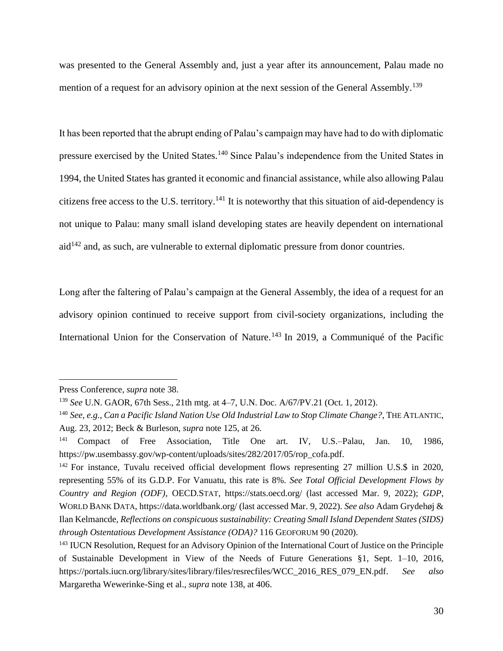was presented to the General Assembly and, just a year after its announcement, Palau made no mention of a request for an advisory opinion at the next session of the General Assembly.<sup>139</sup>

It has been reported that the abrupt ending of Palau's campaign may have had to do with diplomatic pressure exercised by the United States.<sup>140</sup> Since Palau's independence from the United States in 1994, the United States has granted it economic and financial assistance, while also allowing Palau citizens free access to the U.S. territory.<sup>141</sup> It is noteworthy that this situation of aid-dependency is not unique to Palau: many small island developing states are heavily dependent on international  $aid<sup>142</sup>$  and, as such, are vulnerable to external diplomatic pressure from donor countries.

Long after the faltering of Palau's campaign at the General Assembly, the idea of a request for an advisory opinion continued to receive support from civil-society organizations, including the International Union for the Conservation of Nature.<sup>143</sup> In 2019, a Communiqué of the Pacific

Press Conference, *supra* note [38.](#page-8-1)

<sup>139</sup> *See* U.N. GAOR, 67th Sess., 21th mtg. at 4–7, U.N. Doc. A/67/PV.21 (Oct. 1, 2012).

<sup>140</sup> *See, e.g.*, *Can a Pacific Island Nation Use Old Industrial Law to Stop Climate Change?*, THE ATLANTIC, Aug. 23, 2012; Beck & Burleson, *supra* note 125, at 26.

<sup>141</sup> Compact of Free Association, Title One art. IV, U.S.–Palau, Jan. 10, 1986, https://pw.usembassy.gov/wp-content/uploads/sites/282/2017/05/rop\_cofa.pdf.

<sup>&</sup>lt;sup>142</sup> For instance, Tuvalu received official development flows representing 27 million U.S.\$ in 2020, representing 55% of its G.D.P. For Vanuatu, this rate is 8%. *See Total Official Development Flows by Country and Region (ODF)*, OECD.STAT, https://stats.oecd.org/ (last accessed Mar. 9, 2022); *GDP*, WORLD BANK DATA, https://data.worldbank.org/ (last accessed Mar. 9, 2022). *See also* Adam Grydehøj & Ilan Kelmancde, *Reflections on conspicuous sustainability: Creating Small Island Dependent States (SIDS) through Ostentatious Development Assistance (ODA)?* 116 GEOFORUM 90 (2020).

<sup>143</sup> IUCN Resolution, Request for an Advisory Opinion of the International Court of Justice on the Principle of Sustainable Development in View of the Needs of Future Generations §1, Sept. 1–10, 2016, https://portals.iucn.org/library/sites/library/files/resrecfiles/WCC\_2016\_RES\_079\_EN.pdf. *See also* Margaretha Wewerinke-Sing et al., *supra* note [138,](#page-28-0) at 406.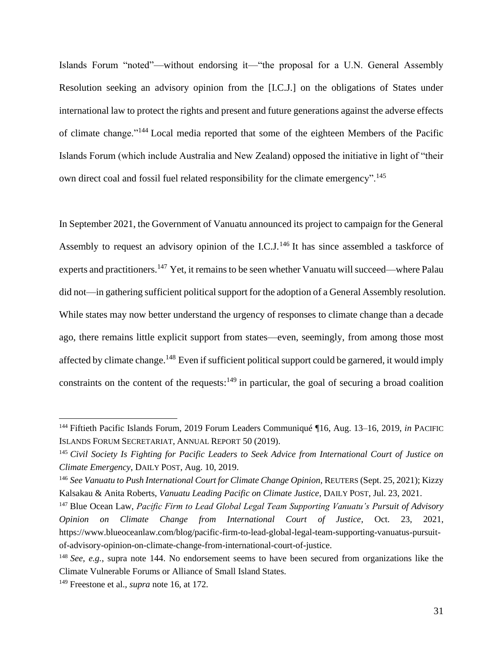<span id="page-30-0"></span>Islands Forum "noted"—without endorsing it—"the proposal for a U.N. General Assembly Resolution seeking an advisory opinion from the [I.C.J.] on the obligations of States under international law to protect the rights and present and future generations against the adverse effects of climate change."<sup>144</sup> Local media reported that some of the eighteen Members of the Pacific Islands Forum (which include Australia and New Zealand) opposed the initiative in light of "their own direct coal and fossil fuel related responsibility for the climate emergency".<sup>145</sup>

In September 2021, the Government of Vanuatu announced its project to campaign for the General Assembly to request an advisory opinion of the I.C.J.<sup>146</sup> It has since assembled a taskforce of experts and practitioners.<sup>147</sup> Yet, it remains to be seen whether Vanuatu will succeed—where Palau did not—in gathering sufficient political support for the adoption of a General Assembly resolution. While states may now better understand the urgency of responses to climate change than a decade ago, there remains little explicit support from states—even, seemingly, from among those most affected by climate change.<sup>148</sup> Even if sufficient political support could be garnered, it would imply constraints on the content of the requests: $149$  in particular, the goal of securing a broad coalition

<sup>144</sup> Fiftieth Pacific Islands Forum, 2019 Forum Leaders Communiqué ¶16, Aug. 13–16, 2019, *in* PACIFIC ISLANDS FORUM SECRETARIAT, ANNUAL REPORT 50 (2019).

<sup>145</sup> *Civil Society Is Fighting for Pacific Leaders to Seek Advice from International Court of Justice on Climate Emergency*, DAILY POST, Aug. 10, 2019.

<sup>146</sup> *See Vanuatu to Push International Court for Climate Change Opinion*, REUTERS (Sept. 25, 2021); Kizzy Kalsakau & Anita Roberts, *Vanuatu Leading Pacific on Climate Justice*, DAILY POST, Jul. 23, 2021.

<sup>147</sup> Blue Ocean Law, *Pacific Firm to Lead Global Legal Team Supporting Vanuatu's Pursuit of Advisory Opinion on Climate Change from International Court of Justice*, Oct. 23, 2021, https://www.blueoceanlaw.com/blog/pacific-firm-to-lead-global-legal-team-supporting-vanuatus-pursuitof-advisory-opinion-on-climate-change-from-international-court-of-justice.

<sup>148</sup> *See, e.g.*, supra note [144.](#page-30-0) No endorsement seems to have been secured from organizations like the Climate Vulnerable Forums or Alliance of Small Island States.

<sup>149</sup> Freestone et al., *supra* note 16, at 172.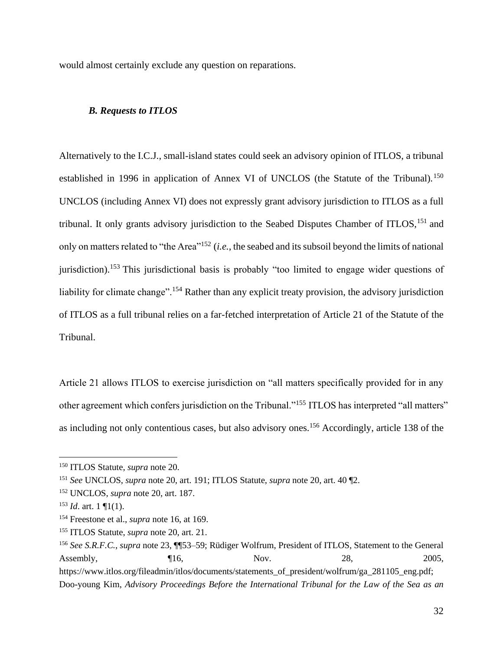would almost certainly exclude any question on reparations.

## *B. Requests to ITLOS*

Alternatively to the I.C.J., small-island states could seek an advisory opinion of ITLOS, a tribunal established in 1996 in application of Annex VI of UNCLOS (the Statute of the Tribunal).<sup>150</sup> UNCLOS (including Annex VI) does not expressly grant advisory jurisdiction to ITLOS as a full tribunal. It only grants advisory jurisdiction to the Seabed Disputes Chamber of ITLOS,<sup>151</sup> and only on matters related to "the Area"<sup>152</sup> (*i.e.*, the seabed and its subsoil beyond the limits of national jurisdiction).<sup>153</sup> This jurisdictional basis is probably "too limited to engage wider questions of liability for climate change".<sup>154</sup> Rather than any explicit treaty provision, the advisory jurisdiction of ITLOS as a full tribunal relies on a far-fetched interpretation of Article 21 of the Statute of the Tribunal.

Article 21 allows ITLOS to exercise jurisdiction on "all matters specifically provided for in any other agreement which confers jurisdiction on the Tribunal."<sup>155</sup> ITLOS has interpreted "all matters" as including not only contentious cases, but also advisory ones.<sup>156</sup> Accordingly, article 138 of the

<span id="page-31-0"></span><sup>150</sup> ITLOS Statute, *supra* not[e 20.](#page-4-2)

<sup>151</sup> *See* UNCLOS, *supra* note [20,](#page-4-2) art. 191; ITLOS Statute, *supra* note [20,](#page-4-2) art. 40 ¶2.

<sup>152</sup> UNCLOS, *supra* note [20,](#page-4-2) art. 187.

 $153$  *Id.* art. 1 [11(1).

<sup>154</sup> Freestone et al., *supra* note 16, at 169.

<sup>155</sup> ITLOS Statute, *supra* not[e 20,](#page-4-2) art. 21.

<sup>156</sup> *See S.R.F.C.*, *supra* note [23,](#page-5-2) ¶¶53–59; Rüdiger Wolfrum, President of ITLOS, Statement to the General Assembly, 16, 16, Nov. 28, 2005, https://www.itlos.org/fileadmin/itlos/documents/statements\_of\_president/wolfrum/ga\_281105\_eng.pdf; Doo-young Kim, *Advisory Proceedings Before the International Tribunal for the Law of the Sea as an*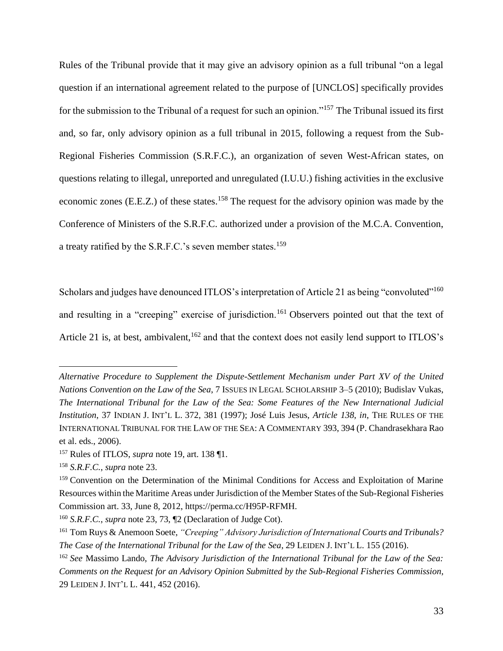Rules of the Tribunal provide that it may give an advisory opinion as a full tribunal "on a legal question if an international agreement related to the purpose of [UNCLOS] specifically provides for the submission to the Tribunal of a request for such an opinion."<sup>157</sup> The Tribunal issued its first and, so far, only advisory opinion as a full tribunal in 2015, following a request from the Sub-Regional Fisheries Commission (S.R.F.C.), an organization of seven West-African states, on questions relating to illegal, unreported and unregulated (I.U.U.) fishing activities in the exclusive economic zones (E.E.Z.) of these states.<sup>158</sup> The request for the advisory opinion was made by the Conference of Ministers of the S.R.F.C. authorized under a provision of the M.C.A. Convention, a treaty ratified by the S.R.F.C.'s seven member states.<sup>159</sup>

<span id="page-32-0"></span>Scholars and judges have denounced ITLOS's interpretation of Article 21 as being "convoluted"<sup>160</sup> and resulting in a "creeping" exercise of jurisdiction.<sup>161</sup> Observers pointed out that the text of Article 21 is, at best, ambivalent,  $162$  and that the context does not easily lend support to ITLOS's

*Alternative Procedure to Supplement the Dispute-Settlement Mechanism under Part XV of the United Nations Convention on the Law of the Sea*, 7 ISSUES IN LEGAL SCHOLARSHIP 3–5 (2010); Budislav Vukas, *The International Tribunal for the Law of the Sea: Some Features of the New International Judicial Institution*, 37 INDIAN J. INT'L L. 372, 381 (1997); José Luis Jesus, *Article 138*, *in*, THE RULES OF THE INTERNATIONAL TRIBUNAL FOR THE LAW OF THE SEA: A COMMENTARY 393, 394 (P. Chandrasekhara Rao et al. eds., 2006).

<sup>157</sup> Rules of ITLOS, *supra* note [19,](#page-4-0) art. 138 ¶1.

<sup>158</sup> *S.R.F.C.*, *supra* note [23.](#page-5-2)

<sup>&</sup>lt;sup>159</sup> Convention on the Determination of the Minimal Conditions for Access and Exploitation of Marine Resources within the Maritime Areas under Jurisdiction of the Member States of the Sub-Regional Fisheries Commission art. 33, June 8, 2012, https://perma.cc/H95P-RFMH.

<sup>160</sup> *S.R.F.C.*, *supra* note [23,](#page-5-2) 73, ¶2 (Declaration of Judge Cot).

<sup>161</sup> Tom Ruys & Anemoon Soete, *"Creeping" Advisory Jurisdiction of International Courts and Tribunals? The Case of the International Tribunal for the Law of the Sea*, 29 LEIDEN J. INT'L L. 155 (2016).

<sup>162</sup> *See* Massimo Lando, *The Advisory Jurisdiction of the International Tribunal for the Law of the Sea: Comments on the Request for an Advisory Opinion Submitted by the Sub-Regional Fisheries Commission*, 29 LEIDEN J. INT'L L. 441, 452 (2016).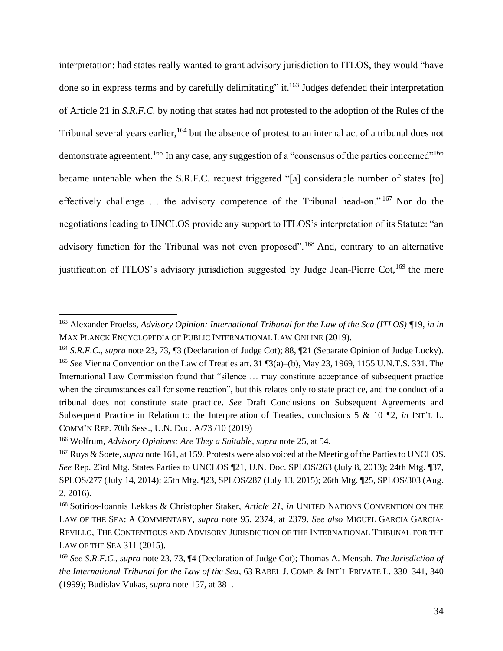<span id="page-33-0"></span>interpretation: had states really wanted to grant advisory jurisdiction to ITLOS, they would "have done so in express terms and by carefully delimitating" it.<sup>163</sup> Judges defended their interpretation of Article 21 in *S.R.F.C.* by noting that states had not protested to the adoption of the Rules of the Tribunal several years earlier, <sup>164</sup> but the absence of protest to an internal act of a tribunal does not demonstrate agreement.<sup>165</sup> In any case, any suggestion of a "consensus of the parties concerned"<sup>166</sup> became untenable when the S.R.F.C. request triggered "[a] considerable number of states [to] effectively challenge … the advisory competence of the Tribunal head-on." <sup>167</sup> Nor do the negotiations leading to UNCLOS provide any support to ITLOS's interpretation of its Statute: "an advisory function for the Tribunal was not even proposed".<sup>168</sup> And, contrary to an alternative justification of ITLOS's advisory jurisdiction suggested by Judge Jean-Pierre Cot,  $169$  the mere

<sup>163</sup> Alexander Proelss, *Advisory Opinion: International Tribunal for the Law of the Sea (ITLOS)* ¶19, *in in*  MAX PLANCK ENCYCLOPEDIA OF PUBLIC INTERNATIONAL LAW ONLINE (2019).

<sup>164</sup> *S.R.F.C.*, *supra* note [23,](#page-5-2) 73, ¶3 (Declaration of Judge Cot); 88, ¶21 (Separate Opinion of Judge Lucky). <sup>165</sup> *See* Vienna Convention on the Law of Treaties art. 31 ¶3(a)–(b), May 23, 1969, 1155 U.N.T.S. 331. The International Law Commission found that "silence … may constitute acceptance of subsequent practice when the circumstances call for some reaction", but this relates only to state practice, and the conduct of a tribunal does not constitute state practice. *See* Draft Conclusions on Subsequent Agreements and Subsequent Practice in Relation to the Interpretation of Treaties, conclusions 5 & 10 ¶2, *in* INT'L L. COMM'N REP. 70th Sess., U.N. Doc. A/73 /10 (2019)

<sup>166</sup> Wolfrum, *Advisory Opinions: Are They a Suitable*, *supra* not[e 25,](#page-5-0) at 54.

<sup>167</sup> Ruys & Soete, *supra* note [161,](#page-32-0) at 159. Protests were also voiced at the Meeting of the Parties to UNCLOS. *See* Rep. 23rd Mtg. States Parties to UNCLOS ¶21, U.N. Doc. SPLOS/263 (July 8, 2013); 24th Mtg. ¶37, SPLOS/277 (July 14, 2014); 25th Mtg. ¶23, SPLOS/287 (July 13, 2015); 26th Mtg. ¶25, SPLOS/303 (Aug. 2, 2016).

<sup>168</sup> Sotirios-Ioannis Lekkas & Christopher Staker, *Article 21*, *in* UNITED NATIONS CONVENTION ON THE LAW OF THE SEA: A COMMENTARY, *supra* note [95,](#page-20-1) 2374, at 2379. *See also* MIGUEL GARCIA GARCIA-REVILLO, THE CONTENTIOUS AND ADVISORY JURISDICTION OF THE INTERNATIONAL TRIBUNAL FOR THE LAW OF THE SEA 311 (2015).

<sup>169</sup> *See S.R.F.C.*, *supra* note [23,](#page-5-2) 73, ¶4 (Declaration of Judge Cot); Thomas A. Mensah, *The Jurisdiction of the International Tribunal for the Law of the Sea*, 63 RABEL J. COMP. & INT'L PRIVATE L. 330–341, 340 (1999); Budislav Vukas, *supra* note 157, at 381.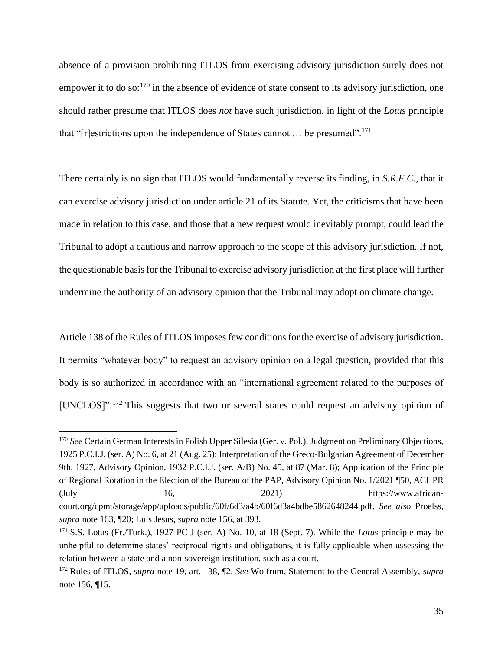absence of a provision prohibiting ITLOS from exercising advisory jurisdiction surely does not empower it to do so: $170$  in the absence of evidence of state consent to its advisory jurisdiction, one should rather presume that ITLOS does *not* have such jurisdiction, in light of the *Lotus* principle that "[r]estrictions upon the independence of States cannot  $\dots$  be presumed".<sup>171</sup>

There certainly is no sign that ITLOS would fundamentally reverse its finding, in *S.R.F.C.*, that it can exercise advisory jurisdiction under article 21 of its Statute. Yet, the criticisms that have been made in relation to this case, and those that a new request would inevitably prompt, could lead the Tribunal to adopt a cautious and narrow approach to the scope of this advisory jurisdiction. If not, the questionable basis for the Tribunal to exercise advisory jurisdiction at the first place will further undermine the authority of an advisory opinion that the Tribunal may adopt on climate change.

Article 138 of the Rules of ITLOS imposes few conditions for the exercise of advisory jurisdiction. It permits "whatever body" to request an advisory opinion on a legal question, provided that this body is so authorized in accordance with an "international agreement related to the purposes of [UNCLOS]".<sup>172</sup> This suggests that two or several states could request an advisory opinion of

<sup>&</sup>lt;sup>170</sup> *See* Certain German Interests in Polish Upper Silesia (Ger. v. Pol.), Judgment on Preliminary Objections, 1925 P.C.I.J. (ser. A) No. 6, at 21 (Aug. 25); Interpretation of the Greco-Bulgarian Agreement of December 9th, 1927, Advisory Opinion, 1932 P.C.I.J. (ser. A/B) No. 45, at 87 (Mar. 8); Application of the Principle of Regional Rotation in the Election of the Bureau of the PAP, Advisory Opinion No. 1/2021 ¶50, ACHPR  $16$ ,  $2021$  https://www.africancourt.org/cpmt/storage/app/uploads/public/60f/6d3/a4b/60f6d3a4bdbe5862648244.pdf. *See also* Proelss, *supra* note [163,](#page-33-0) ¶20; Luis Jesus, *supra* note [156,](#page-31-0) at 393.

<sup>171</sup> S.S. Lotus (Fr./Turk.), 1927 PCIJ (ser. A) No. 10, at 18 (Sept. 7). While the *Lotus* principle may be unhelpful to determine states' reciprocal rights and obligations, it is fully applicable when assessing the relation between a state and a non-sovereign institution, such as a court.

<sup>172</sup> Rules of ITLOS, *supra* note [19,](#page-4-0) art. 138, ¶2. *See* Wolfrum, Statement to the General Assembly, *supra*  not[e 156,](#page-31-0) ¶15.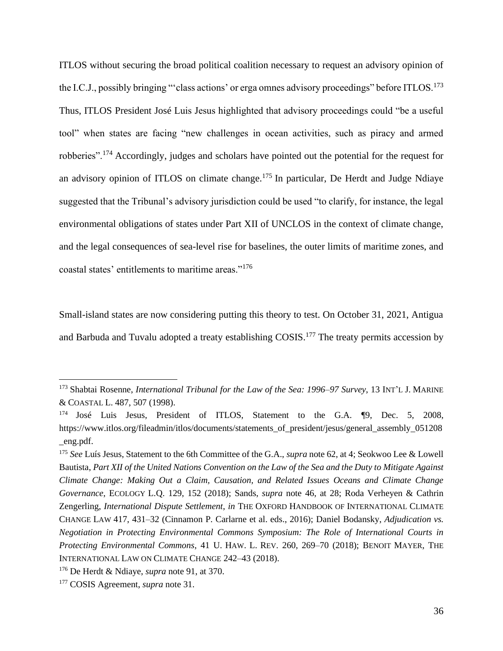ITLOS without securing the broad political coalition necessary to request an advisory opinion of the I.C.J., possibly bringing "'class actions' or erga omnes advisory proceedings" before ITLOS.<sup>173</sup> Thus, ITLOS President José Luis Jesus highlighted that advisory proceedings could "be a useful tool" when states are facing "new challenges in ocean activities, such as piracy and armed robberies".<sup>174</sup> Accordingly, judges and scholars have pointed out the potential for the request for an advisory opinion of ITLOS on climate change.<sup>175</sup> In particular, De Herdt and Judge Ndiaye suggested that the Tribunal's advisory jurisdiction could be used "to clarify, for instance, the legal environmental obligations of states under Part XII of UNCLOS in the context of climate change, and the legal consequences of sea-level rise for baselines, the outer limits of maritime zones, and coastal states' entitlements to maritime areas."<sup>176</sup>

Small-island states are now considering putting this theory to test. On October 31, 2021, Antigua and Barbuda and Tuvalu adopted a treaty establishing COSIS.<sup>177</sup> The treaty permits accession by

<sup>173</sup> Shabtai Rosenne, *International Tribunal for the Law of the Sea: 1996–97 Survey*, 13 INT'L J. MARINE & COASTAL L. 487, 507 (1998).

José Luis Jesus, President of ITLOS, Statement to the G.A. ¶9, Dec. 5, 2008, https://www.itlos.org/fileadmin/itlos/documents/statements\_of\_president/jesus/general\_assembly\_051208 \_eng.pdf.

<sup>175</sup> *See* Luís Jesus, Statement to the 6th Committee of the G.A., *supra* note [62,](#page-15-0) at 4; Seokwoo Lee & Lowell Bautista, *Part XII of the United Nations Convention on the Law of the Sea and the Duty to Mitigate Against Climate Change: Making Out a Claim, Causation, and Related Issues Oceans and Climate Change Governance*, ECOLOGY L.Q. 129, 152 (2018); Sands, *supra* note [46,](#page-12-1) at 28; Roda Verheyen & Cathrin Zengerling, *International Dispute Settlement*, *in* THE OXFORD HANDBOOK OF INTERNATIONAL CLIMATE CHANGE LAW 417, 431–32 (Cinnamon P. Carlarne et al. eds., 2016); Daniel Bodansky, *Adjudication vs. Negotiation in Protecting Environmental Commons Symposium: The Role of International Courts in Protecting Environmental Commons*, 41 U. HAW. L. REV. 260, 269–70 (2018); BENOIT MAYER, THE INTERNATIONAL LAW ON CLIMATE CHANGE 242–43 (2018).

<sup>176</sup> De Herdt & Ndiaye, *supra* not[e 91,](#page-19-0) at 370.

<sup>177</sup> COSIS Agreement, *supra* note [31.](#page-6-1)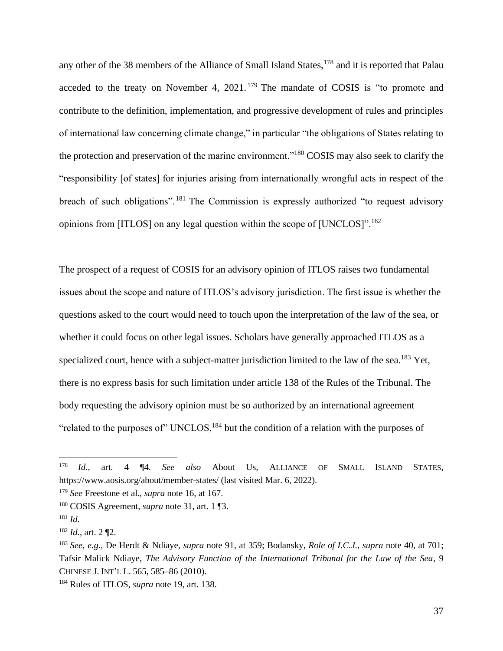any other of the 38 members of the Alliance of Small Island States,<sup>178</sup> and it is reported that Palau acceded to the treaty on November 4,  $2021$ . <sup>179</sup> The mandate of COSIS is "to promote and contribute to the definition, implementation, and progressive development of rules and principles of international law concerning climate change," in particular "the obligations of States relating to the protection and preservation of the marine environment."<sup>180</sup> COSIS may also seek to clarify the "responsibility [of states] for injuries arising from internationally wrongful acts in respect of the breach of such obligations".<sup>181</sup> The Commission is expressly authorized "to request advisory opinions from [ITLOS] on any legal question within the scope of [UNCLOS]".<sup>182</sup>

The prospect of a request of COSIS for an advisory opinion of ITLOS raises two fundamental issues about the scope and nature of ITLOS's advisory jurisdiction. The first issue is whether the questions asked to the court would need to touch upon the interpretation of the law of the sea, or whether it could focus on other legal issues. Scholars have generally approached ITLOS as a specialized court, hence with a subject-matter jurisdiction limited to the law of the sea.<sup>183</sup> Yet, there is no express basis for such limitation under article 138 of the Rules of the Tribunal. The body requesting the advisory opinion must be so authorized by an international agreement "related to the purposes of" UNCLOS,  $^{184}$  but the condition of a relation with the purposes of

<sup>178</sup> *Id.*, art. 4 ¶4. *See also* About Us, ALLIANCE OF SMALL ISLAND STATES, https://www.aosis.org/about/member-states/ (last visited Mar. 6, 2022).

<sup>179</sup> *See* Freestone et al., *supra* note 16, at 167.

<sup>180</sup> COSIS Agreement, *supra* note [31,](#page-6-0) art. 1 ¶3.

<sup>181</sup> *Id.*

<sup>182</sup> *Id.*, art. 2 ¶2.

<sup>183</sup> *See, e.g.*, De Herdt & Ndiaye, *supra* note [91,](#page-19-0) at 359; Bodansky, *Role of I.C.J.*, *supra* note [40,](#page-8-0) at 701; Tafsir Malick Ndiaye, *The Advisory Function of the International Tribunal for the Law of the Sea*, 9 CHINESE J. INT'L L. 565, 585–86 (2010).

<sup>184</sup> Rules of ITLOS, *supra* note [19,](#page-4-0) art. 138.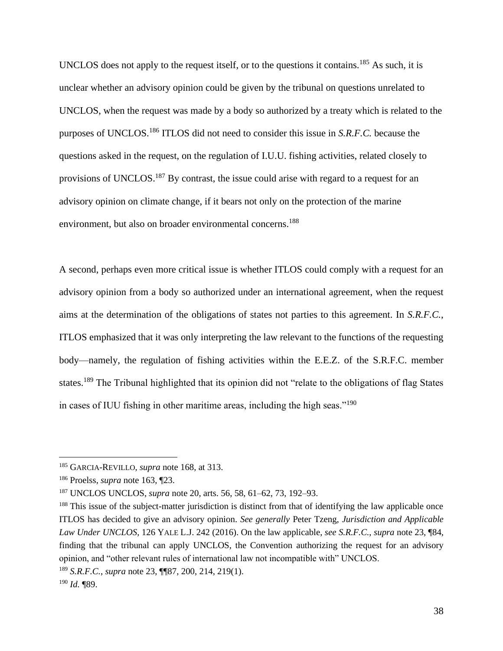UNCLOS does not apply to the request itself, or to the questions it contains.<sup>185</sup> As such, it is unclear whether an advisory opinion could be given by the tribunal on questions unrelated to UNCLOS, when the request was made by a body so authorized by a treaty which is related to the purposes of UNCLOS.<sup>186</sup> ITLOS did not need to consider this issue in *S.R.F.C.* because the questions asked in the request, on the regulation of I.U.U. fishing activities, related closely to provisions of UNCLOS.<sup>187</sup> By contrast, the issue could arise with regard to a request for an advisory opinion on climate change, if it bears not only on the protection of the marine environment, but also on broader environmental concerns.<sup>188</sup>

A second, perhaps even more critical issue is whether ITLOS could comply with a request for an advisory opinion from a body so authorized under an international agreement, when the request aims at the determination of the obligations of states not parties to this agreement. In *S.R.F.C.*, ITLOS emphasized that it was only interpreting the law relevant to the functions of the requesting body—namely, the regulation of fishing activities within the E.E.Z. of the S.R.F.C. member states.<sup>189</sup> The Tribunal highlighted that its opinion did not "relate to the obligations of flag States in cases of IUU fishing in other maritime areas, including the high seas."<sup>190</sup>

<sup>185</sup> GARCIA-REVILLO, *supra* note [168,](#page-33-0) at 313.

<sup>186</sup> Proelss, *supra* note [163,](#page-33-1) ¶23.

<sup>187</sup> UNCLOS UNCLOS, *supra* note [20,](#page-4-1) arts. 56, 58, 61–62, 73, 192–93.

<sup>&</sup>lt;sup>188</sup> This issue of the subject-matter jurisdiction is distinct from that of identifying the law applicable once ITLOS has decided to give an advisory opinion. *See generally* Peter Tzeng, *Jurisdiction and Applicable Law Under UNCLOS*, 126 YALE L.J. 242 (2016). On the law applicable, *see S.R.F.C.*, *supra* not[e 23,](#page-5-0) ¶84, finding that the tribunal can apply UNCLOS, the Convention authorizing the request for an advisory opinion, and "other relevant rules of international law not incompatible with" UNCLOS.

<sup>189</sup> *S.R.F.C.*, *supra* note [23,](#page-5-0) ¶¶87, 200, 214, 219(1).

<sup>190</sup> *Id.* ¶89.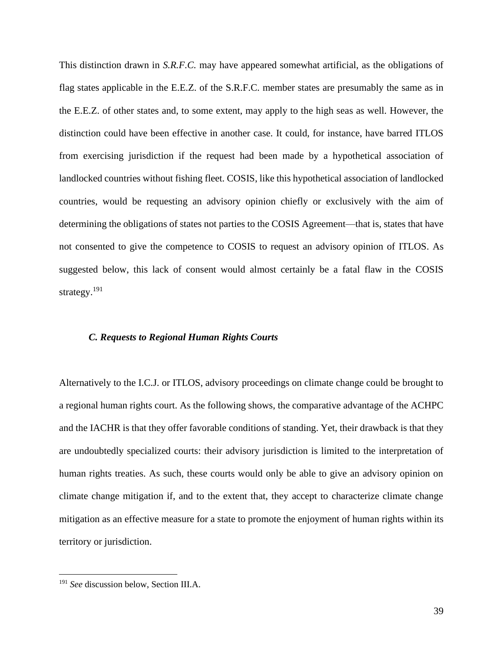This distinction drawn in *S.R.F.C.* may have appeared somewhat artificial, as the obligations of flag states applicable in the E.E.Z. of the S.R.F.C. member states are presumably the same as in the E.E.Z. of other states and, to some extent, may apply to the high seas as well. However, the distinction could have been effective in another case. It could, for instance, have barred ITLOS from exercising jurisdiction if the request had been made by a hypothetical association of landlocked countries without fishing fleet. COSIS, like this hypothetical association of landlocked countries, would be requesting an advisory opinion chiefly or exclusively with the aim of determining the obligations of states not parties to the COSIS Agreement—that is, states that have not consented to give the competence to COSIS to request an advisory opinion of ITLOS. As suggested below, this lack of consent would almost certainly be a fatal flaw in the COSIS strategy.<sup>191</sup>

#### *C. Requests to Regional Human Rights Courts*

Alternatively to the I.C.J. or ITLOS, advisory proceedings on climate change could be brought to a regional human rights court. As the following shows, the comparative advantage of the ACHPC and the IACHR is that they offer favorable conditions of standing. Yet, their drawback is that they are undoubtedly specialized courts: their advisory jurisdiction is limited to the interpretation of human rights treaties. As such, these courts would only be able to give an advisory opinion on climate change mitigation if, and to the extent that, they accept to characterize climate change mitigation as an effective measure for a state to promote the enjoyment of human rights within its territory or jurisdiction.

<sup>191</sup> *See* discussion below, Section III.A.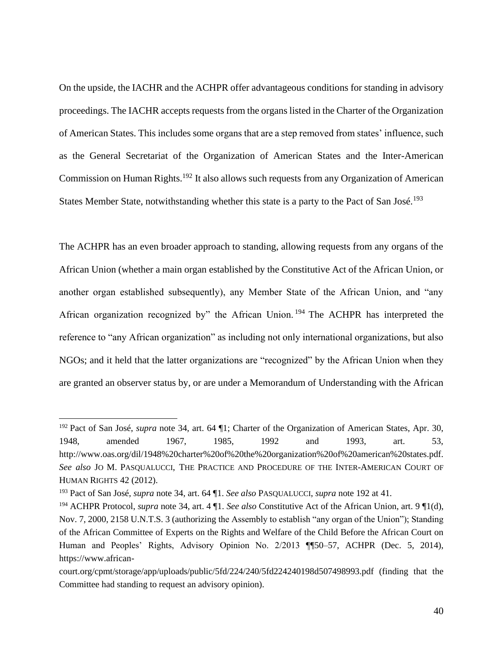On the upside, the IACHR and the ACHPR offer advantageous conditions for standing in advisory proceedings. The IACHR accepts requests from the organs listed in the Charter of the Organization of American States. This includes some organs that are a step removed from states' influence, such as the General Secretariat of the Organization of American States and the Inter-American Commission on Human Rights.<sup>192</sup> It also allows such requests from any Organization of American States Member State, notwithstanding whether this state is a party to the Pact of San José.<sup>193</sup>

The ACHPR has an even broader approach to standing, allowing requests from any organs of the African Union (whether a main organ established by the Constitutive Act of the African Union, or another organ established subsequently), any Member State of the African Union, and "any African organization recognized by" the African Union. <sup>194</sup> The ACHPR has interpreted the reference to "any African organization" as including not only international organizations, but also NGOs; and it held that the latter organizations are "recognized" by the African Union when they are granted an observer status by, or are under a Memorandum of Understanding with the African

<sup>192</sup> Pact of San José, *supra* note [34,](#page-7-0) art. 64 ¶1; Charter of the Organization of American States, Apr. 30, 1948, amended 1967, 1985, 1992 and 1993, art. 53, http://www.oas.org/dil/1948%20charter%20of%20the%20organization%20of%20american%20states.pdf. *See also* JO M. PASQUALUCCI, THE PRACTICE AND PROCEDURE OF THE INTER-AMERICAN COURT OF HUMAN RIGHTS 42 (2012).

<sup>193</sup> Pact of San José, *supra* note [34,](#page-7-0) art. 64 ¶1. *See also* PASQUALUCCI, *supra* note 192 at 41.

<sup>194</sup> ACHPR Protocol, *supra* note [34,](#page-7-0) art. 4 ¶1. *See also* Constitutive Act of the African Union, art. 9 ¶1(d), Nov. 7, 2000, 2158 U.N.T.S. 3 (authorizing the Assembly to establish "any organ of the Union"); Standing of the African Committee of Experts on the Rights and Welfare of the Child Before the African Court on Human and Peoples' Rights, Advisory Opinion No. 2/2013 ¶¶50–57, ACHPR (Dec. 5, 2014), https://www.african-

court.org/cpmt/storage/app/uploads/public/5fd/224/240/5fd224240198d507498993.pdf (finding that the Committee had standing to request an advisory opinion).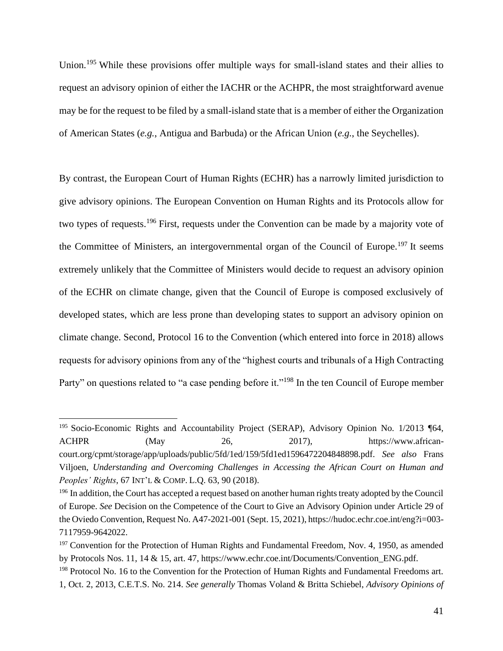Union.<sup>195</sup> While these provisions offer multiple ways for small-island states and their allies to request an advisory opinion of either the IACHR or the ACHPR, the most straightforward avenue may be for the request to be filed by a small-island state that is a member of either the Organization of American States (*e.g.*, Antigua and Barbuda) or the African Union (*e.g.*, the Seychelles).

<span id="page-40-2"></span><span id="page-40-0"></span>By contrast, the European Court of Human Rights (ECHR) has a narrowly limited jurisdiction to give advisory opinions. The European Convention on Human Rights and its Protocols allow for two types of requests.<sup>196</sup> First, requests under the Convention can be made by a majority vote of the Committee of Ministers, an intergovernmental organ of the Council of Europe.<sup>197</sup> It seems extremely unlikely that the Committee of Ministers would decide to request an advisory opinion of the ECHR on climate change, given that the Council of Europe is composed exclusively of developed states, which are less prone than developing states to support an advisory opinion on climate change. Second, Protocol 16 to the Convention (which entered into force in 2018) allows requests for advisory opinions from any of the "highest courts and tribunals of a High Contracting Party" on questions related to "a case pending before it."<sup>198</sup> In the ten Council of Europe member

<span id="page-40-1"></span><sup>&</sup>lt;sup>195</sup> Socio-Economic Rights and Accountability Project (SERAP), Advisory Opinion No. 1/2013 ¶64, ACHPR (May 26, 2017), https://www.africancourt.org/cpmt/storage/app/uploads/public/5fd/1ed/159/5fd1ed1596472204848898.pdf. *See also* Frans Viljoen, *Understanding and Overcoming Challenges in Accessing the African Court on Human and Peoples' Rights*, 67 INT'L & COMP. L.Q. 63, 90 (2018).

<sup>&</sup>lt;sup>196</sup> In addition, the Court has accepted a request based on another human rights treaty adopted by the Council of Europe. *See* Decision on the Competence of the Court to Give an Advisory Opinion under Article 29 of the Oviedo Convention, Request No. A47-2021-001 (Sept. 15, 2021), https://hudoc.echr.coe.int/eng?i=003- 7117959-9642022.

<sup>&</sup>lt;sup>197</sup> Convention for the Protection of Human Rights and Fundamental Freedom, Nov. 4, 1950, as amended by Protocols Nos. 11, 14 & 15, art. 47, https://www.echr.coe.int/Documents/Convention\_ENG.pdf.

<sup>&</sup>lt;sup>198</sup> Protocol No. 16 to the Convention for the Protection of Human Rights and Fundamental Freedoms art. 1, Oct. 2, 2013, C.E.T.S. No. 214. *See generally* Thomas Voland & Britta Schiebel, *Advisory Opinions of*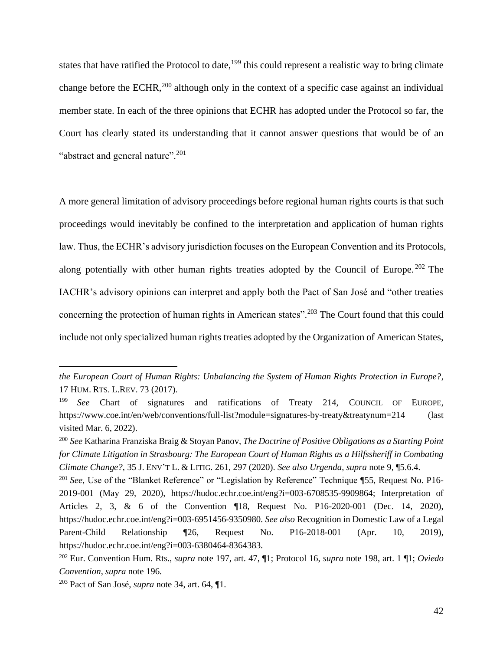states that have ratified the Protocol to date,<sup>199</sup> this could represent a realistic way to bring climate change before the ECHR,<sup>200</sup> although only in the context of a specific case against an individual member state. In each of the three opinions that ECHR has adopted under the Protocol so far, the Court has clearly stated its understanding that it cannot answer questions that would be of an "abstract and general nature".<sup>201</sup>

<span id="page-41-0"></span>A more general limitation of advisory proceedings before regional human rights courts is that such proceedings would inevitably be confined to the interpretation and application of human rights law. Thus, the ECHR's advisory jurisdiction focuses on the European Convention and its Protocols, along potentially with other human rights treaties adopted by the Council of Europe.<sup>202</sup> The IACHR's advisory opinions can interpret and apply both the Pact of San José and "other treaties concerning the protection of human rights in American states".<sup>203</sup> The Court found that this could include not only specialized human rights treaties adopted by the Organization of American States,

*the European Court of Human Rights: Unbalancing the System of Human Rights Protection in Europe?*, 17 HUM. RTS. L.REV. 73 (2017).

<sup>199</sup> *See* Chart of signatures and ratifications of Treaty 214, COUNCIL OF EUROPE, https://www.coe.int/en/web/conventions/full-list?module=signatures-by-treaty&treatynum=214 (last visited Mar. 6, 2022).

<sup>200</sup> *See* Katharina Franziska Braig & Stoyan Panov, *The Doctrine of Positive Obligations as a Starting Point for Climate Litigation in Strasbourg: The European Court of Human Rights as a Hilfssheriff in Combating Climate Change?*, 35 J. ENV'T L. & LITIG. 261, 297 (2020). *See also Urgenda*, *supra* note [9,](#page-3-0) ¶5.6.4.

<sup>&</sup>lt;sup>201</sup> *See*, Use of the "Blanket Reference" or "Legislation by Reference" Technique ¶55, Request No. P16-2019-001 (May 29, 2020), https://hudoc.echr.coe.int/eng?i=003-6708535-9909864; Interpretation of Articles 2, 3, & 6 of the Convention ¶18, Request No. P16-2020-001 (Dec. 14, 2020), https://hudoc.echr.coe.int/eng?i=003-6951456-9350980. *See also* Recognition in Domestic Law of a Legal Parent-Child Relationship ¶26, Request No. P16-2018-001 (Apr. 10, 2019), https://hudoc.echr.coe.int/eng?i=003-6380464-8364383.

<sup>202</sup> Eur. Convention Hum. Rts., *supra* note [197,](#page-40-0) art. 47, ¶1; Protocol 16, *supra* note [198,](#page-40-1) art. 1 ¶1; *Oviedo Convention*, *supra* not[e 196.](#page-40-2)

<sup>203</sup> Pact of San José, *supra* note [34,](#page-7-0) art. 64, ¶1.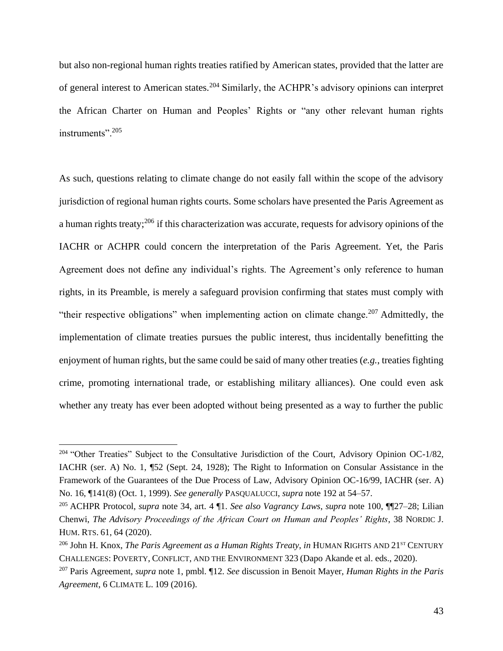<span id="page-42-1"></span>but also non-regional human rights treaties ratified by American states, provided that the latter are of general interest to American states.<sup>204</sup> Similarly, the ACHPR's advisory opinions can interpret the African Charter on Human and Peoples' Rights or "any other relevant human rights instruments". 205

<span id="page-42-0"></span>As such, questions relating to climate change do not easily fall within the scope of the advisory jurisdiction of regional human rights courts. Some scholars have presented the Paris Agreement as a human rights treaty;<sup>206</sup> if this characterization was accurate, requests for advisory opinions of the IACHR or ACHPR could concern the interpretation of the Paris Agreement. Yet, the Paris Agreement does not define any individual's rights. The Agreement's only reference to human rights, in its Preamble, is merely a safeguard provision confirming that states must comply with "their respective obligations" when implementing action on climate change.<sup>207</sup> Admittedly, the implementation of climate treaties pursues the public interest, thus incidentally benefitting the enjoyment of human rights, but the same could be said of many other treaties (*e.g.*, treaties fighting crime, promoting international trade, or establishing military alliances). One could even ask whether any treaty has ever been adopted without being presented as a way to further the public

<sup>&</sup>lt;sup>204</sup> "Other Treaties" Subject to the Consultative Jurisdiction of the Court, Advisory Opinion OC-1/82, IACHR (ser. A) No. 1, ¶52 (Sept. 24, 1928); The Right to Information on Consular Assistance in the Framework of the Guarantees of the Due Process of Law, Advisory Opinion OC-16/99, IACHR (ser. A) No. 16, ¶141(8) (Oct. 1, 1999). *See generally* PASQUALUCCI, *supra* note 192 at 54–57.

<sup>205</sup> ACHPR Protocol, *supra* note [34,](#page-7-0) art. 4 ¶1. *See also Vagrancy Laws*, *supra* note [100,](#page-21-0) ¶¶27–28; Lilian Chenwi, *The Advisory Proceedings of the African Court on Human and Peoples' Rights*, 38 NORDIC J. HUM. RTS. 61, 64 (2020).

<sup>&</sup>lt;sup>206</sup> John H. Knox, *The Paris Agreement as a Human Rights Treaty*, *in* HUMAN RIGHTS AND 21<sup>st</sup> CENTURY CHALLENGES: POVERTY, CONFLICT, AND THE ENVIRONMENT 323 (Dapo Akande et al. eds., 2020).

<sup>207</sup> Paris Agreement, *supra* note [1,](#page-2-0) pmbl. ¶12. *See* discussion in Benoit Mayer, *Human Rights in the Paris Agreement*, 6 CLIMATE L. 109 (2016).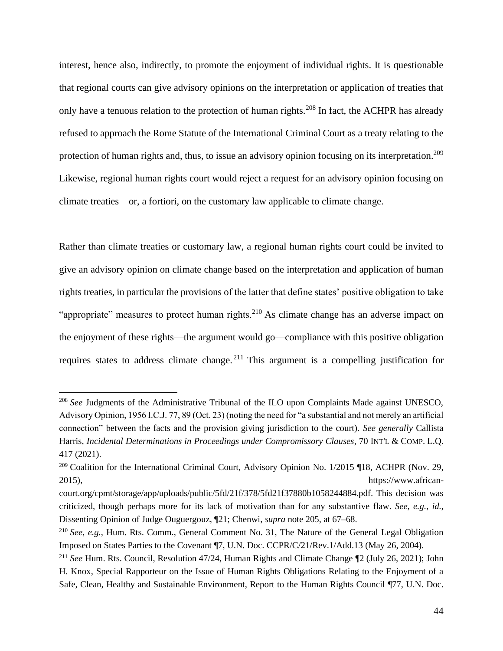<span id="page-43-1"></span>interest, hence also, indirectly, to promote the enjoyment of individual rights. It is questionable that regional courts can give advisory opinions on the interpretation or application of treaties that only have a tenuous relation to the protection of human rights.<sup>208</sup> In fact, the ACHPR has already refused to approach the Rome Statute of the International Criminal Court as a treaty relating to the protection of human rights and, thus, to issue an advisory opinion focusing on its interpretation.<sup>209</sup> Likewise, regional human rights court would reject a request for an advisory opinion focusing on climate treaties—or, a fortiori, on the customary law applicable to climate change.

Rather than climate treaties or customary law, a regional human rights court could be invited to give an advisory opinion on climate change based on the interpretation and application of human rights treaties, in particular the provisions of the latter that define states' positive obligation to take "appropriate" measures to protect human rights.<sup>210</sup> As climate change has an adverse impact on the enjoyment of these rights—the argument would go—compliance with this positive obligation requires states to address climate change. <sup>211</sup> This argument is a compelling justification for

<span id="page-43-0"></span><sup>&</sup>lt;sup>208</sup> See Judgments of the Administrative Tribunal of the ILO upon Complaints Made against UNESCO, Advisory Opinion, 1956 I.C.J. 77, 89 (Oct. 23) (noting the need for "a substantial and not merely an artificial connection" between the facts and the provision giving jurisdiction to the court). *See generally* Callista Harris, *Incidental Determinations in Proceedings under Compromissory Clauses*, 70 INT'L & COMP. L.Q. 417 (2021).

<sup>&</sup>lt;sup>209</sup> Coalition for the International Criminal Court, Advisory Opinion No. 1/2015 ¶18, ACHPR (Nov. 29, 2015), https://www.african-

court.org/cpmt/storage/app/uploads/public/5fd/21f/378/5fd21f37880b1058244884.pdf. This decision was criticized, though perhaps more for its lack of motivation than for any substantive flaw. *See, e.g.*, *id.*, Dissenting Opinion of Judge Ouguergouz, ¶21; Chenwi, *supra* note [205,](#page-42-0) at 67–68.

<sup>210</sup> *See, e.g.*, Hum. Rts. Comm., General Comment No. 31, The Nature of the General Legal Obligation Imposed on States Parties to the Covenant ¶7, U.N. Doc. CCPR/C/21/Rev.1/Add.13 (May 26, 2004).

<sup>211</sup> *See* Hum. Rts. Council, Resolution 47/24, Human Rights and Climate Change ¶2 (July 26, 2021); John H. Knox, Special Rapporteur on the Issue of Human Rights Obligations Relating to the Enjoyment of a Safe, Clean, Healthy and Sustainable Environment, Report to the Human Rights Council ¶77, U.N. Doc.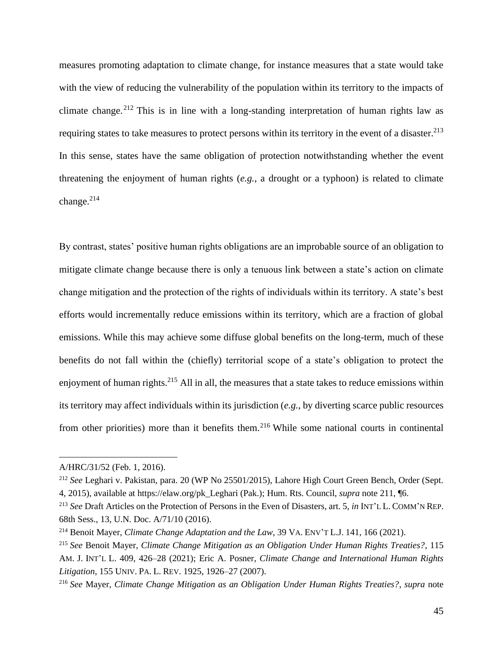measures promoting adaptation to climate change, for instance measures that a state would take with the view of reducing the vulnerability of the population within its territory to the impacts of climate change.<sup>212</sup> This is in line with a long-standing interpretation of human rights law as requiring states to take measures to protect persons within its territory in the event of a disaster.<sup>213</sup> In this sense, states have the same obligation of protection notwithstanding whether the event threatening the enjoyment of human rights (*e.g.*, a drought or a typhoon) is related to climate change.<sup>214</sup>

By contrast, states' positive human rights obligations are an improbable source of an obligation to mitigate climate change because there is only a tenuous link between a state's action on climate change mitigation and the protection of the rights of individuals within its territory. A state's best efforts would incrementally reduce emissions within its territory, which are a fraction of global emissions. While this may achieve some diffuse global benefits on the long-term, much of these benefits do not fall within the (chiefly) territorial scope of a state's obligation to protect the enjoyment of human rights.<sup>215</sup> All in all, the measures that a state takes to reduce emissions within its territory may affect individuals within its jurisdiction (*e.g.*, by diverting scarce public resources from other priorities) more than it benefits them.<sup>216</sup> While some national courts in continental

<span id="page-44-0"></span>A/HRC/31/52 (Feb. 1, 2016).

<sup>212</sup> *See* Leghari v. Pakistan, para. 20 (WP No 25501/2015), Lahore High Court Green Bench, Order (Sept. 4, 2015), available at https://elaw.org/pk\_Leghari (Pak.); Hum. Rts. Council, *supra* note [211,](#page-43-0) ¶6.

<sup>213</sup> *See* Draft Articles on the Protection of Persons in the Even of Disasters, art. 5, *in* INT'L L. COMM'N REP. 68th Sess., 13, U.N. Doc. A/71/10 (2016).

<sup>214</sup> Benoit Mayer, *Climate Change Adaptation and the Law*, 39 VA. ENV'T L.J. 141, 166 (2021).

<sup>215</sup> *See* Benoit Mayer, *Climate Change Mitigation as an Obligation Under Human Rights Treaties?*, 115 AM. J. INT'L L. 409, 426–28 (2021); Eric A. Posner, *Climate Change and International Human Rights Litigation*, 155 UNIV. PA. L. REV. 1925, 1926–27 (2007).

<sup>216</sup> *See* Mayer, *Climate Change Mitigation as an Obligation Under Human Rights Treaties?*, *supra* note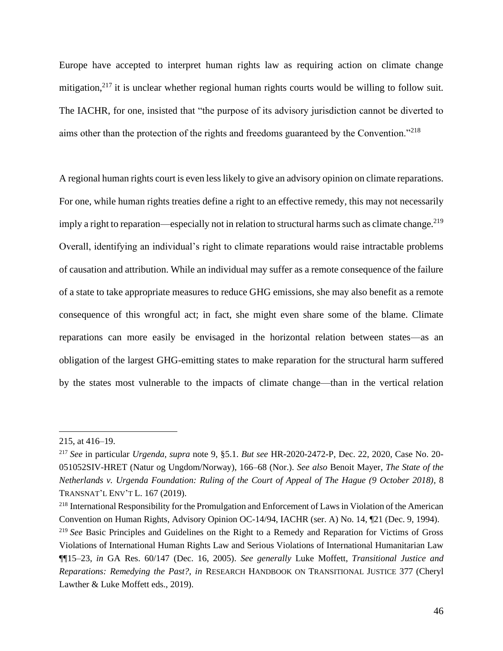Europe have accepted to interpret human rights law as requiring action on climate change mitigation, $2^{17}$  it is unclear whether regional human rights courts would be willing to follow suit. The IACHR, for one, insisted that "the purpose of its advisory jurisdiction cannot be diverted to aims other than the protection of the rights and freedoms guaranteed by the Convention."<sup>218</sup>

<span id="page-45-0"></span>A regional human rights court is even less likely to give an advisory opinion on climate reparations. For one, while human rights treaties define a right to an effective remedy, this may not necessarily imply a right to reparation—especially not in relation to structural harms such as climate change.<sup>219</sup> Overall, identifying an individual's right to climate reparations would raise intractable problems of causation and attribution. While an individual may suffer as a remote consequence of the failure of a state to take appropriate measures to reduce GHG emissions, she may also benefit as a remote consequence of this wrongful act; in fact, she might even share some of the blame. Climate reparations can more easily be envisaged in the horizontal relation between states—as an obligation of the largest GHG-emitting states to make reparation for the structural harm suffered by the states most vulnerable to the impacts of climate change—than in the vertical relation

[<sup>215,</sup>](#page-44-0) at 416–19.

<sup>217</sup> *See* in particular *Urgenda*, *supra* note [9,](#page-3-0) §5.1. *But see* HR-2020-2472-P, Dec. 22, 2020, Case No. 20- 051052SIV-HRET (Natur og Ungdom/Norway), 166–68 (Nor.). *See also* Benoit Mayer, *The State of the Netherlands v. Urgenda Foundation: Ruling of the Court of Appeal of The Hague (9 October 2018)*, 8 TRANSNAT'L ENV'T L. 167 (2019).

<sup>218</sup> International Responsibility for the Promulgation and Enforcement of Laws in Violation of the American Convention on Human Rights, Advisory Opinion OC-14/94, IACHR (ser. A) No. 14, ¶21 (Dec. 9, 1994).

<sup>219</sup> *See* Basic Principles and Guidelines on the Right to a Remedy and Reparation for Victims of Gross Violations of International Human Rights Law and Serious Violations of International Humanitarian Law ¶¶15–23, *in* GA Res. 60/147 (Dec. 16, 2005). *See generally* Luke Moffett, *Transitional Justice and Reparations: Remedying the Past?*, *in* RESEARCH HANDBOOK ON TRANSITIONAL JUSTICE 377 (Cheryl Lawther & Luke Moffett eds., 2019).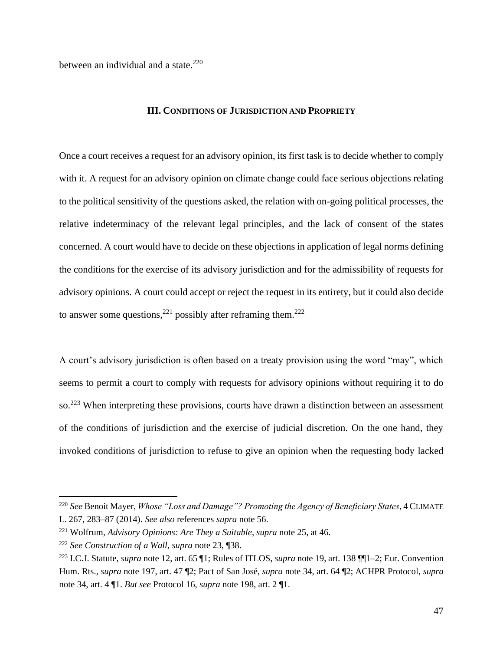between an individual and a state. $220$ 

#### **III. CONDITIONS OF JURISDICTION AND PROPRIETY**

Once a court receives a request for an advisory opinion, its first task is to decide whether to comply with it. A request for an advisory opinion on climate change could face serious objections relating to the political sensitivity of the questions asked, the relation with on-going political processes, the relative indeterminacy of the relevant legal principles, and the lack of consent of the states concerned. A court would have to decide on these objections in application of legal norms defining the conditions for the exercise of its advisory jurisdiction and for the admissibility of requests for advisory opinions. A court could accept or reject the request in its entirety, but it could also decide to answer some questions,<sup>221</sup> possibly after reframing them.<sup>222</sup>

A court's advisory jurisdiction is often based on a treaty provision using the word "may", which seems to permit a court to comply with requests for advisory opinions without requiring it to do so.<sup>223</sup> When interpreting these provisions, courts have drawn a distinction between an assessment of the conditions of jurisdiction and the exercise of judicial discretion. On the one hand, they invoked conditions of jurisdiction to refuse to give an opinion when the requesting body lacked

<sup>220</sup> *See* Benoit Mayer, *Whose "Loss and Damage"? Promoting the Agency of Beneficiary States*, 4 CLIMATE L. 267, 283–87 (2014). *See also* references *supra* note [56.](#page-14-0)

<sup>221</sup> Wolfrum, *Advisory Opinions: Are They a Suitable*, *supra* not[e 25,](#page-5-1) at 46.

<sup>222</sup> *See Construction of a Wall*, *supra* note [23,](#page-5-0) ¶38.

<sup>223</sup> I.C.J. Statute, *supra* note [12,](#page-3-1) art. 65 ¶1; Rules of ITLOS, *supra* not[e 19,](#page-4-0) art. 138 ¶¶1–2; Eur. Convention Hum. Rts., *supra* note [197,](#page-40-0) art. 47 ¶2; Pact of San José, *supra* not[e 34,](#page-7-0) art. 64 ¶2; ACHPR Protocol, *supra*  not[e 34,](#page-7-0) art. 4 ¶1. *But see* Protocol 16, *supra* note [198,](#page-40-1) art. 2 ¶1.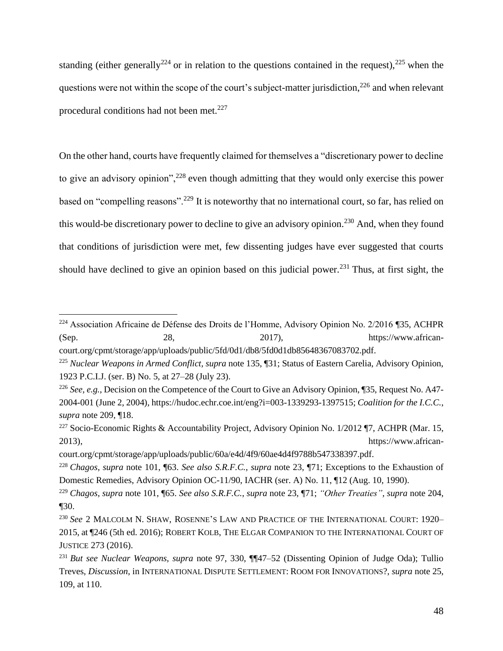<span id="page-47-2"></span>standing (either generally<sup>224</sup> or in relation to the questions contained in the request),<sup>225</sup> when the questions were not within the scope of the court's subject-matter jurisdiction,<sup>226</sup> and when relevant procedural conditions had not been met. $227$ 

<span id="page-47-1"></span><span id="page-47-0"></span>On the other hand, courts have frequently claimed for themselves a "discretionary power to decline to give an advisory opinion",<sup>228</sup> even though admitting that they would only exercise this power based on "compelling reasons".<sup>229</sup> It is noteworthy that no international court, so far, has relied on this would-be discretionary power to decline to give an advisory opinion.<sup>230</sup> And, when they found that conditions of jurisdiction were met, few dissenting judges have ever suggested that courts should have declined to give an opinion based on this judicial power.<sup>231</sup> Thus, at first sight, the

<sup>224</sup> Association Africaine de Défense des Droits de l'Homme, Advisory Opinion No. 2/2016 ¶35, ACHPR  $28$ ,  $2017$ ,  $2017$ ,  $2018$ ,  $2017$ ,  $2018$ ,  $2017$ ,  $2018$ ,  $2017$ 

court.org/cpmt/storage/app/uploads/public/5fd/0d1/db8/5fd0d1db85648367083702.pdf.

<sup>225</sup> *Nuclear Weapons in Armed Conflict*, *supra* note [135,](#page-28-0) ¶31; Status of Eastern Carelia, Advisory Opinion, 1923 P.C.I.J. (ser. B) No. 5, at 27–28 (July 23).

<sup>226</sup> *See, e.g.*, Decision on the Competence of the Court to Give an Advisory Opinion, ¶35, Request No. A47- 2004-001 (June 2, 2004), https://hudoc.echr.coe.int/eng?i=003-1339293-1397515; *Coalition for the I.C.C.*, *supra* note [209,](#page-43-1) ¶18.

<sup>&</sup>lt;sup>227</sup> Socio-Economic Rights & Accountability Project, Advisory Opinion No. 1/2012 ¶7, ACHPR (Mar. 15, 2013), https://www.african-

court.org/cpmt/storage/app/uploads/public/60a/e4d/4f9/60ae4d4f9788b547338397.pdf.

<sup>228</sup> *Chagos*, *supra* note [101,](#page-21-1) ¶63. *See also S.R.F.C.*, *supra* note [23,](#page-5-0) ¶71; Exceptions to the Exhaustion of Domestic Remedies, Advisory Opinion OC-11/90, IACHR (ser. A) No. 11, ¶12 (Aug. 10, 1990).

<sup>229</sup> *Chagos*, *supra* note [101,](#page-21-1) ¶65. *See also S.R.F.C.*, *supra* note [23,](#page-5-0) ¶71; *"Other Treaties"*, *supra* not[e 204,](#page-42-1) ¶30.

<sup>230</sup> *See* 2 MALCOLM N. SHAW, ROSENNE'S LAW AND PRACTICE OF THE INTERNATIONAL COURT: 1920– 2015, at ¶246 (5th ed. 2016); ROBERT KOLB, THE ELGAR COMPANION TO THE INTERNATIONAL COURT OF JUSTICE 273 (2016).

<sup>231</sup> *But see Nuclear Weapons*, *supra* note [97,](#page-20-0) 330, ¶¶47–52 (Dissenting Opinion of Judge Oda); Tullio Treves, *Discussion*, in INTERNATIONAL DISPUTE SETTLEMENT: ROOM FOR INNOVATIONS?, *supra* note [25,](#page-5-1) 109, at 110.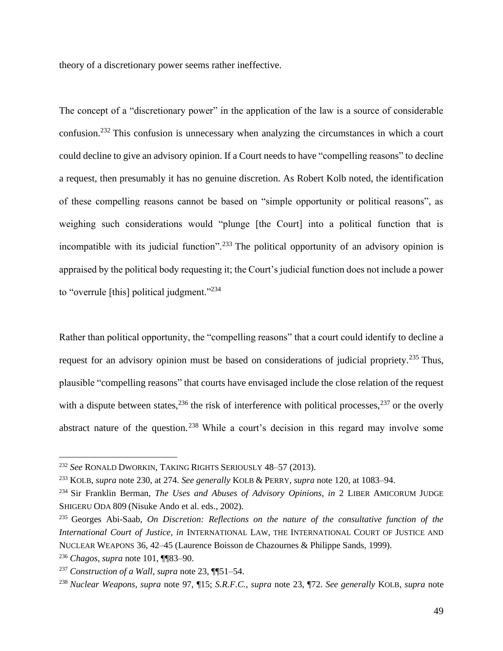theory of a discretionary power seems rather ineffective.

The concept of a "discretionary power" in the application of the law is a source of considerable confusion.<sup>232</sup> This confusion is unnecessary when analyzing the circumstances in which a court could decline to give an advisory opinion. If a Court needs to have "compelling reasons" to decline a request, then presumably it has no genuine discretion. As Robert Kolb noted, the identification of these compelling reasons cannot be based on "simple opportunity or political reasons", as weighing such considerations would "plunge [the Court] into a political function that is incompatible with its judicial function".<sup>233</sup> The political opportunity of an advisory opinion is appraised by the political body requesting it; the Court's judicial function does not include a power to "overrule [this] political judgment."<sup>234</sup>

<span id="page-48-0"></span>Rather than political opportunity, the "compelling reasons" that a court could identify to decline a request for an advisory opinion must be based on considerations of judicial propriety.<sup>235</sup> Thus, plausible "compelling reasons" that courts have envisaged include the close relation of the request with a dispute between states,  $236$  the risk of interference with political processes,  $237$  or the overly abstract nature of the question.<sup>238</sup> While a court's decision in this regard may involve some

<sup>232</sup> *See* RONALD DWORKIN, TAKING RIGHTS SERIOUSLY 48–57 (2013).

<sup>233</sup> KOLB, *supra* note [230,](#page-47-0) at 274. *See generally* KOLB & PERRY, *supra* note [120,](#page-25-0) at 1083–94.

<sup>234</sup> Sir Franklin Berman, *The Uses and Abuses of Advisory Opinions*, *in* 2 LIBER AMICORUM JUDGE SHIGERU ODA 809 (Nisuke Ando et al. eds., 2002).

<sup>235</sup> Georges Abi-Saab, *On Discretion: Reflections on the nature of the consultative function of the International Court of Justice*, *in* INTERNATIONAL LAW, THE INTERNATIONAL COURT OF JUSTICE AND NUCLEAR WEAPONS 36, 42–45 (Laurence Boisson de Chazournes & Philippe Sands, 1999).

<sup>236</sup> *Chagos*, *supra* note [101,](#page-21-1) ¶¶83–90.

<sup>237</sup> *Construction of a Wall*, *supra* note [23,](#page-5-0) ¶¶51–54.

<sup>238</sup> *Nuclear Weapons*, *supra* note [97,](#page-20-0) ¶15; *S.R.F.C.*, *supra* note [23,](#page-5-0) ¶72. *See generally* KOLB, *supra* note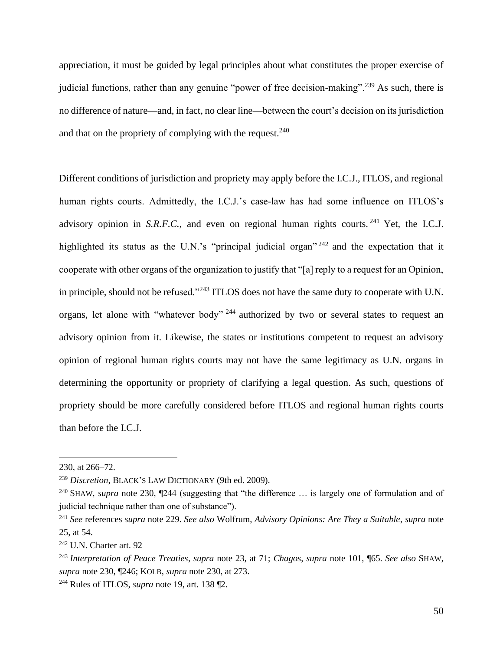appreciation, it must be guided by legal principles about what constitutes the proper exercise of judicial functions, rather than any genuine "power of free decision-making".<sup>239</sup> As such, there is no difference of nature—and, in fact, no clear line—between the court's decision on its jurisdiction and that on the propriety of complying with the request.  $240$ 

Different conditions of jurisdiction and propriety may apply before the I.C.J., ITLOS, and regional human rights courts. Admittedly, the I.C.J.'s case-law has had some influence on ITLOS's advisory opinion in *S.R.F.C.*, and even on regional human rights courts. <sup>241</sup> Yet, the I.C.J. highlighted its status as the U.N.'s "principal judicial organ"  $242$  and the expectation that it cooperate with other organs of the organization to justify that "[a] reply to a request for an Opinion, in principle, should not be refused."<sup>243</sup> ITLOS does not have the same duty to cooperate with U.N. organs, let alone with "whatever body" <sup>244</sup> authorized by two or several states to request an advisory opinion from it. Likewise, the states or institutions competent to request an advisory opinion of regional human rights courts may not have the same legitimacy as U.N. organs in determining the opportunity or propriety of clarifying a legal question. As such, questions of propriety should be more carefully considered before ITLOS and regional human rights courts than before the I.C.J.

[<sup>230,</sup>](#page-47-0) at 266–72.

<sup>239</sup> *Discretion*, BLACK'S LAW DICTIONARY (9th ed. 2009).

<sup>240</sup> SHAW, *supra* note [230,](#page-47-0) ¶244 (suggesting that "the difference … is largely one of formulation and of judicial technique rather than one of substance").

<sup>241</sup> *See* references *supra* note [229.](#page-47-1) *See also* Wolfrum, *Advisory Opinions: Are They a Suitable*, *supra* note [25,](#page-5-1) at 54.

<sup>242</sup> U.N. Charter art. 92

<sup>243</sup> *Interpretation of Peace Treaties*, *supra* note [23,](#page-5-0) at 71; *Chagos*, *supra* note [101,](#page-21-1) ¶65. *See also* SHAW, *supra* note [230,](#page-47-0) ¶246; KOLB, *supra* not[e 230,](#page-47-0) at 273.

<sup>244</sup> Rules of ITLOS, *supra* note [19,](#page-4-0) art. 138 ¶2.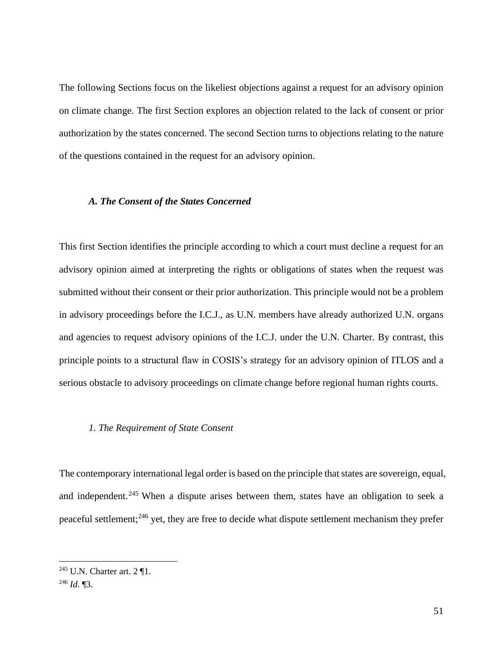The following Sections focus on the likeliest objections against a request for an advisory opinion on climate change. The first Section explores an objection related to the lack of consent or prior authorization by the states concerned. The second Section turns to objections relating to the nature of the questions contained in the request for an advisory opinion.

## *A. The Consent of the States Concerned*

This first Section identifies the principle according to which a court must decline a request for an advisory opinion aimed at interpreting the rights or obligations of states when the request was submitted without their consent or their prior authorization. This principle would not be a problem in advisory proceedings before the I.C.J., as U.N. members have already authorized U.N. organs and agencies to request advisory opinions of the I.C.J. under the U.N. Charter. By contrast, this principle points to a structural flaw in COSIS's strategy for an advisory opinion of ITLOS and a serious obstacle to advisory proceedings on climate change before regional human rights courts.

# *1. The Requirement of State Consent*

<span id="page-50-0"></span>The contemporary international legal order is based on the principle that states are sovereign, equal, and independent.<sup>245</sup> When a dispute arises between them, states have an obligation to seek a peaceful settlement;<sup>246</sup> yet, they are free to decide what dispute settlement mechanism they prefer

<sup>&</sup>lt;sup>245</sup> U.N. Charter art.  $2 \text{ } \mathbb{I}$ 1.

<sup>246</sup> *Id.* ¶3.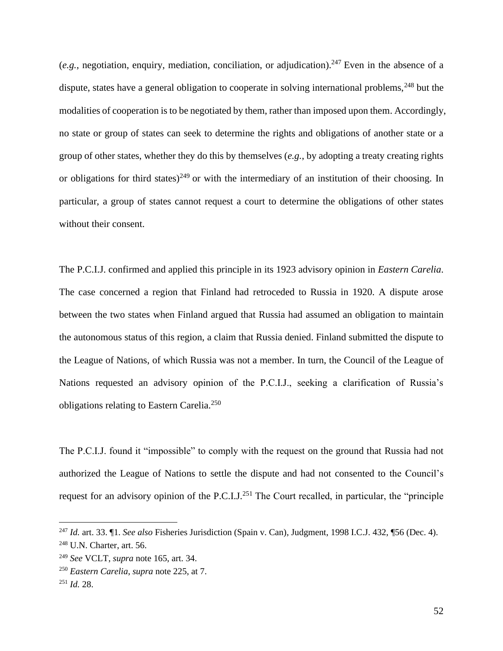$(e.g.,\text{negulation},\text{equity},\text{median},\text{conculation},\text{or } \text{adjidication})$ .<sup>247</sup> Even in the absence of a dispute, states have a general obligation to cooperate in solving international problems,  $248$  but the modalities of cooperation is to be negotiated by them, rather than imposed upon them. Accordingly, no state or group of states can seek to determine the rights and obligations of another state or a group of other states, whether they do this by themselves (*e.g.*, by adopting a treaty creating rights or obligations for third states)<sup>249</sup> or with the intermediary of an institution of their choosing. In particular, a group of states cannot request a court to determine the obligations of other states without their consent.

The P.C.I.J. confirmed and applied this principle in its 1923 advisory opinion in *Eastern Carelia*. The case concerned a region that Finland had retroceded to Russia in 1920. A dispute arose between the two states when Finland argued that Russia had assumed an obligation to maintain the autonomous status of this region, a claim that Russia denied. Finland submitted the dispute to the League of Nations, of which Russia was not a member. In turn, the Council of the League of Nations requested an advisory opinion of the P.C.I.J., seeking a clarification of Russia's obligations relating to Eastern Carelia.<sup>250</sup>

The P.C.I.J. found it "impossible" to comply with the request on the ground that Russia had not authorized the League of Nations to settle the dispute and had not consented to the Council's request for an advisory opinion of the P.C.I.J.<sup>251</sup> The Court recalled, in particular, the "principle"

<sup>247</sup> *Id.* art. 33. ¶1. *See also* Fisheries Jurisdiction (Spain v. Can), Judgment, 1998 I.C.J. 432, ¶56 (Dec. 4).

<sup>248</sup> U.N. Charter, art. 56.

<sup>249</sup> *See* VCLT, *supra* note [165,](#page-33-2) art. 34.

<sup>250</sup> *Eastern Carelia*, *supra* note [225,](#page-47-2) at 7.

<sup>251</sup> *Id.* 28.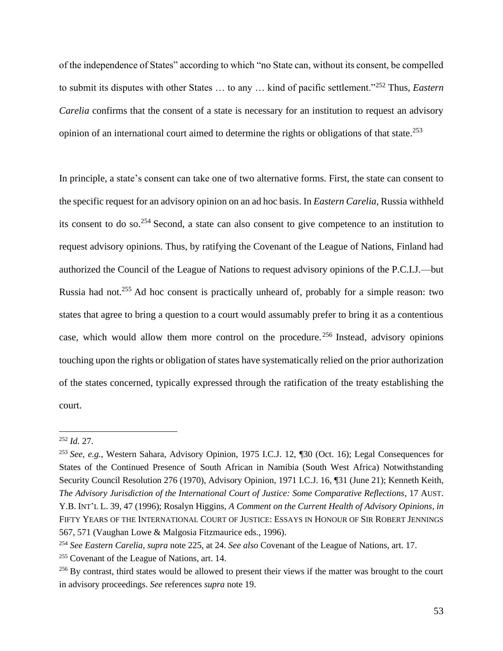of the independence of States" according to which "no State can, without its consent, be compelled to submit its disputes with other States … to any … kind of pacific settlement."<sup>252</sup> Thus, *Eastern Carelia* confirms that the consent of a state is necessary for an institution to request an advisory opinion of an international court aimed to determine the rights or obligations of that state.<sup>253</sup>

<span id="page-52-0"></span>In principle, a state's consent can take one of two alternative forms. First, the state can consent to the specific request for an advisory opinion on an ad hoc basis. In *Eastern Carelia*, Russia withheld its consent to do so.<sup>254</sup> Second, a state can also consent to give competence to an institution to request advisory opinions. Thus, by ratifying the Covenant of the League of Nations, Finland had authorized the Council of the League of Nations to request advisory opinions of the P.C.I.J.—but Russia had not.<sup>255</sup> Ad hoc consent is practically unheard of, probably for a simple reason: two states that agree to bring a question to a court would assumably prefer to bring it as a contentious case, which would allow them more control on the procedure. <sup>256</sup> Instead, advisory opinions touching upon the rights or obligation of states have systematically relied on the prior authorization of the states concerned, typically expressed through the ratification of the treaty establishing the court.

<sup>252</sup> *Id.* 27.

<sup>253</sup> *See, e.g.*, Western Sahara, Advisory Opinion, 1975 I.C.J. 12, ¶30 (Oct. 16); Legal Consequences for States of the Continued Presence of South African in Namibia (South West Africa) Notwithstanding Security Council Resolution 276 (1970), Advisory Opinion, 1971 I.C.J. 16, ¶31 (June 21); Kenneth Keith, *The Advisory Jurisdiction of the International Court of Justice: Some Comparative Reflections*, 17 AUST. Y.B. INT'L L. 39, 47 (1996); Rosalyn Higgins, *A Comment on the Current Health of Advisory Opinions*, *in* FIFTY YEARS OF THE INTERNATIONAL COURT OF JUSTICE: ESSAYS IN HONOUR OF SIR ROBERT JENNINGS 567, 571 (Vaughan Lowe & Malgosia Fitzmaurice eds., 1996).

<sup>254</sup> *See Eastern Carelia*, *supra* note [225,](#page-47-2) at 24. *See also* Covenant of the League of Nations, art. 17.

<sup>255</sup> Covenant of the League of Nations, art. 14.

<sup>&</sup>lt;sup>256</sup> By contrast, third states would be allowed to present their views if the matter was brought to the court in advisory proceedings. *See* references *supra* note [19.](#page-4-0)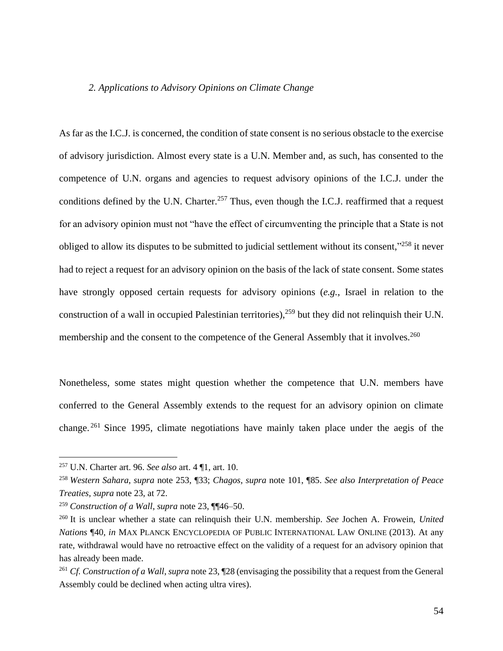### *2. Applications to Advisory Opinions on Climate Change*

As far as the I.C.J. is concerned, the condition of state consent is no serious obstacle to the exercise of advisory jurisdiction. Almost every state is a U.N. Member and, as such, has consented to the competence of U.N. organs and agencies to request advisory opinions of the I.C.J. under the conditions defined by the U.N. Charter.<sup>257</sup> Thus, even though the I.C.J. reaffirmed that a request for an advisory opinion must not "have the effect of circumventing the principle that a State is not obliged to allow its disputes to be submitted to judicial settlement without its consent,"<sup>258</sup> it never had to reject a request for an advisory opinion on the basis of the lack of state consent. Some states have strongly opposed certain requests for advisory opinions (*e.g.*, Israel in relation to the construction of a wall in occupied Palestinian territories),  $259$  but they did not relinquish their U.N. membership and the consent to the competence of the General Assembly that it involves.<sup>260</sup>

Nonetheless, some states might question whether the competence that U.N. members have conferred to the General Assembly extends to the request for an advisory opinion on climate change. <sup>261</sup> Since 1995, climate negotiations have mainly taken place under the aegis of the

<sup>257</sup> U.N. Charter art. 96. *See also* art. 4 ¶1, art. 10.

<sup>258</sup> *Western Sahara*, *supra* note [253,](#page-52-0) ¶33; *Chagos*, *supra* note [101,](#page-21-1) ¶85. *See also Interpretation of Peace Treaties*, *supra* note [23,](#page-5-0) at 72.

<sup>259</sup> *Construction of a Wall*, *supra* note [23,](#page-5-0) ¶¶46–50.

<sup>260</sup> It is unclear whether a state can relinquish their U.N. membership. *See* Jochen A. Frowein, *United Nations* ¶40, *in* MAX PLANCK ENCYCLOPEDIA OF PUBLIC INTERNATIONAL LAW ONLINE (2013). At any rate, withdrawal would have no retroactive effect on the validity of a request for an advisory opinion that has already been made.

<sup>261</sup> *Cf. Construction of a Wall*, *supra* not[e 23,](#page-5-0) ¶28 (envisaging the possibility that a request from the General Assembly could be declined when acting ultra vires).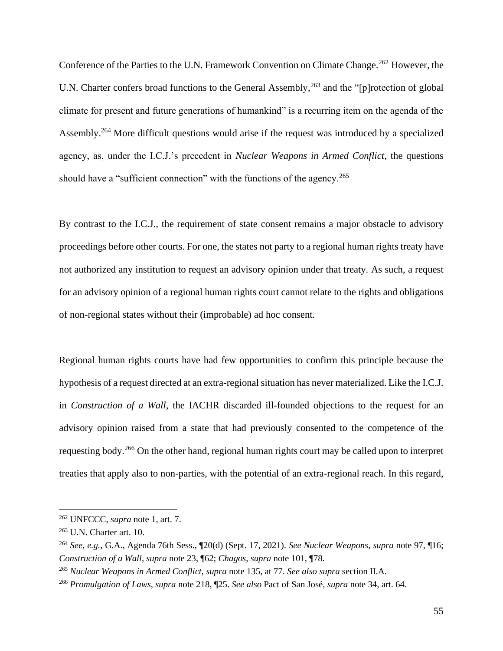Conference of the Parties to the U.N. Framework Convention on Climate Change.<sup>262</sup> However, the U.N. Charter confers broad functions to the General Assembly,<sup>263</sup> and the "[p]rotection of global climate for present and future generations of humankind" is a recurring item on the agenda of the Assembly.<sup>264</sup> More difficult questions would arise if the request was introduced by a specialized agency, as, under the I.C.J.'s precedent in *Nuclear Weapons in Armed Conflict*, the questions should have a "sufficient connection" with the functions of the agency.<sup>265</sup>

By contrast to the I.C.J., the requirement of state consent remains a major obstacle to advisory proceedings before other courts. For one, the states not party to a regional human rights treaty have not authorized any institution to request an advisory opinion under that treaty. As such, a request for an advisory opinion of a regional human rights court cannot relate to the rights and obligations of non-regional states without their (improbable) ad hoc consent.

Regional human rights courts have had few opportunities to confirm this principle because the hypothesis of a request directed at an extra-regional situation has never materialized. Like the I.C.J. in *Construction of a Wall*, the IACHR discarded ill-founded objections to the request for an advisory opinion raised from a state that had previously consented to the competence of the requesting body.<sup>266</sup> On the other hand, regional human rights court may be called upon to interpret treaties that apply also to non-parties, with the potential of an extra-regional reach. In this regard,

<sup>262</sup> UNFCCC, *supra* note [1,](#page-2-0) art. 7.

<sup>263</sup> U.N. Charter art. 10.

<sup>264</sup> *See, e.g.*, G.A., Agenda 76th Sess., ¶20(d) (Sept. 17, 2021). *See Nuclear Weapons*, *supra* note [97,](#page-20-0) ¶16; *Construction of a Wall*, *supra* note [23,](#page-5-0) ¶62; *Chagos*, *supra* note [101,](#page-21-1) ¶78.

<sup>265</sup> *Nuclear Weapons in Armed Conflict*, *supra* note [135,](#page-28-0) at 77. *See also supra* section II.A.

<sup>266</sup> *Promulgation of Laws*, *supra* note [218,](#page-45-0) ¶25. *See also* Pact of San José, *supra* note [34,](#page-7-0) art. 64.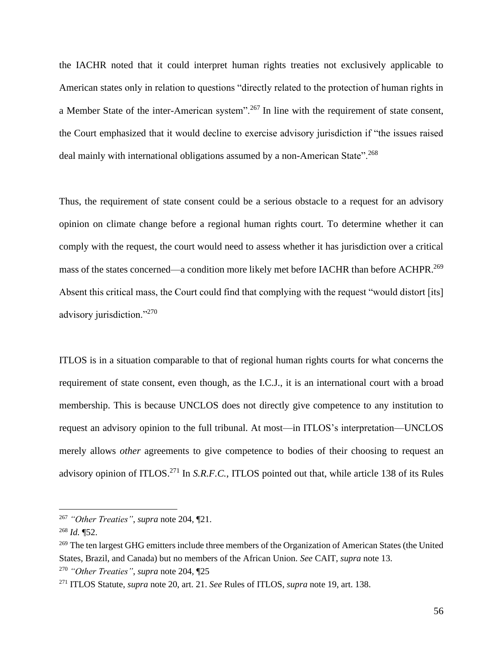the IACHR noted that it could interpret human rights treaties not exclusively applicable to American states only in relation to questions "directly related to the protection of human rights in a Member State of the inter-American system".<sup>267</sup> In line with the requirement of state consent, the Court emphasized that it would decline to exercise advisory jurisdiction if "the issues raised deal mainly with international obligations assumed by a non-American State".<sup>268</sup>

Thus, the requirement of state consent could be a serious obstacle to a request for an advisory opinion on climate change before a regional human rights court. To determine whether it can comply with the request, the court would need to assess whether it has jurisdiction over a critical mass of the states concerned—a condition more likely met before IACHR than before ACHPR.<sup>269</sup> Absent this critical mass, the Court could find that complying with the request "would distort [its] advisory jurisdiction."<sup>270</sup>

ITLOS is in a situation comparable to that of regional human rights courts for what concerns the requirement of state consent, even though, as the I.C.J., it is an international court with a broad membership. This is because UNCLOS does not directly give competence to any institution to request an advisory opinion to the full tribunal. At most—in ITLOS's interpretation—UNCLOS merely allows *other* agreements to give competence to bodies of their choosing to request an advisory opinion of ITLOS. <sup>271</sup> In *S.R.F.C.*, ITLOS pointed out that, while article 138 of its Rules

<sup>267</sup> *"Other Treaties"*, *supra* note [204,](#page-42-1) ¶21.

<sup>268</sup> *Id.* ¶52.

<sup>&</sup>lt;sup>269</sup> The ten largest GHG emitters include three members of the Organization of American States (the United States, Brazil, and Canada) but no members of the African Union. *See* CAIT, *supra* note [13.](#page-3-2) <sup>270</sup> *"Other Treaties"*, *supra* note [204,](#page-42-1) ¶25

<sup>271</sup> ITLOS Statute, *supra* not[e 20,](#page-4-1) art. 21. *See* Rules of ITLOS, *supra* not[e 19,](#page-4-0) art. 138.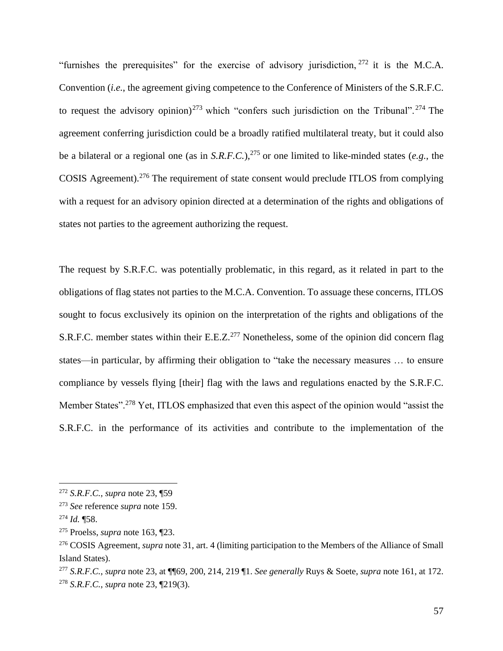"furnishes the prerequisites" for the exercise of advisory jurisdiction,  $272$  it is the M.C.A. Convention (*i.e.*, the agreement giving competence to the Conference of Ministers of the S.R.F.C. to request the advisory opinion)<sup>273</sup> which "confers such jurisdiction on the Tribunal".<sup>274</sup> The agreement conferring jurisdiction could be a broadly ratified multilateral treaty, but it could also be a bilateral or a regional one (as in *S.R.F.C.*), <sup>275</sup> or one limited to like-minded states (*e.g.*, the COSIS Agreement). <sup>276</sup> The requirement of state consent would preclude ITLOS from complying with a request for an advisory opinion directed at a determination of the rights and obligations of states not parties to the agreement authorizing the request.

The request by S.R.F.C. was potentially problematic, in this regard, as it related in part to the obligations of flag states not parties to the M.C.A. Convention. To assuage these concerns, ITLOS sought to focus exclusively its opinion on the interpretation of the rights and obligations of the S.R.F.C. member states within their E.E.Z.<sup>277</sup> Nonetheless, some of the opinion did concern flag states—in particular, by affirming their obligation to "take the necessary measures … to ensure compliance by vessels flying [their] flag with the laws and regulations enacted by the S.R.F.C. Member States".<sup>278</sup> Yet, ITLOS emphasized that even this aspect of the opinion would "assist the S.R.F.C. in the performance of its activities and contribute to the implementation of the

<sup>272</sup> *S.R.F.C.*, *supra* note [23,](#page-5-0) ¶59

<sup>273</sup> *See* reference *supra* note [159.](#page-32-0)

<sup>274</sup> *Id.* ¶58.

<sup>275</sup> Proelss, *supra* note [163,](#page-33-1) ¶23.

<sup>276</sup> COSIS Agreement, *supra* note [31,](#page-6-0) art. 4 (limiting participation to the Members of the Alliance of Small Island States).

<sup>277</sup> *S.R.F.C.*, *supra* note [23,](#page-5-0) at ¶¶69, 200, 214, 219 ¶1. *See generally* Ruys & Soete, *supra* note [161,](#page-32-1) at 172. <sup>278</sup> *S.R.F.C.*, *supra* note [23,](#page-5-0) ¶219(3).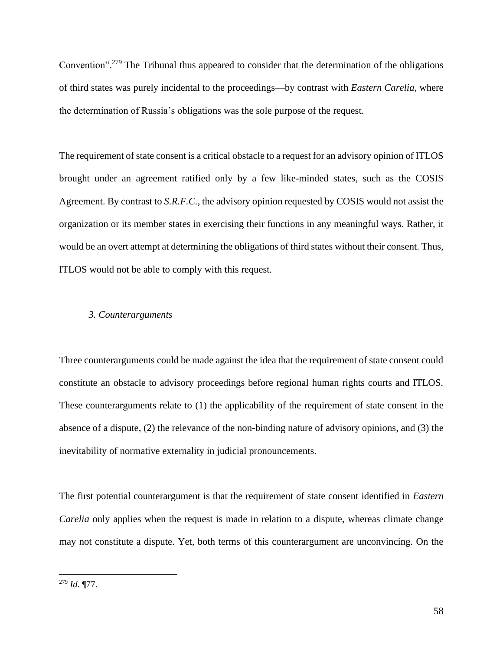Convention".<sup>279</sup> The Tribunal thus appeared to consider that the determination of the obligations of third states was purely incidental to the proceedings—by contrast with *Eastern Carelia*, where the determination of Russia's obligations was the sole purpose of the request.

The requirement of state consent is a critical obstacle to a request for an advisory opinion of ITLOS brought under an agreement ratified only by a few like-minded states, such as the COSIS Agreement. By contrast to *S.R.F.C.*, the advisory opinion requested by COSIS would not assist the organization or its member states in exercising their functions in any meaningful ways. Rather, it would be an overt attempt at determining the obligations of third states without their consent. Thus, ITLOS would not be able to comply with this request.

#### *3. Counterarguments*

Three counterarguments could be made against the idea that the requirement of state consent could constitute an obstacle to advisory proceedings before regional human rights courts and ITLOS. These counterarguments relate to (1) the applicability of the requirement of state consent in the absence of a dispute, (2) the relevance of the non-binding nature of advisory opinions, and (3) the inevitability of normative externality in judicial pronouncements.

The first potential counterargument is that the requirement of state consent identified in *Eastern Carelia* only applies when the request is made in relation to a dispute, whereas climate change may not constitute a dispute. Yet, both terms of this counterargument are unconvincing. On the

<sup>279</sup> *Id*. ¶77.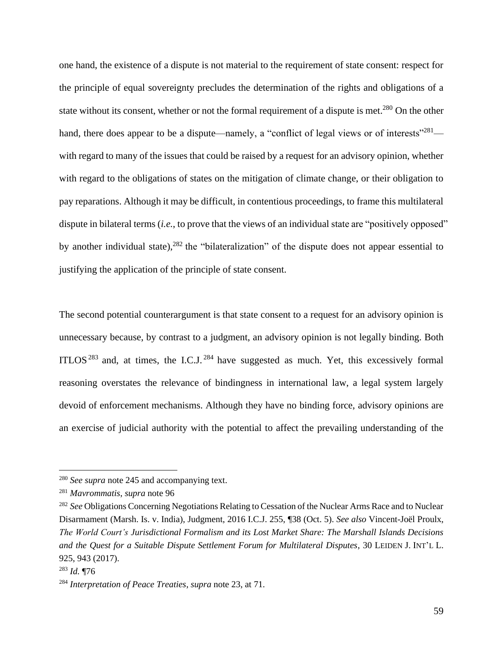one hand, the existence of a dispute is not material to the requirement of state consent: respect for the principle of equal sovereignty precludes the determination of the rights and obligations of a state without its consent, whether or not the formal requirement of a dispute is met.<sup>280</sup> On the other hand, there does appear to be a dispute—namely, a "conflict of legal views or of interests"<sup>281</sup> with regard to many of the issues that could be raised by a request for an advisory opinion, whether with regard to the obligations of states on the mitigation of climate change, or their obligation to pay reparations. Although it may be difficult, in contentious proceedings, to frame this multilateral dispute in bilateral terms *(i.e., to prove that the views of an individual state are "positively opposed"* by another individual state),<sup>282</sup> the "bilateralization" of the dispute does not appear essential to justifying the application of the principle of state consent.

<span id="page-58-0"></span>The second potential counterargument is that state consent to a request for an advisory opinion is unnecessary because, by contrast to a judgment, an advisory opinion is not legally binding. Both ITLOS<sup>283</sup> and, at times, the I.C.J.<sup>284</sup> have suggested as much. Yet, this excessively formal reasoning overstates the relevance of bindingness in international law, a legal system largely devoid of enforcement mechanisms. Although they have no binding force, advisory opinions are an exercise of judicial authority with the potential to affect the prevailing understanding of the

<sup>280</sup> *See supra* note [245](#page-50-0) and accompanying text.

<sup>281</sup> *Mavrommatis*, *supra* note [96](#page-20-1)

<sup>&</sup>lt;sup>282</sup> See Obligations Concerning Negotiations Relating to Cessation of the Nuclear Arms Race and to Nuclear Disarmament (Marsh. Is. v. India), Judgment, 2016 I.C.J. 255, ¶38 (Oct. 5). *See also* Vincent-Joël Proulx, *The World Court's Jurisdictional Formalism and its Lost Market Share: The Marshall Islands Decisions and the Quest for a Suitable Dispute Settlement Forum for Multilateral Disputes*, 30 LEIDEN J. INT'L L. 925, 943 (2017).

<sup>283</sup> *Id.* ¶76

<sup>284</sup> *Interpretation of Peace Treaties*, *supra* not[e 23,](#page-5-0) at 71.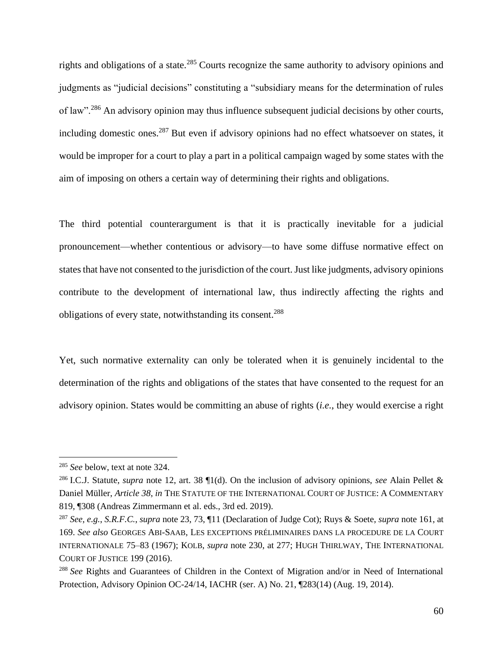rights and obligations of a state.<sup>285</sup> Courts recognize the same authority to advisory opinions and judgments as "judicial decisions" constituting a "subsidiary means for the determination of rules of law".<sup>286</sup> An advisory opinion may thus influence subsequent judicial decisions by other courts, including domestic ones.<sup>287</sup> But even if advisory opinions had no effect whatsoever on states, it would be improper for a court to play a part in a political campaign waged by some states with the aim of imposing on others a certain way of determining their rights and obligations.

The third potential counterargument is that it is practically inevitable for a judicial pronouncement—whether contentious or advisory—to have some diffuse normative effect on states that have not consented to the jurisdiction of the court. Just like judgments, advisory opinions contribute to the development of international law, thus indirectly affecting the rights and obligations of every state, notwithstanding its consent.<sup>288</sup>

Yet, such normative externality can only be tolerated when it is genuinely incidental to the determination of the rights and obligations of the states that have consented to the request for an advisory opinion. States would be committing an abuse of rights (*i.e.*, they would exercise a right

<sup>285</sup> *See* below, text at note [324.](#page-67-0)

<sup>286</sup> I.C.J. Statute, *supra* note [12,](#page-3-1) art. 38 ¶1(d). On the inclusion of advisory opinions, *see* Alain Pellet & Daniel Müller, *Article 38*, *in* THE STATUTE OF THE INTERNATIONAL COURT OF JUSTICE: A COMMENTARY 819, ¶308 (Andreas Zimmermann et al. eds., 3rd ed. 2019).

<sup>287</sup> *See, e.g.*, *S.R.F.C.*, *supra* note [23,](#page-5-0) 73, ¶11 (Declaration of Judge Cot); Ruys & Soete, *supra* note [161,](#page-32-1) at 169. *See also* GEORGES ABI-SAAB, LES EXCEPTIONS PRÉLIMINAIRES DANS LA PROCEDURE DE LA COURT INTERNATIONALE 75–83 (1967); KOLB, *supra* note [230,](#page-47-0) at 277; HUGH THIRLWAY, THE INTERNATIONAL COURT OF JUSTICE 199 (2016).

<sup>288</sup> *See* Rights and Guarantees of Children in the Context of Migration and/or in Need of International Protection, Advisory Opinion OC-24/14, IACHR (ser. A) No. 21, ¶283(14) (Aug. 19, 2014).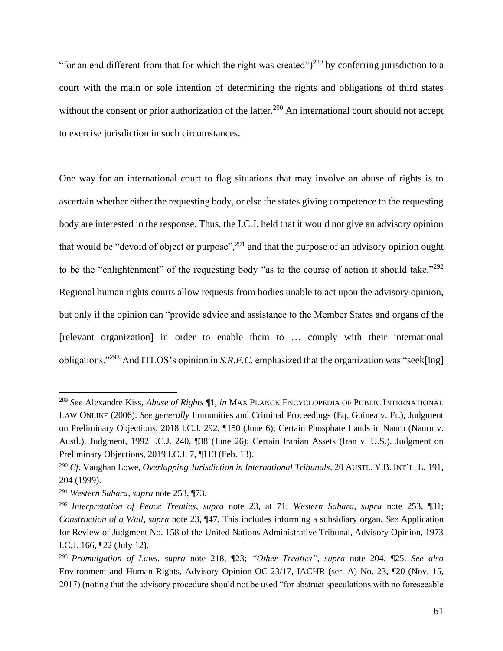"for an end different from that for which the right was created" $)^{289}$  by conferring jurisdiction to a court with the main or sole intention of determining the rights and obligations of third states without the consent or prior authorization of the latter.<sup>290</sup> An international court should not accept to exercise jurisdiction in such circumstances.

One way for an international court to flag situations that may involve an abuse of rights is to ascertain whether either the requesting body, or else the states giving competence to the requesting body are interested in the response. Thus, the I.C.J. held that it would not give an advisory opinion that would be "devoid of object or purpose",<sup>291</sup> and that the purpose of an advisory opinion ought to be the "enlightenment" of the requesting body "as to the course of action it should take."<sup>292</sup> Regional human rights courts allow requests from bodies unable to act upon the advisory opinion, but only if the opinion can "provide advice and assistance to the Member States and organs of the [relevant organization] in order to enable them to … comply with their international obligations."<sup>293</sup> And ITLOS's opinion in *S.R.F.C.* emphasized that the organization was "seek[ing]

<sup>289</sup> *See* Alexandre Kiss, *Abuse of Rights* ¶1, *in* MAX PLANCK ENCYCLOPEDIA OF PUBLIC INTERNATIONAL LAW ONLINE (2006). *See generally* Immunities and Criminal Proceedings (Eq. Guinea v. Fr.), Judgment on Preliminary Objections, 2018 I.C.J. 292, ¶150 (June 6); Certain Phosphate Lands in Nauru (Nauru v. Austl.), Judgment, 1992 I.C.J. 240, ¶38 (June 26); Certain Iranian Assets (Iran v. U.S.), Judgment on Preliminary Objections, 2019 I.C.J. 7, ¶113 (Feb. 13).

<sup>290</sup> *Cf.* Vaughan Lowe, *Overlapping Jurisdiction in International Tribunals*, 20 AUSTL. Y.B. INT'L. L. 191, 204 (1999).

<sup>291</sup> *Western Sahara*, *supra* note [253,](#page-52-0) ¶73.

<sup>292</sup> *Interpretation of Peace Treaties*, *supra* note [23,](#page-5-0) at 71; *Western Sahara*, *supra* note [253,](#page-52-0) ¶31; *Construction of a Wall*, *supra* note [23,](#page-5-0) ¶47. This includes informing a subsidiary organ. *See* Application for Review of Judgment No. 158 of the United Nations Administrative Tribunal, Advisory Opinion, 1973 I.C.J. 166, ¶22 (July 12).

<sup>293</sup> *Promulgation of Laws*, *supra* note [218,](#page-45-0) ¶23; *"Other Treaties"*, *supra* note [204,](#page-42-1) ¶25. *See also* Environment and Human Rights, Advisory Opinion OC-23/17, IACHR (ser. A) No. 23, ¶20 (Nov. 15, 2017) (noting that the advisory procedure should not be used "for abstract speculations with no foreseeable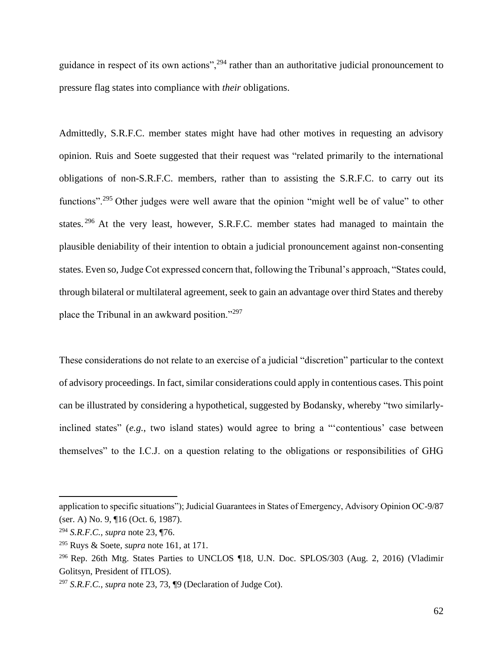guidance in respect of its own actions",<sup>294</sup> rather than an authoritative judicial pronouncement to pressure flag states into compliance with *their* obligations.

Admittedly, S.R.F.C. member states might have had other motives in requesting an advisory opinion. Ruis and Soete suggested that their request was "related primarily to the international obligations of non-S.R.F.C. members, rather than to assisting the S.R.F.C. to carry out its functions".<sup>295</sup> Other judges were well aware that the opinion "might well be of value" to other states.<sup>296</sup> At the very least, however, S.R.F.C. member states had managed to maintain the plausible deniability of their intention to obtain a judicial pronouncement against non-consenting states. Even so, Judge Cot expressed concern that, following the Tribunal's approach, "States could, through bilateral or multilateral agreement, seek to gain an advantage over third States and thereby place the Tribunal in an awkward position."<sup>297</sup>

These considerations do not relate to an exercise of a judicial "discretion" particular to the context of advisory proceedings. In fact, similar considerations could apply in contentious cases. This point can be illustrated by considering a hypothetical, suggested by Bodansky, whereby "two similarlyinclined states" (*e.g.*, two island states) would agree to bring a "'contentious' case between themselves" to the I.C.J. on a question relating to the obligations or responsibilities of GHG

application to specific situations"); Judicial Guarantees in States of Emergency, Advisory Opinion OC-9/87 (ser. A) No. 9, ¶16 (Oct. 6, 1987).

<sup>294</sup> *S.R.F.C.*, *supra* note [23,](#page-5-0) ¶76.

<sup>295</sup> Ruys & Soete, *supra* note [161,](#page-32-1) at 171.

<sup>&</sup>lt;sup>296</sup> Rep. 26th Mtg. States Parties to UNCLOS ¶18, U.N. Doc. SPLOS/303 (Aug. 2, 2016) (Vladimir Golitsyn, President of ITLOS).

<sup>297</sup> *S.R.F.C.*, *supra* note [23,](#page-5-0) 73, ¶9 (Declaration of Judge Cot).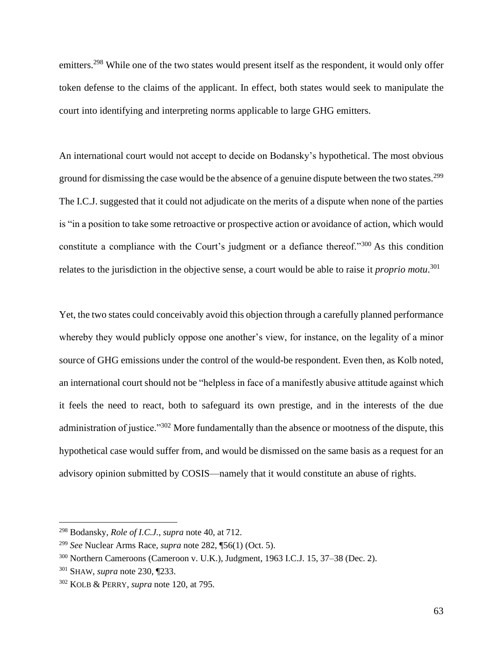emitters.<sup>298</sup> While one of the two states would present itself as the respondent, it would only offer token defense to the claims of the applicant. In effect, both states would seek to manipulate the court into identifying and interpreting norms applicable to large GHG emitters.

An international court would not accept to decide on Bodansky's hypothetical. The most obvious ground for dismissing the case would be the absence of a genuine dispute between the two states.<sup>299</sup> The I.C.J. suggested that it could not adjudicate on the merits of a dispute when none of the parties is "in a position to take some retroactive or prospective action or avoidance of action, which would constitute a compliance with the Court's judgment or a defiance thereof."<sup>300</sup> As this condition relates to the jurisdiction in the objective sense, a court would be able to raise it *proprio motu*. 301

Yet, the two states could conceivably avoid this objection through a carefully planned performance whereby they would publicly oppose one another's view, for instance, on the legality of a minor source of GHG emissions under the control of the would-be respondent. Even then, as Kolb noted, an international court should not be "helpless in face of a manifestly abusive attitude against which it feels the need to react, both to safeguard its own prestige, and in the interests of the due administration of justice."<sup>302</sup> More fundamentally than the absence or mootness of the dispute, this hypothetical case would suffer from, and would be dismissed on the same basis as a request for an advisory opinion submitted by COSIS—namely that it would constitute an abuse of rights.

<sup>298</sup> Bodansky, *Role of I.C.J.*, *supra* note [40,](#page-8-0) at 712.

<sup>299</sup> *See* Nuclear Arms Race, *supra* note [282,](#page-58-0) ¶56(1) (Oct. 5).

<sup>300</sup> Northern Cameroons (Cameroon v. U.K.), Judgment, 1963 I.C.J. 15, 37–38 (Dec. 2).

<sup>301</sup> SHAW, *supra* note [230,](#page-47-0) ¶233.

<sup>302</sup> KOLB & PERRY, *supra* note [120,](#page-25-0) at 795.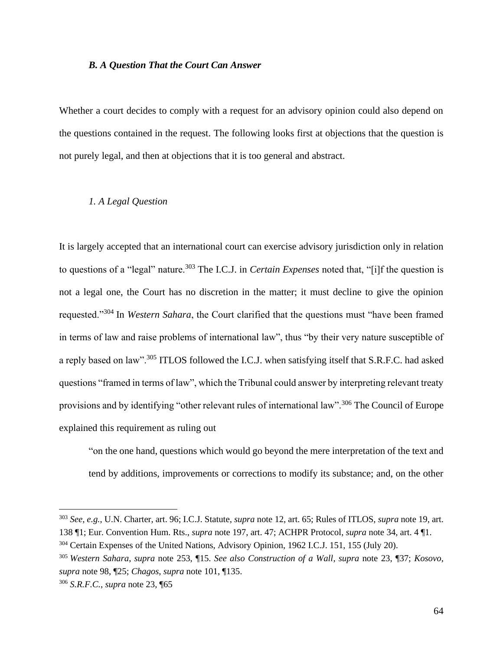### *B. A Question That the Court Can Answer*

Whether a court decides to comply with a request for an advisory opinion could also depend on the questions contained in the request. The following looks first at objections that the question is not purely legal, and then at objections that it is too general and abstract.

# *1. A Legal Question*

It is largely accepted that an international court can exercise advisory jurisdiction only in relation to questions of a "legal" nature.<sup>303</sup> The I.C.J. in *Certain Expenses* noted that, "[i]f the question is not a legal one, the Court has no discretion in the matter; it must decline to give the opinion requested."<sup>304</sup> In *Western Sahara*, the Court clarified that the questions must "have been framed in terms of law and raise problems of international law", thus "by their very nature susceptible of a reply based on law".<sup>305</sup> ITLOS followed the I.C.J. when satisfying itself that S.R.F.C. had asked questions "framed in terms of law", which the Tribunal could answer by interpreting relevant treaty provisions and by identifying "other relevant rules of international law".<sup>306</sup> The Council of Europe explained this requirement as ruling out

"on the one hand, questions which would go beyond the mere interpretation of the text and tend by additions, improvements or corrections to modify its substance; and, on the other

<sup>303</sup> *See, e.g.*, U.N. Charter, art. 96; I.C.J. Statute, *supra* note [12,](#page-3-1) art. 65; Rules of ITLOS, *supra* note [19,](#page-4-0) art. 138 ¶1; Eur. Convention Hum. Rts., *supra* note [197,](#page-40-0) art. 47; ACHPR Protocol, *supra* note [34,](#page-7-0) art. 4 ¶1.

<sup>304</sup> Certain Expenses of the United Nations, Advisory Opinion, 1962 I.C.J. 151, 155 (July 20).

<sup>305</sup> *Western Sahara*, *supra* note [253,](#page-52-0) ¶15. *See also Construction of a Wall*, *supra* note [23,](#page-5-0) ¶37; *Kosovo*, *supra* note [98,](#page-20-2) ¶25; *Chagos*, *supra* note [101,](#page-21-1) ¶135.

<sup>306</sup> *S.R.F.C.*, *supra* note [23,](#page-5-0) ¶65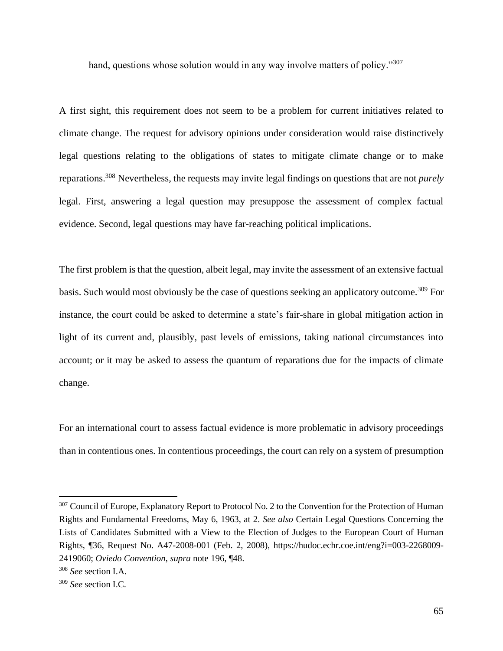hand, questions whose solution would in any way involve matters of policy."<sup>307</sup>

A first sight, this requirement does not seem to be a problem for current initiatives related to climate change. The request for advisory opinions under consideration would raise distinctively legal questions relating to the obligations of states to mitigate climate change or to make reparations.<sup>308</sup> Nevertheless, the requests may invite legal findings on questions that are not *purely*  legal. First, answering a legal question may presuppose the assessment of complex factual evidence. Second, legal questions may have far-reaching political implications.

The first problem is that the question, albeit legal, may invite the assessment of an extensive factual basis. Such would most obviously be the case of questions seeking an applicatory outcome.<sup>309</sup> For instance, the court could be asked to determine a state's fair-share in global mitigation action in light of its current and, plausibly, past levels of emissions, taking national circumstances into account; or it may be asked to assess the quantum of reparations due for the impacts of climate change.

For an international court to assess factual evidence is more problematic in advisory proceedings than in contentious ones. In contentious proceedings, the court can rely on a system of presumption

<sup>&</sup>lt;sup>307</sup> Council of Europe, Explanatory Report to Protocol No. 2 to the Convention for the Protection of Human Rights and Fundamental Freedoms, May 6, 1963, at 2. *See also* Certain Legal Questions Concerning the Lists of Candidates Submitted with a View to the Election of Judges to the European Court of Human Rights, ¶36, Request No. A47-2008-001 (Feb. 2, 2008), https://hudoc.echr.coe.int/eng?i=003-2268009- 2419060; *Oviedo Convention*, *supra* note [196,](#page-40-2) ¶48.

<sup>308</sup> *See* section I.A.

<sup>309</sup> *See* section I.C.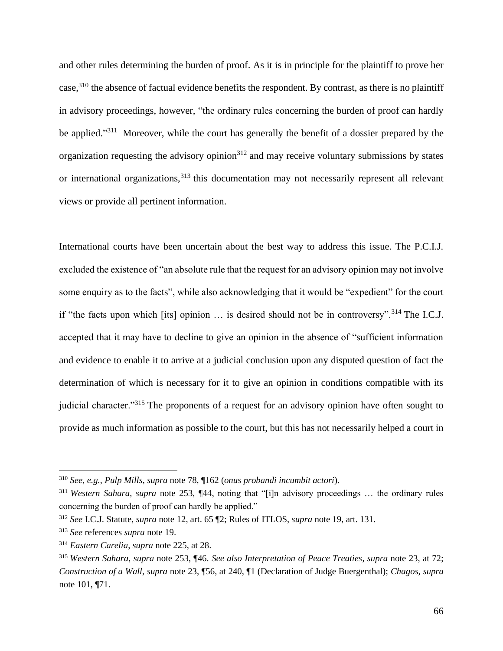and other rules determining the burden of proof. As it is in principle for the plaintiff to prove her case,<sup>310</sup> the absence of factual evidence benefits the respondent. By contrast, as there is no plaintiff in advisory proceedings, however, "the ordinary rules concerning the burden of proof can hardly be applied."<sup>311</sup> Moreover, while the court has generally the benefit of a dossier prepared by the organization requesting the advisory opinion $312$  and may receive voluntary submissions by states or international organizations,<sup>313</sup> this documentation may not necessarily represent all relevant views or provide all pertinent information.

International courts have been uncertain about the best way to address this issue. The P.C.I.J. excluded the existence of "an absolute rule that the request for an advisory opinion may not involve some enquiry as to the facts", while also acknowledging that it would be "expedient" for the court if "the facts upon which [its] opinion … is desired should not be in controversy".<sup>314</sup> The I.C.J. accepted that it may have to decline to give an opinion in the absence of "sufficient information and evidence to enable it to arrive at a judicial conclusion upon any disputed question of fact the determination of which is necessary for it to give an opinion in conditions compatible with its judicial character."<sup>315</sup> The proponents of a request for an advisory opinion have often sought to provide as much information as possible to the court, but this has not necessarily helped a court in

<sup>310</sup> *See, e.g.*, *Pulp Mills*, *supra* note [78,](#page-17-0) ¶162 (*onus probandi incumbit actori*).

<sup>311</sup> *Western Sahara*, *supra* note [253,](#page-52-0) ¶44, noting that "[i]n advisory proceedings … the ordinary rules concerning the burden of proof can hardly be applied."

<sup>312</sup> *See* I.C.J. Statute, *supra* note [12,](#page-3-1) art. 65 ¶2; Rules of ITLOS, *supra* not[e 19,](#page-4-0) art. 131.

<sup>313</sup> *See* references *supra* note [19.](#page-4-0)

<sup>314</sup> *Eastern Carelia*, *supra* note [225,](#page-47-2) at 28.

<sup>315</sup> *Western Sahara*, *supra* note [253,](#page-52-0) ¶46. *See also Interpretation of Peace Treaties*, *supra* note [23,](#page-5-0) at 72; *Construction of a Wall*, *supra* note [23,](#page-5-0) ¶56, at 240, ¶1 (Declaration of Judge Buergenthal); *Chagos*, *supra*  not[e 101,](#page-21-1) ¶71.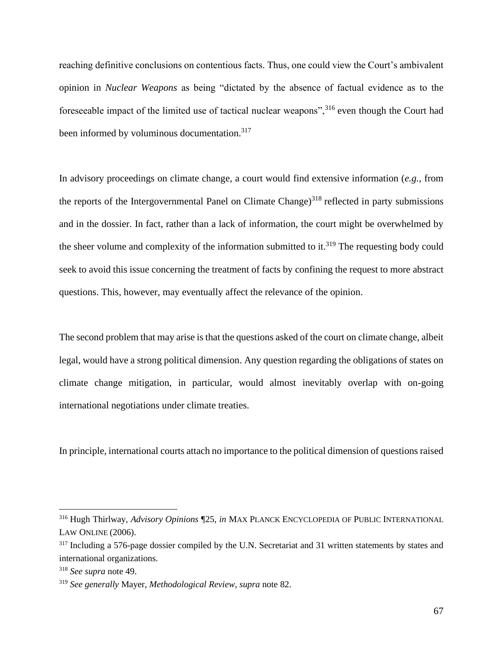<span id="page-66-0"></span>reaching definitive conclusions on contentious facts. Thus, one could view the Court's ambivalent opinion in *Nuclear Weapons* as being "dictated by the absence of factual evidence as to the foreseeable impact of the limited use of tactical nuclear weapons",<sup>316</sup> even though the Court had been informed by voluminous documentation.<sup>317</sup>

In advisory proceedings on climate change, a court would find extensive information (*e.g.*, from the reports of the Intergovernmental Panel on Climate Change)<sup>318</sup> reflected in party submissions and in the dossier. In fact, rather than a lack of information, the court might be overwhelmed by the sheer volume and complexity of the information submitted to it.<sup>319</sup> The requesting body could seek to avoid this issue concerning the treatment of facts by confining the request to more abstract questions. This, however, may eventually affect the relevance of the opinion.

The second problem that may arise is that the questions asked of the court on climate change, albeit legal, would have a strong political dimension. Any question regarding the obligations of states on climate change mitigation, in particular, would almost inevitably overlap with on-going international negotiations under climate treaties.

In principle, international courts attach no importance to the political dimension of questions raised

<sup>316</sup> Hugh Thirlway, *Advisory Opinions* ¶25, *in* MAX PLANCK ENCYCLOPEDIA OF PUBLIC INTERNATIONAL LAW ONLINE (2006).

<sup>&</sup>lt;sup>317</sup> Including a 576-page dossier compiled by the U.N. Secretariat and 31 written statements by states and international organizations.

<sup>318</sup> *See supra* note [49.](#page-12-0)

<sup>319</sup> *See generally* Mayer, *Methodological Review*, *supra* note [82.](#page-18-0)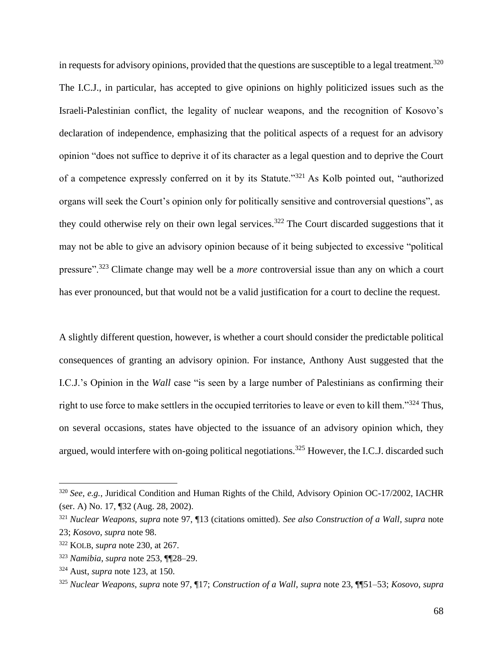in requests for advisory opinions, provided that the questions are susceptible to a legal treatment.<sup>320</sup> The I.C.J., in particular, has accepted to give opinions on highly politicized issues such as the Israeli-Palestinian conflict, the legality of nuclear weapons, and the recognition of Kosovo's declaration of independence, emphasizing that the political aspects of a request for an advisory opinion "does not suffice to deprive it of its character as a legal question and to deprive the Court of a competence expressly conferred on it by its Statute."<sup>321</sup> As Kolb pointed out, "authorized organs will seek the Court's opinion only for politically sensitive and controversial questions", as they could otherwise rely on their own legal services.<sup>322</sup> The Court discarded suggestions that it may not be able to give an advisory opinion because of it being subjected to excessive "political pressure".<sup>323</sup> Climate change may well be a *more* controversial issue than any on which a court has ever pronounced, but that would not be a valid justification for a court to decline the request.

<span id="page-67-0"></span>A slightly different question, however, is whether a court should consider the predictable political consequences of granting an advisory opinion. For instance, Anthony Aust suggested that the I.C.J.'s Opinion in the *Wall* case "is seen by a large number of Palestinians as confirming their right to use force to make settlers in the occupied territories to leave or even to kill them."<sup>324</sup> Thus, on several occasions, states have objected to the issuance of an advisory opinion which, they argued, would interfere with on-going political negotiations.<sup>325</sup> However, the I.C.J. discarded such

<sup>320</sup> *See, e.g.*, Juridical Condition and Human Rights of the Child, Advisory Opinion OC-17/2002, IACHR (ser. A) No. 17, ¶32 (Aug. 28, 2002).

<sup>321</sup> *Nuclear Weapons*, *supra* note [97,](#page-20-0) ¶13 (citations omitted). *See also Construction of a Wall*, *supra* note [23;](#page-5-0) *Kosovo*, *supra* note [98.](#page-20-2)

<sup>322</sup> KOLB, *supra* note [230,](#page-47-0) at 267.

<sup>323</sup> *Namibia*, *supra* note [253,](#page-52-0) ¶¶28–29.

<sup>324</sup> Aust, *supra* note [123,](#page-26-0) at 150.

<sup>325</sup> *Nuclear Weapons*, *supra* note [97,](#page-20-0) ¶17; *Construction of a Wall*, *supra* note [23,](#page-5-0) ¶¶51–53; *Kosovo*, *supra*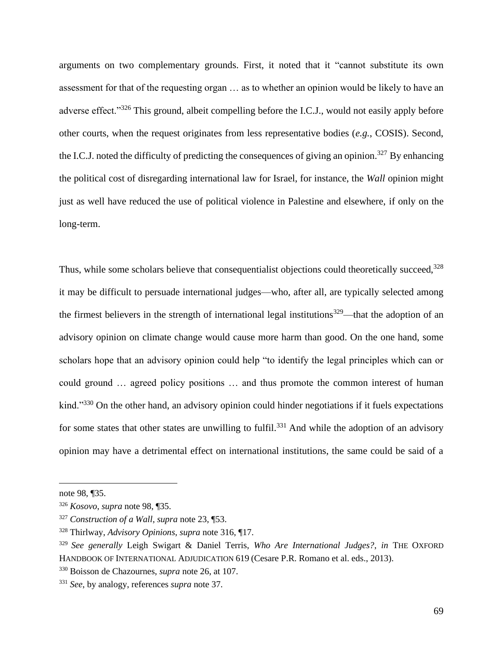arguments on two complementary grounds. First, it noted that it "cannot substitute its own assessment for that of the requesting organ … as to whether an opinion would be likely to have an adverse effect."<sup>326</sup> This ground, albeit compelling before the I.C.J., would not easily apply before other courts, when the request originates from less representative bodies (*e.g.*, COSIS). Second, the I.C.J. noted the difficulty of predicting the consequences of giving an opinion.<sup>327</sup> By enhancing the political cost of disregarding international law for Israel, for instance, the *Wall* opinion might just as well have reduced the use of political violence in Palestine and elsewhere, if only on the long-term.

Thus, while some scholars believe that consequentialist objections could theoretically succeed,<sup>328</sup> it may be difficult to persuade international judges—who, after all, are typically selected among the firmest believers in the strength of international legal institutions<sup>329</sup>—that the adoption of an advisory opinion on climate change would cause more harm than good. On the one hand, some scholars hope that an advisory opinion could help "to identify the legal principles which can or could ground … agreed policy positions … and thus promote the common interest of human kind."<sup>330</sup> On the other hand, an advisory opinion could hinder negotiations if it fuels expectations for some states that other states are unwilling to fulfil.<sup>331</sup> And while the adoption of an advisory opinion may have a detrimental effect on international institutions, the same could be said of a

not[e 98,](#page-20-2) ¶35.

<sup>326</sup> *Kosovo*, *supra* note [98,](#page-20-2) ¶35.

<sup>327</sup> *Construction of a Wall*, *supra* note [23,](#page-5-0) ¶53.

<sup>328</sup> Thirlway, *Advisory Opinions*, *supra* note [316,](#page-66-0) ¶17.

<sup>329</sup> *See generally* Leigh Swigart & Daniel Terris, *Who Are International Judges?*, *in* THE OXFORD HANDBOOK OF INTERNATIONAL ADJUDICATION 619 (Cesare P.R. Romano et al. eds., 2013).

<sup>330</sup> Boisson de Chazournes, *supra* note [26,](#page-5-2) at 107.

<sup>331</sup> *See*, by analogy, references *supra* note [37.](#page-8-1)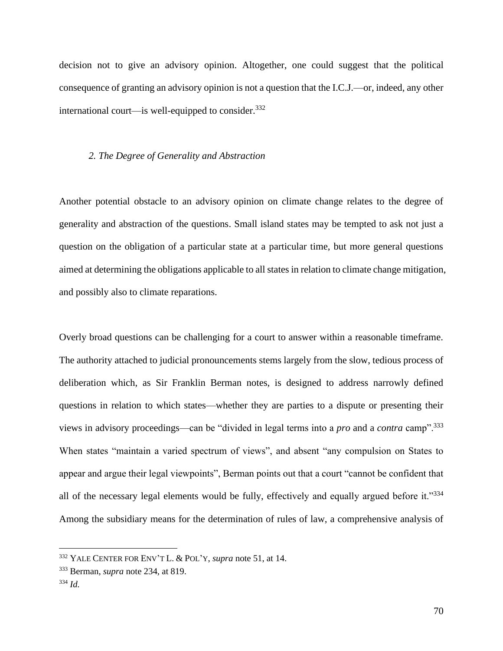decision not to give an advisory opinion. Altogether, one could suggest that the political consequence of granting an advisory opinion is not a question that the I.C.J.—or, indeed, any other international court—is well-equipped to consider. $332$ 

### *2. The Degree of Generality and Abstraction*

Another potential obstacle to an advisory opinion on climate change relates to the degree of generality and abstraction of the questions. Small island states may be tempted to ask not just a question on the obligation of a particular state at a particular time, but more general questions aimed at determining the obligations applicable to all states in relation to climate change mitigation, and possibly also to climate reparations.

Overly broad questions can be challenging for a court to answer within a reasonable timeframe. The authority attached to judicial pronouncements stems largely from the slow, tedious process of deliberation which, as Sir Franklin Berman notes, is designed to address narrowly defined questions in relation to which states—whether they are parties to a dispute or presenting their views in advisory proceedings—can be "divided in legal terms into a *pro* and a *contra* camp".<sup>333</sup> When states "maintain a varied spectrum of views", and absent "any compulsion on States to appear and argue their legal viewpoints", Berman points out that a court "cannot be confident that all of the necessary legal elements would be fully, effectively and equally argued before it."<sup>334</sup> Among the subsidiary means for the determination of rules of law, a comprehensive analysis of

<sup>332</sup> YALE CENTER FOR ENV'T L. & POL'Y, *supra* note [51,](#page-13-0) at 14.

<sup>333</sup> Berman, *supra* note [234,](#page-48-0) at 819.

<sup>334</sup> *Id.*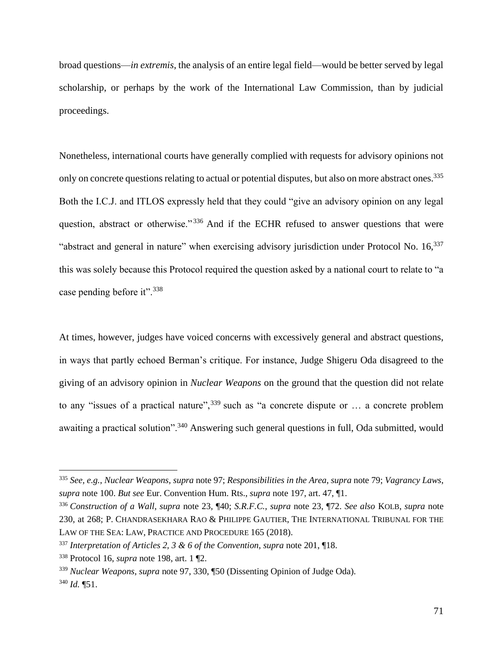broad questions—*in extremis*, the analysis of an entire legal field—would be better served by legal scholarship, or perhaps by the work of the International Law Commission, than by judicial proceedings.

Nonetheless, international courts have generally complied with requests for advisory opinions not only on concrete questions relating to actual or potential disputes, but also on more abstract ones.<sup>335</sup> Both the I.C.J. and ITLOS expressly held that they could "give an advisory opinion on any legal question, abstract or otherwise."<sup>336</sup> And if the ECHR refused to answer questions that were "abstract and general in nature" when exercising advisory jurisdiction under Protocol No. 16,<sup>337</sup> this was solely because this Protocol required the question asked by a national court to relate to "a case pending before it".<sup>338</sup>

At times, however, judges have voiced concerns with excessively general and abstract questions, in ways that partly echoed Berman's critique. For instance, Judge Shigeru Oda disagreed to the giving of an advisory opinion in *Nuclear Weapons* on the ground that the question did not relate to any "issues of a practical nature",  $339$  such as "a concrete dispute or ... a concrete problem awaiting a practical solution".<sup>340</sup> Answering such general questions in full, Oda submitted, would

<sup>335</sup> *See, e.g.*, *Nuclear Weapons*, *supra* note [97;](#page-20-0) *Responsibilities in the Area*, *supra* note [79;](#page-17-1) *Vagrancy Laws*, *supra* note [100.](#page-21-0) *But see* Eur. Convention Hum. Rts., *supra* not[e 197,](#page-40-0) art. 47, ¶1.

<sup>336</sup> *Construction of a Wall*, *supra* note [23,](#page-5-0) ¶40; *S.R.F.C.*, *supra* note [23,](#page-5-0) ¶72. *See also* KOLB, *supra* note [230,](#page-47-0) at 268; P. CHANDRASEKHARA RAO & PHILIPPE GAUTIER, THE INTERNATIONAL TRIBUNAL FOR THE LAW OF THE SEA: LAW, PRACTICE AND PROCEDURE 165 (2018).

<sup>337</sup> *Interpretation of Articles 2, 3 & 6 of the Convention*, *supra* note [201,](#page-41-0) ¶18.

<sup>338</sup> Protocol 16, *supra* note [198,](#page-40-1) art. 1 ¶2.

<sup>339</sup> *Nuclear Weapons*, *supra* note [97,](#page-20-0) 330, ¶50 (Dissenting Opinion of Judge Oda).

<sup>340</sup> *Id.* ¶51.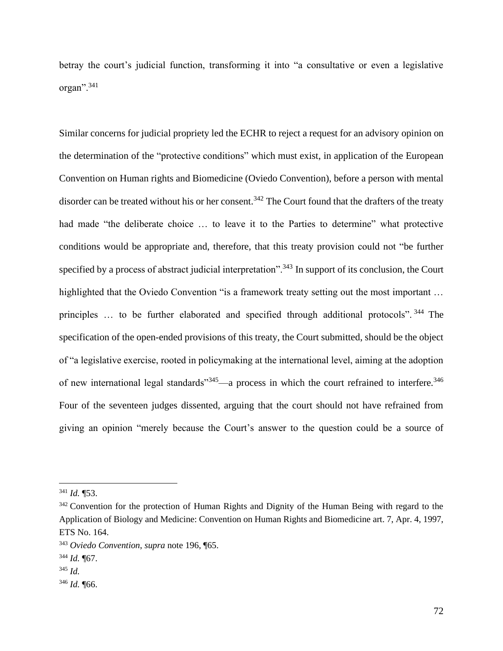betray the court's judicial function, transforming it into "a consultative or even a legislative organ".<sup>341</sup>

Similar concerns for judicial propriety led the ECHR to reject a request for an advisory opinion on the determination of the "protective conditions" which must exist, in application of the European Convention on Human rights and Biomedicine (Oviedo Convention), before a person with mental disorder can be treated without his or her consent.<sup>342</sup> The Court found that the drafters of the treaty had made "the deliberate choice … to leave it to the Parties to determine" what protective conditions would be appropriate and, therefore, that this treaty provision could not "be further specified by a process of abstract judicial interpretation".<sup>343</sup> In support of its conclusion, the Court highlighted that the Oviedo Convention "is a framework treaty setting out the most important ... principles ... to be further elaborated and specified through additional protocols". <sup>344</sup> The specification of the open-ended provisions of this treaty, the Court submitted, should be the object of "a legislative exercise, rooted in policymaking at the international level, aiming at the adoption of new international legal standards"<sup>345</sup>—a process in which the court refrained to interfere.<sup>346</sup> Four of the seventeen judges dissented, arguing that the court should not have refrained from giving an opinion "merely because the Court's answer to the question could be a source of

<sup>341</sup> *Id.* ¶53.

<sup>&</sup>lt;sup>342</sup> Convention for the protection of Human Rights and Dignity of the Human Being with regard to the Application of Biology and Medicine: Convention on Human Rights and Biomedicine art. 7, Apr. 4, 1997, ETS No. 164.

<sup>343</sup> *Oviedo Convention*, *supra* note [196,](#page-40-2) ¶65.

<sup>344</sup> *Id.* ¶67.

<sup>345</sup> *Id.*

<sup>346</sup> *Id.* ¶66.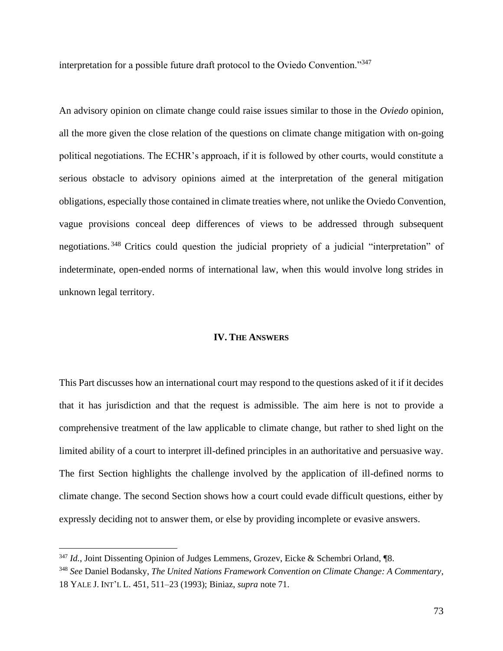interpretation for a possible future draft protocol to the Oviedo Convention."<sup>347</sup>

An advisory opinion on climate change could raise issues similar to those in the *Oviedo* opinion, all the more given the close relation of the questions on climate change mitigation with on-going political negotiations. The ECHR's approach, if it is followed by other courts, would constitute a serious obstacle to advisory opinions aimed at the interpretation of the general mitigation obligations, especially those contained in climate treaties where, not unlike the Oviedo Convention, vague provisions conceal deep differences of views to be addressed through subsequent negotiations. <sup>348</sup> Critics could question the judicial propriety of a judicial "interpretation" of indeterminate, open-ended norms of international law, when this would involve long strides in unknown legal territory.

## **IV. THE ANSWERS**

This Part discusses how an international court may respond to the questions asked of it if it decides that it has jurisdiction and that the request is admissible. The aim here is not to provide a comprehensive treatment of the law applicable to climate change, but rather to shed light on the limited ability of a court to interpret ill-defined principles in an authoritative and persuasive way. The first Section highlights the challenge involved by the application of ill-defined norms to climate change. The second Section shows how a court could evade difficult questions, either by expressly deciding not to answer them, or else by providing incomplete or evasive answers.

<sup>&</sup>lt;sup>347</sup> *Id.*, Joint Dissenting Opinion of Judges Lemmens, Grozev, Eicke & Schembri Orland, ¶8.

<sup>348</sup> *See* Daniel Bodansky, *The United Nations Framework Convention on Climate Change: A Commentary*, 18 YALE J. INT'L L. 451, 511–23 (1993); Biniaz, *supra* not[e 71.](#page-16-0)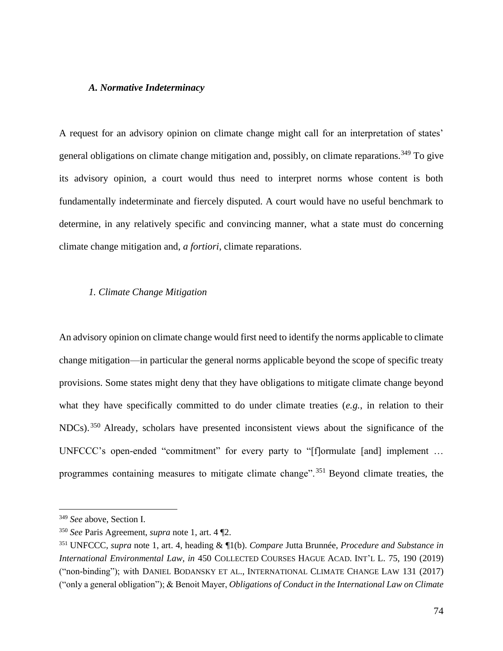## *A. Normative Indeterminacy*

A request for an advisory opinion on climate change might call for an interpretation of states' general obligations on climate change mitigation and, possibly, on climate reparations.<sup>349</sup> To give its advisory opinion, a court would thus need to interpret norms whose content is both fundamentally indeterminate and fiercely disputed. A court would have no useful benchmark to determine, in any relatively specific and convincing manner, what a state must do concerning climate change mitigation and, *a fortiori*, climate reparations.

# *1. Climate Change Mitigation*

An advisory opinion on climate change would first need to identify the norms applicable to climate change mitigation—in particular the general norms applicable beyond the scope of specific treaty provisions. Some states might deny that they have obligations to mitigate climate change beyond what they have specifically committed to do under climate treaties (*e.g.*, in relation to their NDCs). <sup>350</sup> Already, scholars have presented inconsistent views about the significance of the UNFCCC's open-ended "commitment" for every party to "[f]ormulate [and] implement … programmes containing measures to mitigate climate change".<sup>351</sup> Beyond climate treaties, the

<sup>349</sup> *See* above, Section I.

<sup>350</sup> *See* Paris Agreement, *supra* note [1,](#page-2-0) art. 4 ¶2.

<sup>351</sup> UNFCCC, *supra* note [1,](#page-2-0) art. 4, heading & ¶1(b). *Compare* Jutta Brunnée, *Procedure and Substance in International Environmental Law*, *in* 450 COLLECTED COURSES HAGUE ACAD. INT'L L. 75, 190 (2019) ("non-binding"); with DANIEL BODANSKY ET AL., INTERNATIONAL CLIMATE CHANGE LAW 131 (2017) ("only a general obligation"); & Benoit Mayer, *Obligations of Conduct in the International Law on Climate*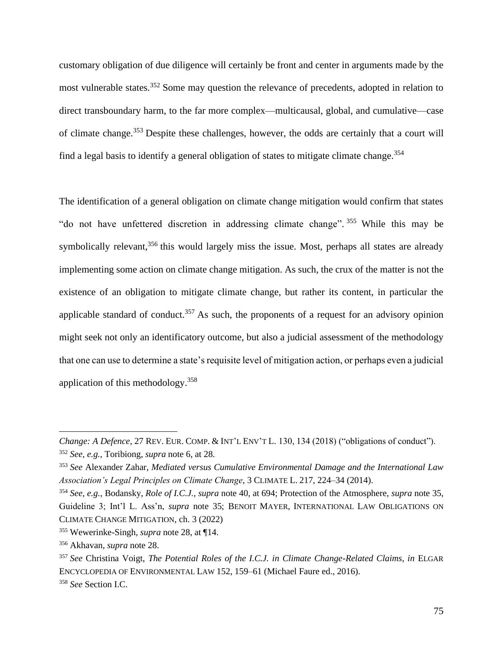customary obligation of due diligence will certainly be front and center in arguments made by the most vulnerable states.<sup>352</sup> Some may question the relevance of precedents, adopted in relation to direct transboundary harm, to the far more complex—multicausal, global, and cumulative—case of climate change.<sup>353</sup> Despite these challenges, however, the odds are certainly that a court will find a legal basis to identify a general obligation of states to mitigate climate change.<sup>354</sup>

<span id="page-74-0"></span>The identification of a general obligation on climate change mitigation would confirm that states "do not have unfettered discretion in addressing climate change". 355 While this may be symbolically relevant,<sup>356</sup> this would largely miss the issue. Most, perhaps all states are already implementing some action on climate change mitigation. As such, the crux of the matter is not the existence of an obligation to mitigate climate change, but rather its content, in particular the applicable standard of conduct.<sup>357</sup> As such, the proponents of a request for an advisory opinion might seek not only an identificatory outcome, but also a judicial assessment of the methodology that one can use to determine a state's requisite level of mitigation action, or perhaps even a judicial application of this methodology.<sup>358</sup>

*Change: A Defence*, 27 REV. EUR. COMP. & INT'L ENV'T L. 130, 134 (2018) ("obligations of conduct"). <sup>352</sup> *See, e.g.*, Toribiong, *supra* note [6,](#page-2-1) at 28.

<sup>353</sup> *See* Alexander Zahar, *Mediated versus Cumulative Environmental Damage and the International Law Association's Legal Principles on Climate Change*, 3 CLIMATE L. 217, 224–34 (2014).

<sup>354</sup> *See, e.g.*, Bodansky, *Role of I.C.J.*, *supra* note [40,](#page-8-0) at 694; Protection of the Atmosphere, *supra* note [35,](#page-7-0) Guideline 3; Int'l L. Ass'n, *supra* note [35;](#page-7-0) BENOIT MAYER, INTERNATIONAL LAW OBLIGATIONS ON CLIMATE CHANGE MITIGATION, ch. 3 (2022)

<sup>355</sup> Wewerinke-Singh, *supra* note [28,](#page-6-0) at ¶14.

<sup>356</sup> Akhavan, *supra* note [28.](#page-6-0)

<sup>357</sup> *See* Christina Voigt, *The Potential Roles of the I.C.J. in Climate Change-Related Claims*, *in* ELGAR ENCYCLOPEDIA OF ENVIRONMENTAL LAW 152, 159–61 (Michael Faure ed., 2016).

<sup>358</sup> *See* Section I.C.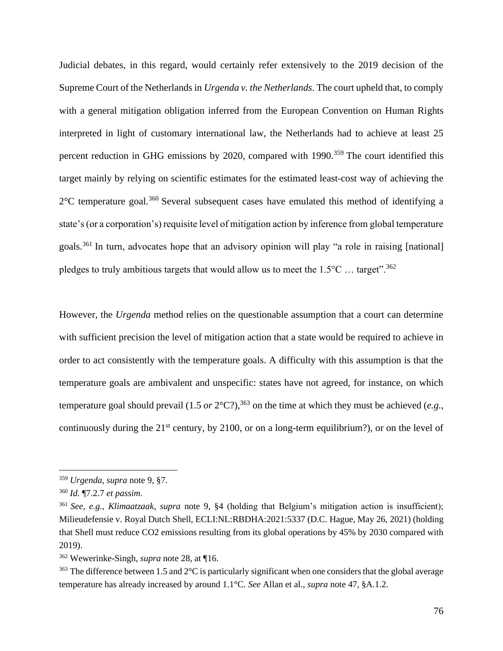Judicial debates, in this regard, would certainly refer extensively to the 2019 decision of the Supreme Court of the Netherlands in *Urgenda v. the Netherlands*. The court upheld that, to comply with a general mitigation obligation inferred from the European Convention on Human Rights interpreted in light of customary international law, the Netherlands had to achieve at least 25 percent reduction in GHG emissions by 2020, compared with  $1990$ .<sup>359</sup> The court identified this target mainly by relying on scientific estimates for the estimated least-cost way of achieving the  $2^{\circ}$ C temperature goal.<sup>360</sup> Several subsequent cases have emulated this method of identifying a state's (or a corporation's) requisite level of mitigation action by inference from global temperature goals.<sup>361</sup> In turn, advocates hope that an advisory opinion will play "a role in raising [national] pledges to truly ambitious targets that would allow us to meet the  $1.5^{\circ}$ C ... target".<sup>362</sup>

However, the *Urgenda* method relies on the questionable assumption that a court can determine with sufficient precision the level of mitigation action that a state would be required to achieve in order to act consistently with the temperature goals. A difficulty with this assumption is that the temperature goals are ambivalent and unspecific: states have not agreed, for instance, on which temperature goal should prevail (1.5 *or*  $2^{\circ}$ C?),<sup>363</sup> on the time at which they must be achieved (*e.g.*, continuously during the  $21<sup>st</sup>$  century, by 2100, or on a long-term equilibrium?), or on the level of

<sup>359</sup> *Urgenda*, *supra* note [9,](#page-3-0) §7.

<sup>360</sup> *Id.* ¶7.2.7 *et passim*.

<sup>361</sup> *See, e.g.*, *Klimaatzaak*, *supra* note [9,](#page-3-0) §4 (holding that Belgium's mitigation action is insufficient); Milieudefensie v. Royal Dutch Shell, ECLI:NL:RBDHA:2021:5337 (D.C. Hague, May 26, 2021) (holding that Shell must reduce CO2 emissions resulting from its global operations by 45% by 2030 compared with 2019).

<sup>362</sup> Wewerinke-Singh, *supra* note [28,](#page-6-0) at ¶16.

 $363$  The difference between 1.5 and  $2^{\circ}$ C is particularly significant when one considers that the global average temperature has already increased by around 1.1°C. *See* Allan et al., *supra* not[e 47,](#page-12-0) §A.1.2.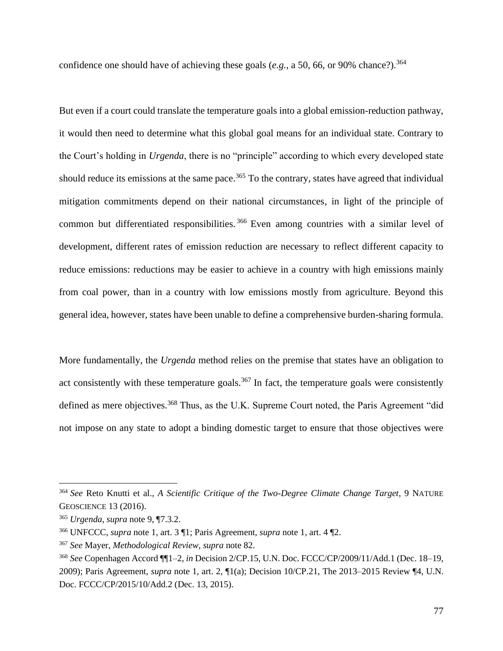confidence one should have of achieving these goals (*e.g.*, a 50, 66, or 90% chance?). 364

But even if a court could translate the temperature goals into a global emission-reduction pathway, it would then need to determine what this global goal means for an individual state. Contrary to the Court's holding in *Urgenda*, there is no "principle" according to which every developed state should reduce its emissions at the same pace.<sup>365</sup> To the contrary, states have agreed that individual mitigation commitments depend on their national circumstances, in light of the principle of common but differentiated responsibilities. <sup>366</sup> Even among countries with a similar level of development, different rates of emission reduction are necessary to reflect different capacity to reduce emissions: reductions may be easier to achieve in a country with high emissions mainly from coal power, than in a country with low emissions mostly from agriculture. Beyond this general idea, however, states have been unable to define a comprehensive burden-sharing formula.

<span id="page-76-0"></span>More fundamentally, the *Urgenda* method relies on the premise that states have an obligation to act consistently with these temperature goals.<sup>367</sup> In fact, the temperature goals were consistently defined as mere objectives.<sup>368</sup> Thus, as the U.K. Supreme Court noted, the Paris Agreement "did not impose on any state to adopt a binding domestic target to ensure that those objectives were

<sup>364</sup> *See* Reto Knutti et al., *A Scientific Critique of the Two-Degree Climate Change Target*, 9 NATURE GEOSCIENCE 13 (2016).

<sup>365</sup> *Urgenda*, *supra* note [9,](#page-3-0) ¶7.3.2.

<sup>366</sup> UNFCCC, *supra* note [1,](#page-2-0) art. 3 ¶1; Paris Agreement, *supra* note [1,](#page-2-0) art. 4 ¶2.

<sup>367</sup> *See* Mayer, *Methodological Review*, *supra* not[e 82.](#page-18-0)

<sup>368</sup> *See* Copenhagen Accord ¶¶1–2, *in* Decision 2/CP.15, U.N. Doc. FCCC/CP/2009/11/Add.1 (Dec. 18–19, 2009); Paris Agreement, *supra* note [1,](#page-2-0) art. 2, ¶1(a); Decision 10/CP.21, The 2013–2015 Review ¶4, U.N. Doc. FCCC/CP/2015/10/Add.2 (Dec. 13, 2015).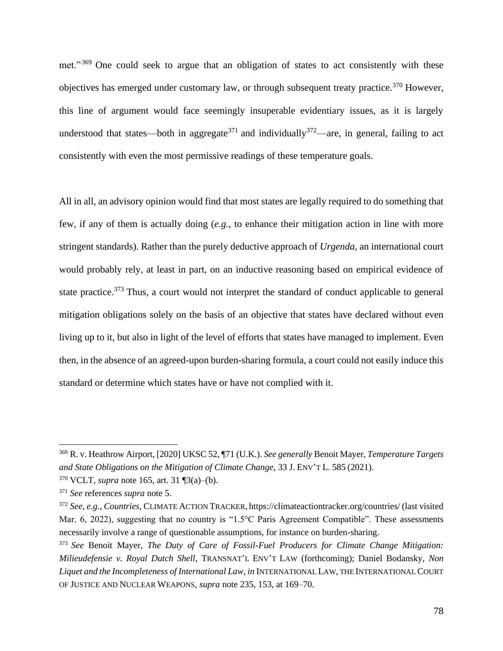<span id="page-77-1"></span>met."<sup>369</sup> One could seek to argue that an obligation of states to act consistently with these objectives has emerged under customary law, or through subsequent treaty practice.<sup>370</sup> However, this line of argument would face seemingly insuperable evidentiary issues, as it is largely understood that states—both in aggregate<sup>371</sup> and individually<sup>372</sup>—are, in general, failing to act consistently with even the most permissive readings of these temperature goals.

<span id="page-77-0"></span>All in all, an advisory opinion would find that most states are legally required to do something that few, if any of them is actually doing (*e.g.*, to enhance their mitigation action in line with more stringent standards). Rather than the purely deductive approach of *Urgenda*, an international court would probably rely, at least in part, on an inductive reasoning based on empirical evidence of state practice.<sup>373</sup> Thus, a court would not interpret the standard of conduct applicable to general mitigation obligations solely on the basis of an objective that states have declared without even living up to it, but also in light of the level of efforts that states have managed to implement. Even then, in the absence of an agreed-upon burden-sharing formula, a court could not easily induce this standard or determine which states have or have not complied with it.

<sup>369</sup> R. v. Heathrow Airport, [2020] UKSC 52, ¶71 (U.K.). *See generally* Benoit Mayer, *Temperature Targets and State Obligations on the Mitigation of Climate Change*, 33 J. ENV'T L. 585 (2021).

<sup>370</sup> VCLT, *supra* note [165,](#page-33-0) art. 31 ¶3(a)–(b).

<sup>371</sup> *See* references *supra* note [5.](#page-2-2)

<sup>372</sup> *See, e.g.*, *Countries*, CLIMATE ACTION TRACKER, https://climateactiontracker.org/countries/ (last visited Mar. 6, 2022), suggesting that no country is "1.5°C Paris Agreement Compatible". These assessments necessarily involve a range of questionable assumptions, for instance on burden-sharing.

<sup>373</sup> *See* Benoit Mayer, *The Duty of Care of Fossil-Fuel Producers for Climate Change Mitigation: Milieudefensie v. Royal Dutch Shell*, TRANSNAT'L ENV'T LAW (forthcoming); Daniel Bodansky, *Non Liquet and the Incompleteness of International Law*, *in* INTERNATIONAL LAW, THE INTERNATIONAL COURT OF JUSTICE AND NUCLEAR WEAPONS, *supra* note [235,](#page-48-0) 153, at 169–70.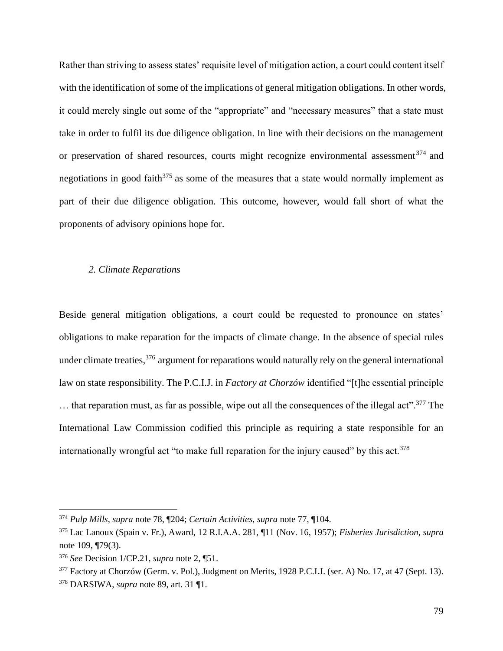Rather than striving to assess states' requisite level of mitigation action, a court could content itself with the identification of some of the implications of general mitigation obligations. In other words, it could merely single out some of the "appropriate" and "necessary measures" that a state must take in order to fulfil its due diligence obligation. In line with their decisions on the management or preservation of shared resources, courts might recognize environmental assessment<sup>374</sup> and negotiations in good faith $375$  as some of the measures that a state would normally implement as part of their due diligence obligation. This outcome, however, would fall short of what the proponents of advisory opinions hope for.

# *2. Climate Reparations*

Beside general mitigation obligations, a court could be requested to pronounce on states' obligations to make reparation for the impacts of climate change. In the absence of special rules under climate treaties,<sup>376</sup> argument for reparations would naturally rely on the general international law on state responsibility. The P.C.I.J. in *Factory at Chorzów* identified "[t]he essential principle  $\ldots$  that reparation must, as far as possible, wipe out all the consequences of the illegal act".<sup>377</sup> The International Law Commission codified this principle as requiring a state responsible for an internationally wrongful act "to make full reparation for the injury caused" by this act.<sup>378</sup>

<span id="page-78-0"></span><sup>374</sup> *Pulp Mills*, *supra* note [78,](#page-17-0) ¶204; *Certain Activities*, *supra* note [77,](#page-17-1) ¶104.

<sup>375</sup> Lac Lanoux (Spain v. Fr.), Award, 12 R.I.A.A. 281, ¶11 (Nov. 16, 1957); *Fisheries Jurisdiction*, *supra*  not[e 109,](#page-23-0) ¶79(3).

<sup>376</sup> *See* Decision 1/CP.21, *supra* note [2,](#page-2-3) ¶51.

<sup>&</sup>lt;sup>377</sup> Factory at Chorzów (Germ. v. Pol.), Judgment on Merits, 1928 P.C.I.J. (ser. A) No. 17, at 47 (Sept. 13).

<sup>378</sup> DARSIWA, *supra* note [89,](#page-19-0) art. 31 ¶1.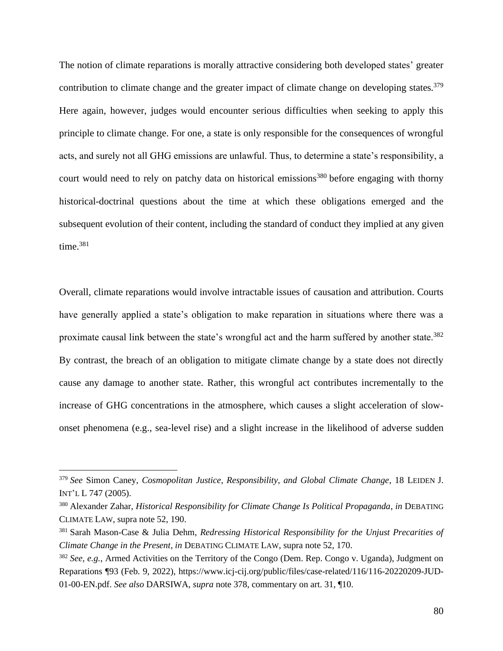<span id="page-79-1"></span>The notion of climate reparations is morally attractive considering both developed states' greater contribution to climate change and the greater impact of climate change on developing states.<sup>379</sup> Here again, however, judges would encounter serious difficulties when seeking to apply this principle to climate change. For one, a state is only responsible for the consequences of wrongful acts, and surely not all GHG emissions are unlawful. Thus, to determine a state's responsibility, a court would need to rely on patchy data on historical emissions<sup>380</sup> before engaging with thorny historical-doctrinal questions about the time at which these obligations emerged and the subsequent evolution of their content, including the standard of conduct they implied at any given time.<sup>381</sup>

<span id="page-79-2"></span><span id="page-79-0"></span>Overall, climate reparations would involve intractable issues of causation and attribution. Courts have generally applied a state's obligation to make reparation in situations where there was a proximate causal link between the state's wrongful act and the harm suffered by another state.<sup>382</sup> By contrast, the breach of an obligation to mitigate climate change by a state does not directly cause any damage to another state. Rather, this wrongful act contributes incrementally to the increase of GHG concentrations in the atmosphere, which causes a slight acceleration of slowonset phenomena (e.g., sea-level rise) and a slight increase in the likelihood of adverse sudden

<sup>379</sup> *See* Simon Caney, *Cosmopolitan Justice, Responsibility, and Global Climate Change*, 18 LEIDEN J. INT'L L 747 (2005).

<sup>380</sup> Alexander Zahar, *Historical Responsibility for Climate Change Is Political Propaganda*, *in* DEBATING CLIMATE LAW, supra note [52,](#page-13-0) 190.

<sup>381</sup> Sarah Mason-Case & Julia Dehm, *Redressing Historical Responsibility for the Unjust Precarities of Climate Change in the Present*, *in* DEBATING CLIMATE LAW, supra note [52,](#page-13-0) 170.

<sup>382</sup> *See, e.g.*, Armed Activities on the Territory of the Congo (Dem. Rep. Congo v. Uganda), Judgment on Reparations ¶93 (Feb. 9, 2022), https://www.icj-cij.org/public/files/case-related/116/116-20220209-JUD-01-00-EN.pdf. *See also* DARSIWA, *supra* note [378,](#page-78-0) commentary on art. 31, ¶10.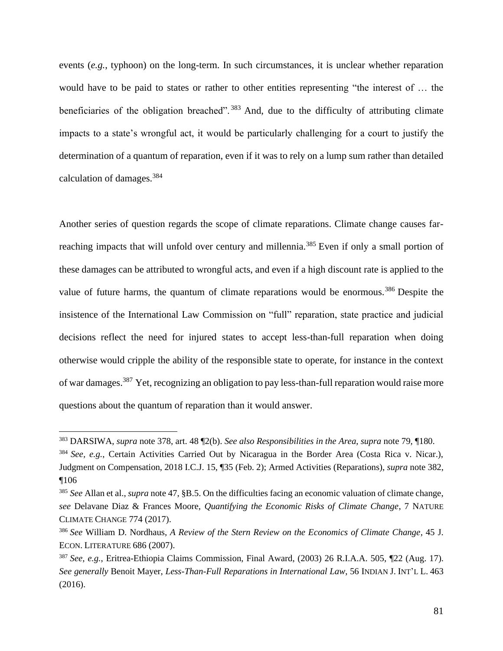events (*e.g.*, typhoon) on the long-term. In such circumstances, it is unclear whether reparation would have to be paid to states or rather to other entities representing "the interest of … the beneficiaries of the obligation breached".<sup>383</sup> And, due to the difficulty of attributing climate impacts to a state's wrongful act, it would be particularly challenging for a court to justify the determination of a quantum of reparation, even if it was to rely on a lump sum rather than detailed calculation of damages.<sup>384</sup>

<span id="page-80-0"></span>Another series of question regards the scope of climate reparations. Climate change causes farreaching impacts that will unfold over century and millennia.<sup>385</sup> Even if only a small portion of these damages can be attributed to wrongful acts, and even if a high discount rate is applied to the value of future harms, the quantum of climate reparations would be enormous.<sup>386</sup> Despite the insistence of the International Law Commission on "full" reparation, state practice and judicial decisions reflect the need for injured states to accept less-than-full reparation when doing otherwise would cripple the ability of the responsible state to operate, for instance in the context of war damages.<sup>387</sup> Yet, recognizing an obligation to pay less-than-full reparation would raise more questions about the quantum of reparation than it would answer.

<sup>383</sup> DARSIWA, *supra* note [378,](#page-78-0) art. 48 ¶2(b). *See also Responsibilities in the Area*, *supra* not[e 79,](#page-17-2) ¶180.

<sup>384</sup> *See, e.g.*, Certain Activities Carried Out by Nicaragua in the Border Area (Costa Rica v. Nicar.), Judgment on Compensation, 2018 I.C.J. 15, ¶35 (Feb. 2); Armed Activities (Reparations), *supra* not[e 382,](#page-79-0) ¶106

<sup>385</sup> *See* Allan et al., *supra* not[e 47,](#page-12-0) §B.5. On the difficulties facing an economic valuation of climate change, *see* Delavane Diaz & Frances Moore, *Quantifying the Economic Risks of Climate Change*, 7 NATURE CLIMATE CHANGE 774 (2017).

<sup>386</sup> *See* William D. Nordhaus, *A Review of the Stern Review on the Economics of Climate Change*, 45 J. ECON. LITERATURE 686 (2007).

<sup>387</sup> *See, e.g.*, Eritrea-Ethiopia Claims Commission, Final Award, (2003) 26 R.I.A.A. 505, ¶22 (Aug. 17). *See generally* Benoit Mayer, *Less-Than-Full Reparations in International Law*, 56 INDIAN J. INT'L L. 463 (2016).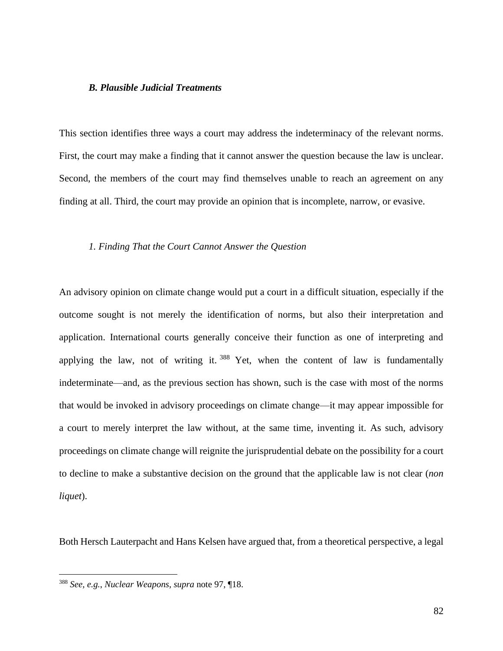# *B. Plausible Judicial Treatments*

This section identifies three ways a court may address the indeterminacy of the relevant norms. First, the court may make a finding that it cannot answer the question because the law is unclear. Second, the members of the court may find themselves unable to reach an agreement on any finding at all. Third, the court may provide an opinion that is incomplete, narrow, or evasive.

## *1. Finding That the Court Cannot Answer the Question*

An advisory opinion on climate change would put a court in a difficult situation, especially if the outcome sought is not merely the identification of norms, but also their interpretation and application. International courts generally conceive their function as one of interpreting and applying the law, not of writing it.<sup>388</sup> Yet, when the content of law is fundamentally indeterminate—and, as the previous section has shown, such is the case with most of the norms that would be invoked in advisory proceedings on climate change—it may appear impossible for a court to merely interpret the law without, at the same time, inventing it. As such, advisory proceedings on climate change will reignite the jurisprudential debate on the possibility for a court to decline to make a substantive decision on the ground that the applicable law is not clear (*non liquet*).

Both Hersch Lauterpacht and Hans Kelsen have argued that, from a theoretical perspective, a legal

<sup>388</sup> *See, e.g.*, *Nuclear Weapons*, *supra* note [97,](#page-20-0) ¶18.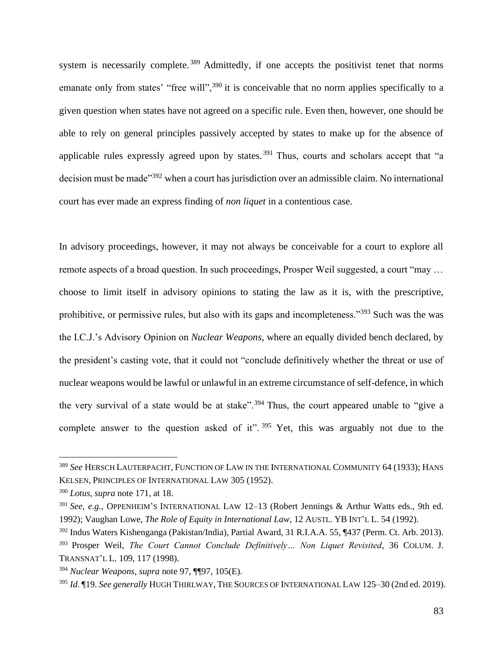system is necessarily complete.<sup>389</sup> Admittedly, if one accepts the positivist tenet that norms emanate only from states' "free will",<sup>390</sup> it is conceivable that no norm applies specifically to a given question when states have not agreed on a specific rule. Even then, however, one should be able to rely on general principles passively accepted by states to make up for the absence of applicable rules expressly agreed upon by states.<sup>391</sup> Thus, courts and scholars accept that "a decision must be made<sup>"392</sup> when a court has jurisdiction over an admissible claim. No international court has ever made an express finding of *non liquet* in a contentious case.

In advisory proceedings, however, it may not always be conceivable for a court to explore all remote aspects of a broad question. In such proceedings, Prosper Weil suggested, a court "may … choose to limit itself in advisory opinions to stating the law as it is, with the prescriptive, prohibitive, or permissive rules, but also with its gaps and incompleteness."<sup>393</sup> Such was the was the I.C.J.'s Advisory Opinion on *Nuclear Weapons*, where an equally divided bench declared, by the president's casting vote, that it could not "conclude definitively whether the threat or use of nuclear weapons would be lawful or unlawful in an extreme circumstance of self-defence, in which the very survival of a state would be at stake".<sup>394</sup> Thus, the court appeared unable to "give a complete answer to the question asked of it".  $395$  Yet, this was arguably not due to the

<sup>389</sup> *See* HERSCH LAUTERPACHT, FUNCTION OF LAW IN THE INTERNATIONAL COMMUNITY 64 (1933); HANS KELSEN, PRINCIPLES OF INTERNATIONAL LAW 305 (1952).

<sup>390</sup> *Lotus*, *supra* note [171,](#page-34-0) at 18.

<sup>&</sup>lt;sup>391</sup> *See, e.g.*, OPPENHEIM'S INTERNATIONAL LAW 12-13 (Robert Jennings & Arthur Watts eds., 9th ed. 1992); Vaughan Lowe, *The Role of Equity in International Law*, 12 AUSTL. YB INT'L L. 54 (1992).

<sup>392</sup> Indus Waters Kishenganga (Pakistan/India), Partial Award, 31 R.I.A.A. 55, ¶437 (Perm. Ct. Arb. 2013).

<sup>393</sup> Prosper Weil, *The Court Cannot Conclude Definitively… Non Liquet Revisited*, 36 COLUM. J. TRANSNAT'L L. 109, 117 (1998).

<sup>394</sup> *Nuclear Weapons*, *supra* note [97,](#page-20-0) ¶¶97, 105(E).

<sup>395</sup> *Id.* ¶19. *See generally* HUGH THIRLWAY, THE SOURCES OF INTERNATIONAL LAW 125–30 (2nd ed. 2019).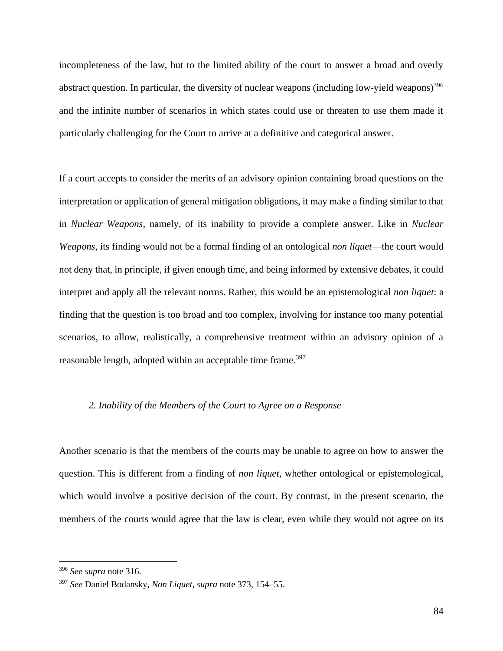incompleteness of the law, but to the limited ability of the court to answer a broad and overly abstract question. In particular, the diversity of nuclear weapons (including low-yield weapons)<sup>396</sup> and the infinite number of scenarios in which states could use or threaten to use them made it particularly challenging for the Court to arrive at a definitive and categorical answer.

If a court accepts to consider the merits of an advisory opinion containing broad questions on the interpretation or application of general mitigation obligations, it may make a finding similar to that in *Nuclear Weapons*, namely, of its inability to provide a complete answer. Like in *Nuclear Weapons*, its finding would not be a formal finding of an ontological *non liquet*—the court would not deny that, in principle, if given enough time, and being informed by extensive debates, it could interpret and apply all the relevant norms. Rather, this would be an epistemological *non liquet*: a finding that the question is too broad and too complex, involving for instance too many potential scenarios, to allow, realistically, a comprehensive treatment within an advisory opinion of a reasonable length, adopted within an acceptable time frame.<sup>397</sup>

## *2. Inability of the Members of the Court to Agree on a Response*

Another scenario is that the members of the courts may be unable to agree on how to answer the question. This is different from a finding of *non liquet*, whether ontological or epistemological, which would involve a positive decision of the court. By contrast, in the present scenario, the members of the courts would agree that the law is clear, even while they would not agree on its

<sup>396</sup> *See supra* note [316.](#page-66-0)

<sup>397</sup> *See* Daniel Bodansky, *Non Liquet*, *supra* note [373,](#page-77-0) 154–55.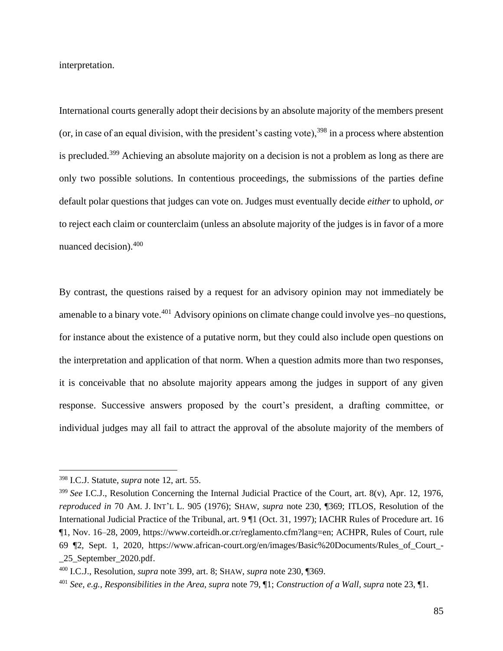interpretation.

<span id="page-84-0"></span>International courts generally adopt their decisions by an absolute majority of the members present (or, in case of an equal division, with the president's casting vote),  $398$  in a process where abstention is precluded.<sup>399</sup> Achieving an absolute majority on a decision is not a problem as long as there are only two possible solutions. In contentious proceedings, the submissions of the parties define default polar questions that judges can vote on. Judges must eventually decide *either* to uphold, *or*  to reject each claim or counterclaim (unless an absolute majority of the judges is in favor of a more nuanced decision).<sup>400</sup>

By contrast, the questions raised by a request for an advisory opinion may not immediately be amenable to a binary vote.<sup>401</sup> Advisory opinions on climate change could involve yes-no questions, for instance about the existence of a putative norm, but they could also include open questions on the interpretation and application of that norm. When a question admits more than two responses, it is conceivable that no absolute majority appears among the judges in support of any given response. Successive answers proposed by the court's president, a drafting committee, or individual judges may all fail to attract the approval of the absolute majority of the members of

<sup>398</sup> I.C.J. Statute, *supra* note [12,](#page-3-1) art. 55.

<sup>399</sup> *See* I.C.J., Resolution Concerning the Internal Judicial Practice of the Court, art. 8(v), Apr. 12, 1976, *reproduced in* 70 AM. J. INT'L L. 905 (1976); SHAW, *supra* note [230,](#page-47-0) ¶369; ITLOS, Resolution of the International Judicial Practice of the Tribunal, art. 9 ¶1 (Oct. 31, 1997); IACHR Rules of Procedure art. 16 ¶1, Nov. 16–28, 2009, https://www.corteidh.or.cr/reglamento.cfm?lang=en; ACHPR, Rules of Court, rule 69 ¶2, Sept. 1, 2020, https://www.african-court.org/en/images/Basic%20Documents/Rules\_of\_Court\_- \_25\_September\_2020.pdf.

<sup>400</sup> I.C.J., Resolution, *supra* note [399,](#page-84-0) art. 8; SHAW, *supra* note [230,](#page-47-0) ¶369.

<sup>401</sup> *See, e.g.*, *Responsibilities in the Area*, *supra* note [79,](#page-17-2) ¶1; *Construction of a Wall*, *supra* note [23,](#page-5-0) ¶1.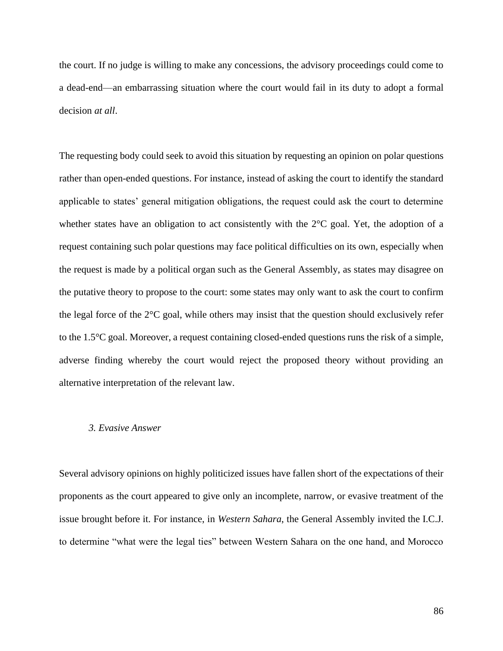the court. If no judge is willing to make any concessions, the advisory proceedings could come to a dead-end—an embarrassing situation where the court would fail in its duty to adopt a formal decision *at all*.

The requesting body could seek to avoid this situation by requesting an opinion on polar questions rather than open-ended questions. For instance, instead of asking the court to identify the standard applicable to states' general mitigation obligations, the request could ask the court to determine whether states have an obligation to act consistently with the 2<sup>o</sup>C goal. Yet, the adoption of a request containing such polar questions may face political difficulties on its own, especially when the request is made by a political organ such as the General Assembly, as states may disagree on the putative theory to propose to the court: some states may only want to ask the court to confirm the legal force of the  $2^{\circ}$ C goal, while others may insist that the question should exclusively refer to the 1.5°C goal. Moreover, a request containing closed-ended questions runs the risk of a simple, adverse finding whereby the court would reject the proposed theory without providing an alternative interpretation of the relevant law.

#### *3. Evasive Answer*

Several advisory opinions on highly politicized issues have fallen short of the expectations of their proponents as the court appeared to give only an incomplete, narrow, or evasive treatment of the issue brought before it. For instance, in *Western Sahara*, the General Assembly invited the I.C.J. to determine "what were the legal ties" between Western Sahara on the one hand, and Morocco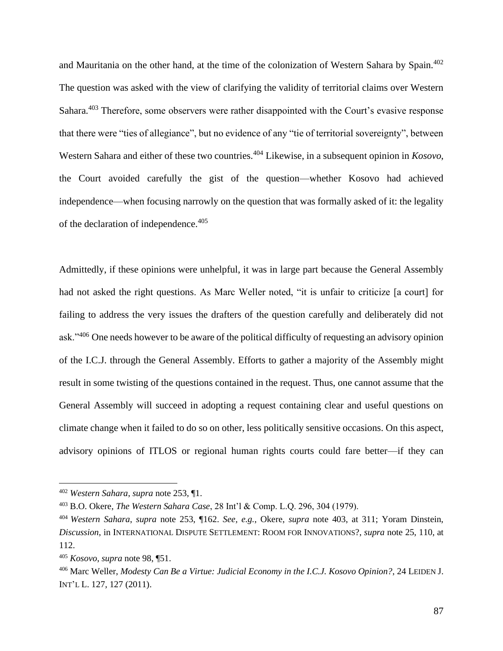<span id="page-86-1"></span><span id="page-86-0"></span>and Mauritania on the other hand, at the time of the colonization of Western Sahara by Spain.<sup>402</sup> The question was asked with the view of clarifying the validity of territorial claims over Western Sahara.<sup>403</sup> Therefore, some observers were rather disappointed with the Court's evasive response that there were "ties of allegiance", but no evidence of any "tie of territorial sovereignty", between Western Sahara and either of these two countries.<sup>404</sup> Likewise, in a subsequent opinion in *Kosovo*, the Court avoided carefully the gist of the question—whether Kosovo had achieved independence—when focusing narrowly on the question that was formally asked of it: the legality of the declaration of independence.<sup>405</sup>

Admittedly, if these opinions were unhelpful, it was in large part because the General Assembly had not asked the right questions. As Marc Weller noted, "it is unfair to criticize [a court] for failing to address the very issues the drafters of the question carefully and deliberately did not ask."<sup>406</sup> One needs however to be aware of the political difficulty of requesting an advisory opinion of the I.C.J. through the General Assembly. Efforts to gather a majority of the Assembly might result in some twisting of the questions contained in the request. Thus, one cannot assume that the General Assembly will succeed in adopting a request containing clear and useful questions on climate change when it failed to do so on other, less politically sensitive occasions. On this aspect, advisory opinions of ITLOS or regional human rights courts could fare better—if they can

<sup>402</sup> *Western Sahara*, *supra* note [253,](#page-52-0) ¶1.

<sup>403</sup> B.O. Okere, *The Western Sahara Case*, 28 Int'l & Comp. L.Q. 296, 304 (1979).

<sup>404</sup> *Western Sahara*, *supra* note [253,](#page-52-0) ¶162. *See, e.g.*, Okere, *supra* note [403,](#page-86-0) at 311; Yoram Dinstein, *Discussion*, in INTERNATIONAL DISPUTE SETTLEMENT: ROOM FOR INNOVATIONS?, *supra* note [25,](#page-5-1) 110, at 112.

<sup>405</sup> *Kosovo*, *supra* note [98,](#page-20-1) ¶51.

<sup>406</sup> Marc Weller, *Modesty Can Be a Virtue: Judicial Economy in the I.C.J. Kosovo Opinion?*, 24 LEIDEN J. INT'L L. 127, 127 (2011).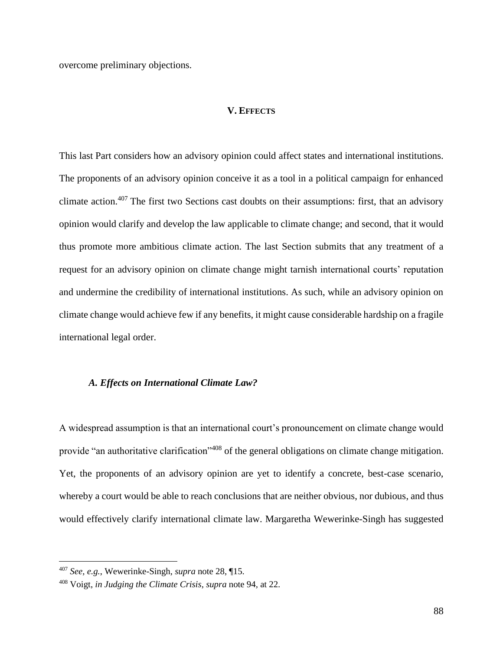overcome preliminary objections.

# **V. EFFECTS**

This last Part considers how an advisory opinion could affect states and international institutions. The proponents of an advisory opinion conceive it as a tool in a political campaign for enhanced climate action.<sup>407</sup> The first two Sections cast doubts on their assumptions: first, that an advisory opinion would clarify and develop the law applicable to climate change; and second, that it would thus promote more ambitious climate action. The last Section submits that any treatment of a request for an advisory opinion on climate change might tarnish international courts' reputation and undermine the credibility of international institutions. As such, while an advisory opinion on climate change would achieve few if any benefits, it might cause considerable hardship on a fragile international legal order.

# *A. Effects on International Climate Law?*

A widespread assumption is that an international court's pronouncement on climate change would provide "an authoritative clarification"<sup>408</sup> of the general obligations on climate change mitigation. Yet, the proponents of an advisory opinion are yet to identify a concrete, best-case scenario, whereby a court would be able to reach conclusions that are neither obvious, nor dubious, and thus would effectively clarify international climate law. Margaretha Wewerinke-Singh has suggested

<sup>407</sup> *See, e.g.*, Wewerinke-Singh, *supra* note [28,](#page-6-0) ¶15.

<sup>408</sup> Voigt, *in Judging the Climate Crisis*, *supra* note [94](#page-20-2)*,* at 22.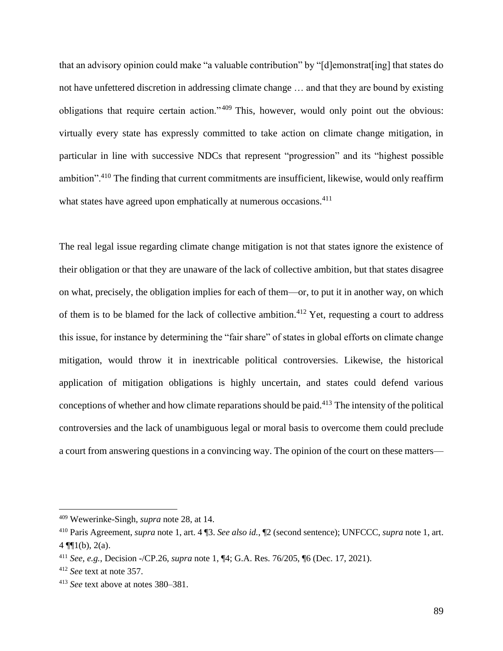that an advisory opinion could make "a valuable contribution" by "[d]emonstrat[ing] that states do not have unfettered discretion in addressing climate change … and that they are bound by existing obligations that require certain action." <sup>409</sup> This, however, would only point out the obvious: virtually every state has expressly committed to take action on climate change mitigation, in particular in line with successive NDCs that represent "progression" and its "highest possible ambition".<sup>410</sup> The finding that current commitments are insufficient, likewise, would only reaffirm what states have agreed upon emphatically at numerous occasions.<sup>411</sup>

The real legal issue regarding climate change mitigation is not that states ignore the existence of their obligation or that they are unaware of the lack of collective ambition, but that states disagree on what, precisely, the obligation implies for each of them—or, to put it in another way, on which of them is to be blamed for the lack of collective ambition.<sup>412</sup> Yet, requesting a court to address this issue, for instance by determining the "fair share" of states in global efforts on climate change mitigation, would throw it in inextricable political controversies. Likewise, the historical application of mitigation obligations is highly uncertain, and states could defend various conceptions of whether and how climate reparations should be paid.<sup>413</sup> The intensity of the political controversies and the lack of unambiguous legal or moral basis to overcome them could preclude a court from answering questions in a convincing way. The opinion of the court on these matters—

<sup>409</sup> Wewerinke-Singh, *supra* note [28,](#page-6-0) at 14.

<sup>410</sup> Paris Agreement, *supra* note [1,](#page-2-0) art. 4 ¶3. *See also id.*, ¶2 (second sentence); UNFCCC, *supra* note [1,](#page-2-0) art.  $4 \sqrt{\frac{1}{1}}(b), 2(a).$ 

<sup>411</sup> *See, e.g.*, Decision -/CP.26, *supra* note [1,](#page-2-0) ¶4; G.A. Res. 76/205, ¶6 (Dec. 17, 2021).

<sup>412</sup> *See* text at note [357.](#page-74-0)

<sup>413</sup> *See* text above at notes [380–](#page-79-1)[381.](#page-79-2)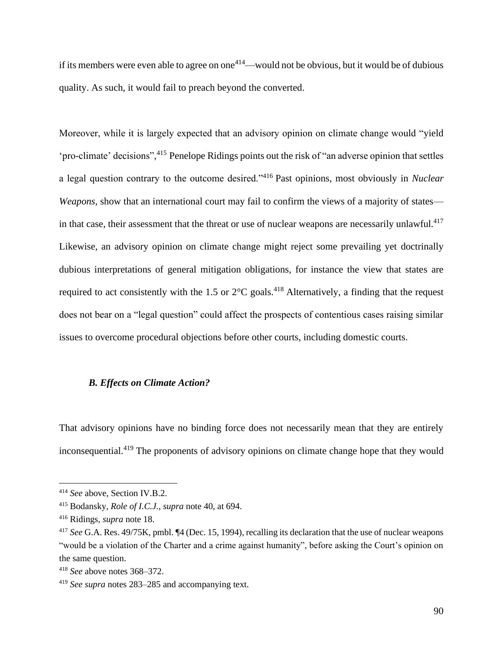if its members were even able to agree on one<sup>414</sup>—would not be obvious, but it would be of dubious quality. As such, it would fail to preach beyond the converted.

Moreover, while it is largely expected that an advisory opinion on climate change would "yield 'pro-climate' decisions", <sup>415</sup> Penelope Ridings points out the risk of "an adverse opinion that settles a legal question contrary to the outcome desired."<sup>416</sup> Past opinions, most obviously in *Nuclear Weapons*, show that an international court may fail to confirm the views of a majority of states in that case, their assessment that the threat or use of nuclear weapons are necessarily unlawful.<sup>417</sup> Likewise, an advisory opinion on climate change might reject some prevailing yet doctrinally dubious interpretations of general mitigation obligations, for instance the view that states are required to act consistently with the 1.5 or  $2^{\circ}$ C goals.<sup>418</sup> Alternatively, a finding that the request does not bear on a "legal question" could affect the prospects of contentious cases raising similar issues to overcome procedural objections before other courts, including domestic courts.

# *B. Effects on Climate Action?*

That advisory opinions have no binding force does not necessarily mean that they are entirely inconsequential.<sup>419</sup> The proponents of advisory opinions on climate change hope that they would

<sup>414</sup> *See* above, Section IV.B.2.

<sup>415</sup> Bodansky, *Role of I.C.J.*, *supra* note [40,](#page-8-0) at 694.

<sup>416</sup> Ridings, *supra* note [18.](#page-4-0)

<sup>417</sup> *See* G.A. Res. 49/75K, pmbl. ¶4 (Dec. 15, 1994), recalling its declaration that the use of nuclear weapons "would be a violation of the Charter and a crime against humanity", before asking the Court's opinion on the same question.

<sup>418</sup> *See* above notes [368](#page-76-0)[–372.](#page-77-1)

<sup>419</sup> *See supra* notes [283–](#page-58-0)[285](#page-59-0) and accompanying text.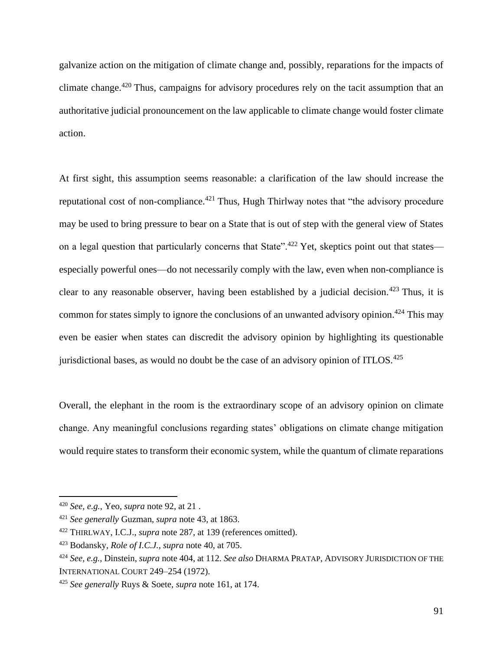galvanize action on the mitigation of climate change and, possibly, reparations for the impacts of climate change.<sup>420</sup> Thus, campaigns for advisory procedures rely on the tacit assumption that an authoritative judicial pronouncement on the law applicable to climate change would foster climate action.

At first sight, this assumption seems reasonable: a clarification of the law should increase the reputational cost of non-compliance.<sup>421</sup> Thus, Hugh Thirlway notes that "the advisory procedure may be used to bring pressure to bear on a State that is out of step with the general view of States on a legal question that particularly concerns that State".<sup>422</sup> Yet, skeptics point out that states especially powerful ones—do not necessarily comply with the law, even when non-compliance is clear to any reasonable observer, having been established by a judicial decision.<sup>423</sup> Thus, it is common for states simply to ignore the conclusions of an unwanted advisory opinion.<sup>424</sup> This may even be easier when states can discredit the advisory opinion by highlighting its questionable jurisdictional bases, as would no doubt be the case of an advisory opinion of ITLOS.<sup>425</sup>

Overall, the elephant in the room is the extraordinary scope of an advisory opinion on climate change. Any meaningful conclusions regarding states' obligations on climate change mitigation would require states to transform their economic system, while the quantum of climate reparations

<sup>420</sup> *See, e.g.*, Yeo, *supra* not[e 92,](#page-19-1) at 21 .

<sup>421</sup> *See generally* Guzman, *supra* note [43,](#page-9-0) at 1863.

<sup>422</sup> THIRLWAY, I.C.J., *supra* note [287,](#page-59-1) at 139 (references omitted).

<sup>423</sup> Bodansky, *Role of I.C.J.*, *supra* note [40,](#page-8-0) at 705.

<sup>424</sup> *See, e.g.*, Dinstein, *supra* not[e 404,](#page-86-1) at 112. *See also* DHARMA PRATAP, ADVISORY JURISDICTION OF THE INTERNATIONAL COURT 249–254 (1972).

<sup>425</sup> *See generally* Ruys & Soete, *supra* not[e 161,](#page-32-0) at 174.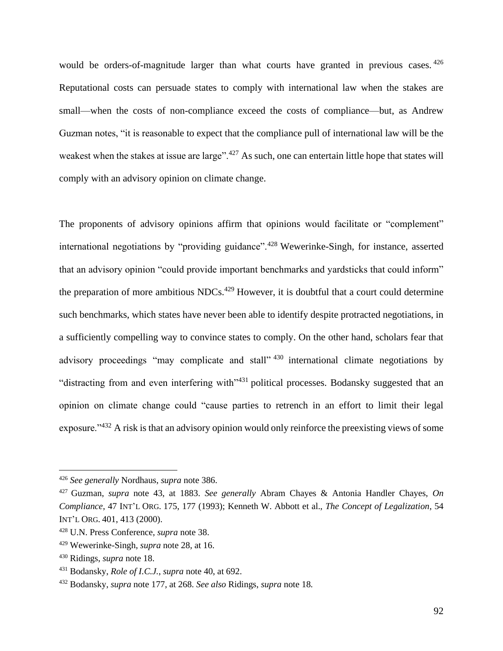would be orders-of-magnitude larger than what courts have granted in previous cases. 426 Reputational costs can persuade states to comply with international law when the stakes are small—when the costs of non-compliance exceed the costs of compliance—but, as Andrew Guzman notes, "it is reasonable to expect that the compliance pull of international law will be the weakest when the stakes at issue are large".<sup>427</sup> As such, one can entertain little hope that states will comply with an advisory opinion on climate change.

The proponents of advisory opinions affirm that opinions would facilitate or "complement" international negotiations by "providing guidance".<sup>428</sup> Wewerinke-Singh, for instance, asserted that an advisory opinion "could provide important benchmarks and yardsticks that could inform" the preparation of more ambitious  $NDCs<sup>429</sup>$  However, it is doubtful that a court could determine such benchmarks, which states have never been able to identify despite protracted negotiations, in a sufficiently compelling way to convince states to comply. On the other hand, scholars fear that advisory proceedings "may complicate and stall"  $430$  international climate negotiations by "distracting from and even interfering with"<sup>431</sup> political processes. Bodansky suggested that an opinion on climate change could "cause parties to retrench in an effort to limit their legal exposure."<sup>432</sup> A risk is that an advisory opinion would only reinforce the preexisting views of some

<sup>426</sup> *See generally* Nordhaus, *supra* note [386.](#page-80-0)

<sup>427</sup> Guzman, *supra* note [43,](#page-9-0) at 1883. *See generally* Abram Chayes & Antonia Handler Chayes, *On Compliance*, 47 INT'L ORG. 175, 177 (1993); Kenneth W. Abbott et al., *The Concept of Legalization*, 54 INT'L ORG. 401, 413 (2000).

<sup>428</sup> U.N. Press Conference, *supra* note [38.](#page-8-1)

<sup>429</sup> Wewerinke-Singh, *supra* note [28,](#page-6-0) at 16.

<sup>430</sup> Ridings, *supra* note [18.](#page-4-0)

<sup>431</sup> Bodansky, *Role of I.C.J.*, *supra* note [40,](#page-8-0) at 692.

<sup>432</sup> Bodansky, *supra* note 177, at 268. *See also* Ridings, *supra* note [18.](#page-4-0)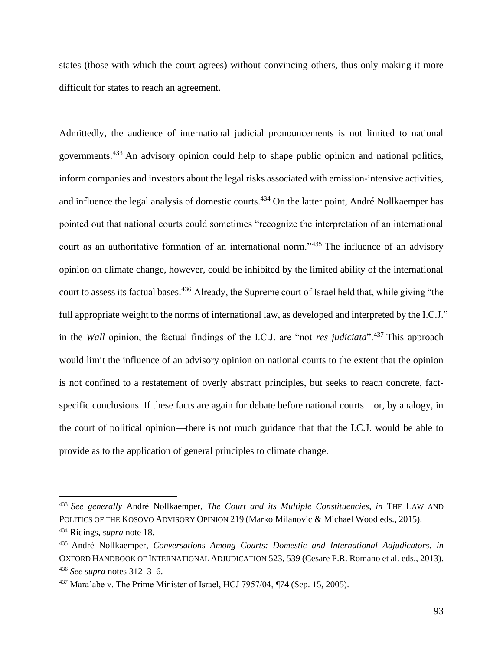states (those with which the court agrees) without convincing others, thus only making it more difficult for states to reach an agreement.

Admittedly, the audience of international judicial pronouncements is not limited to national governments.<sup>433</sup> An advisory opinion could help to shape public opinion and national politics, inform companies and investors about the legal risks associated with emission-intensive activities, and influence the legal analysis of domestic courts.<sup>434</sup> On the latter point, André Nollkaemper has pointed out that national courts could sometimes "recognize the interpretation of an international court as an authoritative formation of an international norm."<sup>435</sup> The influence of an advisory opinion on climate change, however, could be inhibited by the limited ability of the international court to assess its factual bases.<sup>436</sup> Already, the Supreme court of Israel held that, while giving "the full appropriate weight to the norms of international law, as developed and interpreted by the I.C.J." in the *Wall* opinion, the factual findings of the I.C.J. are "not *res judiciata*".<sup>437</sup> This approach would limit the influence of an advisory opinion on national courts to the extent that the opinion is not confined to a restatement of overly abstract principles, but seeks to reach concrete, factspecific conclusions. If these facts are again for debate before national courts—or, by analogy, in the court of political opinion—there is not much guidance that that the I.C.J. would be able to provide as to the application of general principles to climate change.

<sup>433</sup> *See generally* André Nollkaemper, *The Court and its Multiple Constituencies*, *in* THE LAW AND POLITICS OF THE KOSOVO ADVISORY OPINION 219 (Marko Milanovic & Michael Wood eds., 2015). <sup>434</sup> Ridings, *supra* note [18.](#page-4-0)

<sup>435</sup> André Nollkaemper, *Conversations Among Courts: Domestic and International Adjudicators*, *in* OXFORD HANDBOOK OF INTERNATIONAL ADJUDICATION 523, 539 (Cesare P.R. Romano et al. eds., 2013). <sup>436</sup> *See supra* notes [312–](#page-65-0)[316.](#page-66-1)

<sup>437</sup> Mara'abe v. The Prime Minister of Israel, HCJ 7957/04, ¶74 (Sep. 15, 2005).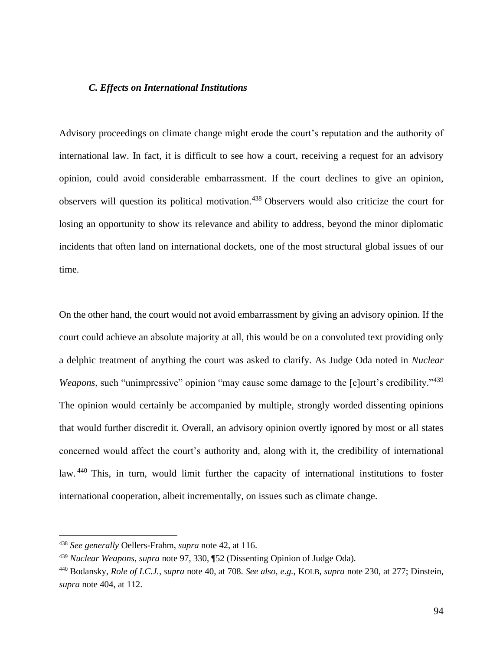# *C. Effects on International Institutions*

Advisory proceedings on climate change might erode the court's reputation and the authority of international law. In fact, it is difficult to see how a court, receiving a request for an advisory opinion, could avoid considerable embarrassment. If the court declines to give an opinion, observers will question its political motivation.<sup>438</sup> Observers would also criticize the court for losing an opportunity to show its relevance and ability to address, beyond the minor diplomatic incidents that often land on international dockets, one of the most structural global issues of our time.

On the other hand, the court would not avoid embarrassment by giving an advisory opinion. If the court could achieve an absolute majority at all, this would be on a convoluted text providing only a delphic treatment of anything the court was asked to clarify. As Judge Oda noted in *Nuclear Weapons*, such "unimpressive" opinion "may cause some damage to the [c]ourt's credibility."<sup>439</sup> The opinion would certainly be accompanied by multiple, strongly worded dissenting opinions that would further discredit it. Overall, an advisory opinion overtly ignored by most or all states concerned would affect the court's authority and, along with it, the credibility of international law. <sup>440</sup> This, in turn, would limit further the capacity of international institutions to foster international cooperation, albeit incrementally, on issues such as climate change.

<sup>438</sup> *See generally* Oellers-Frahm, *supra* not[e 42,](#page-9-1) at 116.

<sup>439</sup> *Nuclear Weapons*, *supra* note [97,](#page-20-0) 330, ¶52 (Dissenting Opinion of Judge Oda).

<sup>440</sup> Bodansky, *Role of I.C.J.*, *supra* note [40,](#page-8-0) at 708. *See also, e.g.*, KOLB, *supra* note [230,](#page-47-0) at 277; Dinstein, *supra* note [404,](#page-86-1) at 112.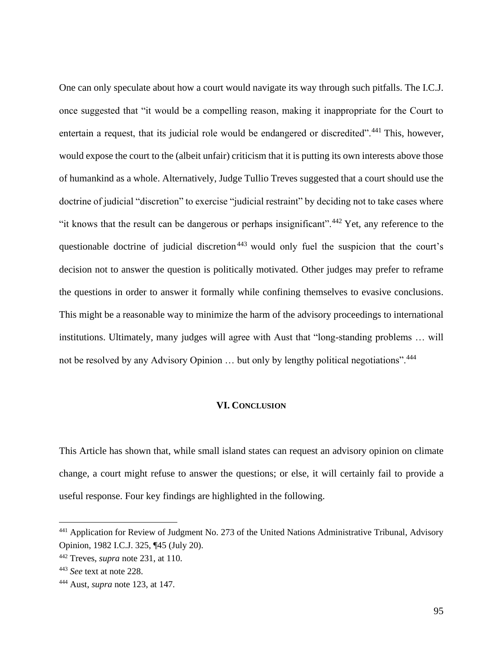One can only speculate about how a court would navigate its way through such pitfalls. The I.C.J. once suggested that "it would be a compelling reason, making it inappropriate for the Court to entertain a request, that its judicial role would be endangered or discredited".<sup>441</sup> This, however, would expose the court to the (albeit unfair) criticism that it is putting its own interests above those of humankind as a whole. Alternatively, Judge Tullio Treves suggested that a court should use the doctrine of judicial "discretion" to exercise "judicial restraint" by deciding not to take cases where "it knows that the result can be dangerous or perhaps insignificant".<sup>442</sup> Yet, any reference to the questionable doctrine of judicial discretion<sup>443</sup> would only fuel the suspicion that the court's decision not to answer the question is politically motivated. Other judges may prefer to reframe the questions in order to answer it formally while confining themselves to evasive conclusions. This might be a reasonable way to minimize the harm of the advisory proceedings to international institutions. Ultimately, many judges will agree with Aust that "long-standing problems … will not be resolved by any Advisory Opinion ... but only by lengthy political negotiations".<sup>444</sup>

#### **VI. CONCLUSION**

This Article has shown that, while small island states can request an advisory opinion on climate change, a court might refuse to answer the questions; or else, it will certainly fail to provide a useful response. Four key findings are highlighted in the following.

<sup>&</sup>lt;sup>441</sup> Application for Review of Judgment No. 273 of the United Nations Administrative Tribunal, Advisory Opinion, 1982 I.C.J. 325, ¶45 (July 20).

<sup>442</sup> Treves, *supra* note [231,](#page-47-1) at 110.

<sup>443</sup> *See* text at note [228.](#page-47-2)

<sup>444</sup> Aust, *supra* note [123,](#page-26-0) at 147.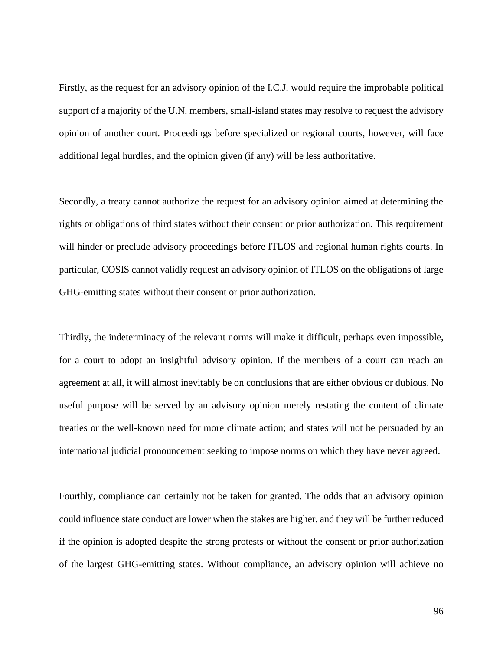Firstly, as the request for an advisory opinion of the I.C.J. would require the improbable political support of a majority of the U.N. members, small-island states may resolve to request the advisory opinion of another court. Proceedings before specialized or regional courts, however, will face additional legal hurdles, and the opinion given (if any) will be less authoritative.

Secondly, a treaty cannot authorize the request for an advisory opinion aimed at determining the rights or obligations of third states without their consent or prior authorization. This requirement will hinder or preclude advisory proceedings before ITLOS and regional human rights courts. In particular, COSIS cannot validly request an advisory opinion of ITLOS on the obligations of large GHG-emitting states without their consent or prior authorization.

Thirdly, the indeterminacy of the relevant norms will make it difficult, perhaps even impossible, for a court to adopt an insightful advisory opinion. If the members of a court can reach an agreement at all, it will almost inevitably be on conclusions that are either obvious or dubious. No useful purpose will be served by an advisory opinion merely restating the content of climate treaties or the well-known need for more climate action; and states will not be persuaded by an international judicial pronouncement seeking to impose norms on which they have never agreed.

Fourthly, compliance can certainly not be taken for granted. The odds that an advisory opinion could influence state conduct are lower when the stakes are higher, and they will be further reduced if the opinion is adopted despite the strong protests or without the consent or prior authorization of the largest GHG-emitting states. Without compliance, an advisory opinion will achieve no